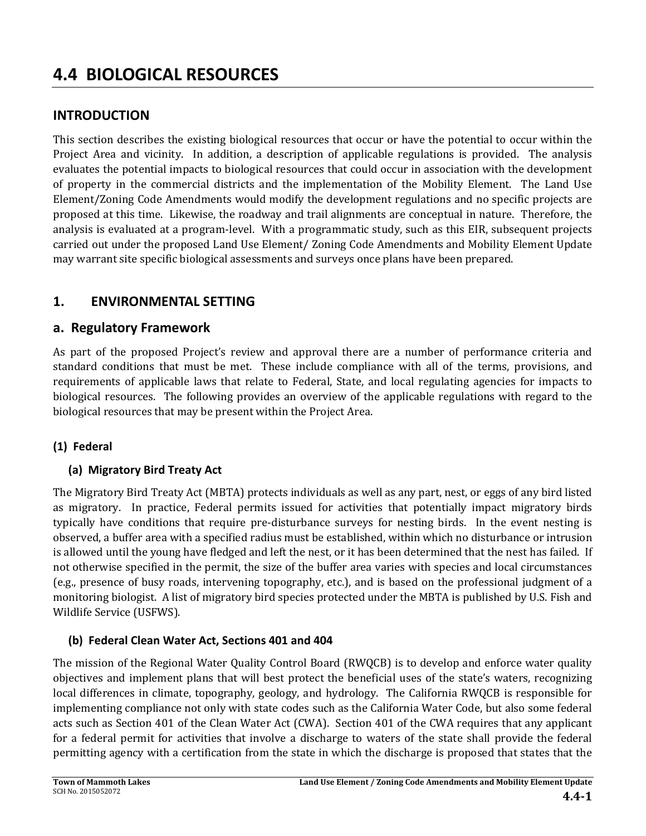# **4.4 BIOLOGICAL RESOURCES**

### **INTRODUCTION**

This section describes the existing biological resources that occur or have the potential to occur within the Project Area and vicinity. In addition, a description of applicable regulations is provided. The analysis evaluates the potential impacts to biological resources that could occur in association with the development of property in the commercial districts and the implementation of the Mobility Element. The Land Use Element/Zoning Code Amendments would modify the development regulations and no specific projects are proposed at this time. Likewise, the roadway and trail alignments are conceptual in nature. Therefore, the analysis is evaluated at a program-level. With a programmatic study, such as this EIR, subsequent projects carried out under the proposed Land Use Element/ Zoning Code Amendments and Mobility Element Update may warrant site specific biological assessments and surveys once plans have been prepared.

### **1. ENVIRONMENTAL SETTING**

### **a. Regulatory Framework**

As part of the proposed Project's review and approval there are a number of performance criteria and standard conditions that must be met. These include compliance with all of the terms, provisions, and requirements of applicable laws that relate to Federal, State, and local regulating agencies for impacts to biological resources. The following provides an overview of the applicable regulations with regard to the biological resources that may be present within the Project Area.

### **(1) Federal**

### **(a) Migratory Bird Treaty Act**

The Migratory Bird Treaty Act (MBTA) protects individuals as well as any part, nest, or eggs of any bird listed as migratory. In practice, Federal permits issued for activities that potentially impact migratory birds typically have conditions that require pre-disturbance surveys for nesting birds. In the event nesting is observed, a buffer area with a specified radius must be established, within which no disturbance or intrusion is allowed until the young have fledged and left the nest, or it has been determined that the nest has failed. If not otherwise specified in the permit, the size of the buffer area varies with species and local circumstances (e.g., presence of busy roads, intervening topography, etc.), and is based on the professional judgment of a monitoring biologist. A list of migratory bird species protected under the MBTA is published by U.S. Fish and Wildlife Service (USFWS).

### **(b) Federal Clean Water Act, Sections 401 and 404**

The mission of the Regional Water Quality Control Board (RWQCB) is to develop and enforce water quality objectives and implement plans that will best protect the beneficial uses of the state's waters, recognizing local differences in climate, topography, geology, and hydrology. The California RWOCB is responsible for implementing compliance not only with state codes such as the California Water Code, but also some federal acts such as Section 401 of the Clean Water Act (CWA). Section 401 of the CWA requires that any applicant for a federal permit for activities that involve a discharge to waters of the state shall provide the federal permitting agency with a certification from the state in which the discharge is proposed that states that the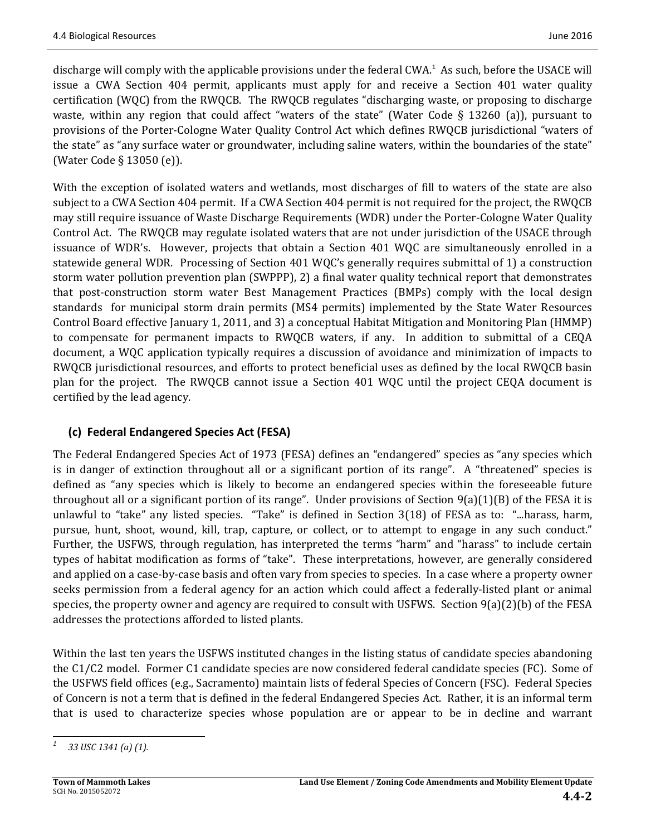discharge will comply with the applicable provisions under the federal CWA.<sup>1</sup> As such, before the USACE will issue a CWA Section 404 permit, applicants must apply for and receive a Section 401 water quality certification (WQC) from the RWQCB. The RWQCB regulates "discharging waste, or proposing to discharge waste, within any region that could affect "waters of the state" (Water Code  $\S$  13260 (a)), pursuant to provisions of the Porter-Cologne Water Quality Control Act which defines RWQCB jurisdictional "waters of the state" as "any surface water or groundwater, including saline waters, within the boundaries of the state" (Water Code  $\S$  13050 (e)).

With the exception of isolated waters and wetlands, most discharges of fill to waters of the state are also subject to a CWA Section 404 permit. If a CWA Section 404 permit is not required for the project, the RWQCB may still require issuance of Waste Discharge Requirements (WDR) under the Porter-Cologne Water Quality Control Act. The RWQCB may regulate isolated waters that are not under jurisdiction of the USACE through issuance of WDR's. However, projects that obtain a Section 401 WQC are simultaneously enrolled in a statewide general WDR. Processing of Section 401 WQC's generally requires submittal of 1) a construction storm water pollution prevention plan (SWPPP), 2) a final water quality technical report that demonstrates that post-construction storm water Best Management Practices (BMPs) comply with the local design standards for municipal storm drain permits (MS4 permits) implemented by the State Water Resources Control Board effective January 1, 2011, and 3) a conceptual Habitat Mitigation and Monitoring Plan (HMMP) to compensate for permanent impacts to RWQCB waters, if any. In addition to submittal of a CEQA document, a WQC application typically requires a discussion of avoidance and minimization of impacts to RWQCB jurisdictional resources, and efforts to protect beneficial uses as defined by the local RWQCB basin plan for the project. The RWQCB cannot issue a Section 401 WQC until the project CEQA document is certified by the lead agency.

### **(c) Federal Endangered Species Act (FESA)**

The Federal Endangered Species Act of 1973 (FESA) defines an "endangered" species as "any species which is in danger of extinction throughout all or a significant portion of its range". A "threatened" species is defined as "any species which is likely to become an endangered species within the foreseeable future throughout all or a significant portion of its range". Under provisions of Section  $9(a)(1)(B)$  of the FESA it is unlawful to "take" any listed species. "Take" is defined in Section  $3(18)$  of FESA as to: "...harass, harm, pursue, hunt, shoot, wound, kill, trap, capture, or collect, or to attempt to engage in any such conduct." Further, the USFWS, through regulation, has interpreted the terms "harm" and "harass" to include certain types of habitat modification as forms of "take". These interpretations, however, are generally considered and applied on a case-by-case basis and often vary from species to species. In a case where a property owner seeks permission from a federal agency for an action which could affect a federally-listed plant or animal species, the property owner and agency are required to consult with USFWS. Section  $9(a)(2)(b)$  of the FESA addresses the protections afforded to listed plants.

Within the last ten years the USFWS instituted changes in the listing status of candidate species abandoning the  $C1/C2$  model. Former C1 candidate species are now considered federal candidate species (FC). Some of the USFWS field offices (e.g., Sacramento) maintain lists of federal Species of Concern (FSC). Federal Species of Concern is not a term that is defined in the federal Endangered Species Act. Rather, it is an informal term that is used to characterize species whose population are or appear to be in decline and warrant

 *<sup>1</sup> 33 USC 1341 (a) (1).*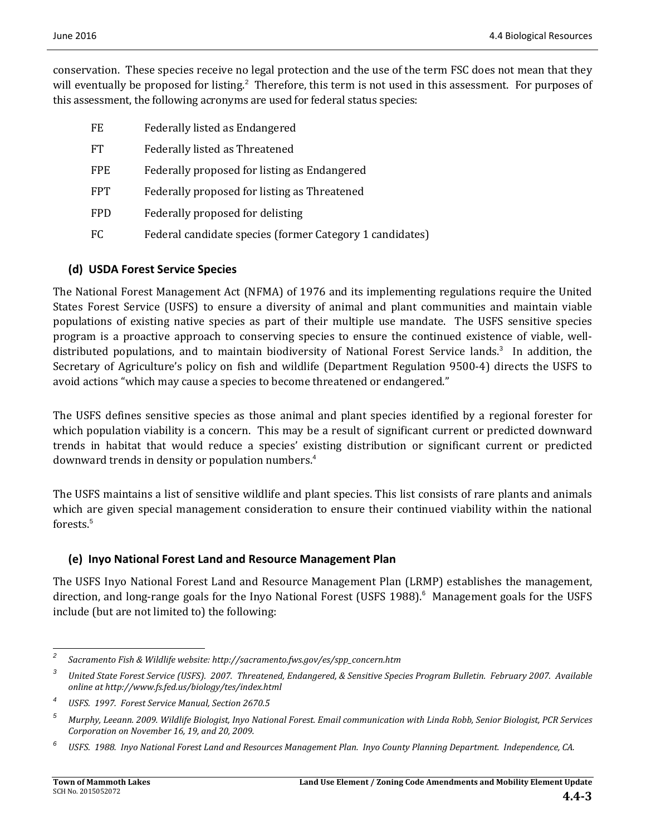conservation. These species receive no legal protection and the use of the term FSC does not mean that they will eventually be proposed for listing.<sup>2</sup> Therefore, this term is not used in this assessment. For purposes of this assessment, the following acronyms are used for federal status species:

- FE Federally listed as Endangered
- FT Federally listed as Threatened
- FPE Federally proposed for listing as Endangered
- FPT Federally proposed for listing as Threatened
- FPD Federally proposed for delisting
- FC Federal candidate species (former Category 1 candidates)

### **(d) USDA Forest Service Species**

The National Forest Management Act (NFMA) of 1976 and its implementing regulations require the United States Forest Service (USFS) to ensure a diversity of animal and plant communities and maintain viable populations of existing native species as part of their multiple use mandate. The USFS sensitive species program is a proactive approach to conserving species to ensure the continued existence of viable, welldistributed populations, and to maintain biodiversity of National Forest Service lands.<sup>3</sup> In addition, the Secretary of Agriculture's policy on fish and wildlife (Department Regulation 9500-4) directs the USFS to avoid actions "which may cause a species to become threatened or endangered."

The USFS defines sensitive species as those animal and plant species identified by a regional forester for which population viability is a concern. This may be a result of significant current or predicted downward trends in habitat that would reduce a species' existing distribution or significant current or predicted downward trends in density or population numbers.<sup>4</sup>

The USFS maintains a list of sensitive wildlife and plant species. This list consists of rare plants and animals which are given special management consideration to ensure their continued viability within the national forests.<sup>5</sup>

#### **(e) Inyo National Forest Land and Resource Management Plan**

The USFS Inyo National Forest Land and Resource Management Plan (LRMP) establishes the management, direction, and long-range goals for the Inyo National Forest (USFS 1988).<sup>6</sup> Management goals for the USFS include (but are not limited to) the following:

 

*<sup>2</sup> Sacramento Fish & Wildlife website: http://sacramento.fws.gov/es/spp\_concern.htm*

<sup>&</sup>lt;sup>3</sup> United State Forest Service (USFS). 2007. Threatened, Endangered, & Sensitive Species Program Bulletin. February 2007. Available *online at http://www.fs.fed.us/biology/tes/index.html*

*<sup>4</sup> USFS. 1997. Forest Service Manual, Section 2670.5*

<sup>&</sup>lt;sup>5</sup> Murphy, Leeann. 2009. Wildlife Biologist, Inyo National Forest. Email communication with Linda Robb, Senior Biologist, PCR Services *Corporation on November 16, 19, and 20, 2009.*

<sup>&</sup>lt;sup>6</sup> USFS. 1988. Inyo National Forest Land and Resources Management Plan. Inyo County Planning Department. Independence, CA.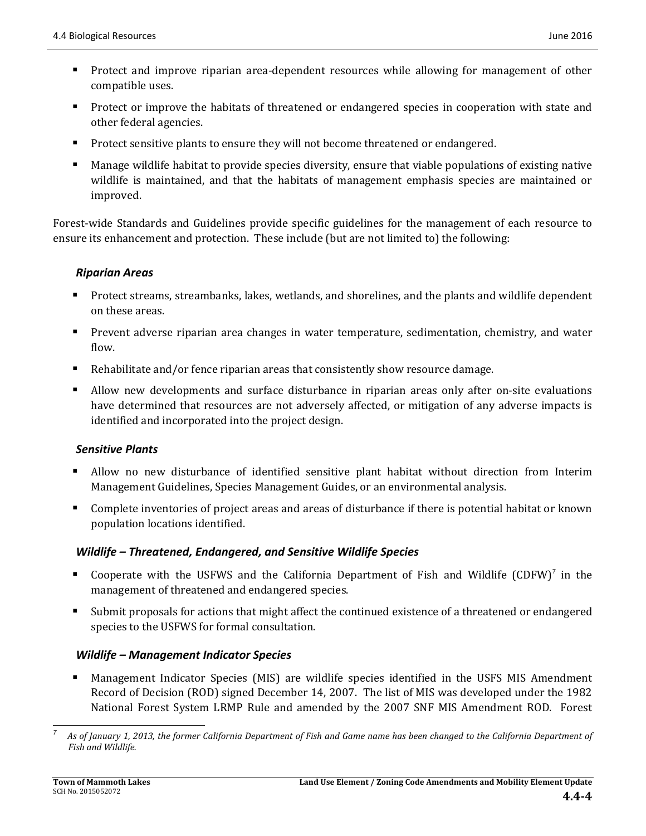- Protect and improve riparian area-dependent resources while allowing for management of other compatible uses.
- **Protect** or improve the habitats of threatened or endangered species in cooperation with state and other federal agencies.
- Protect sensitive plants to ensure they will not become threatened or endangered.
- Manage wildlife habitat to provide species diversity, ensure that viable populations of existing native wildlife is maintained, and that the habitats of management emphasis species are maintained or improved.

Forest-wide Standards and Guidelines provide specific guidelines for the management of each resource to ensure its enhancement and protection. These include (but are not limited to) the following:

### *Riparian Areas*

- Protect streams, streambanks, lakes, wetlands, and shorelines, and the plants and wildlife dependent on these areas.
- Prevent adverse riparian area changes in water temperature, sedimentation, chemistry, and water flow.
- Rehabilitate and/or fence riparian areas that consistently show resource damage.
- Allow new developments and surface disturbance in riparian areas only after on-site evaluations have determined that resources are not adversely affected, or mitigation of any adverse impacts is identified and incorporated into the project design.

### *Sensitive Plants*

- Allow no new disturbance of identified sensitive plant habitat without direction from Interim Management Guidelines, Species Management Guides, or an environmental analysis.
- Complete inventories of project areas and areas of disturbance if there is potential habitat or known population locations identified.

### *Wildlife – Threatened, Endangered, and Sensitive Wildlife Species*

- **•** Cooperate with the USFWS and the California Department of Fish and Wildlife (CDFW)<sup>7</sup> in the management of threatened and endangered species.
- Submit proposals for actions that might affect the continued existence of a threatened or endangered species to the USFWS for formal consultation.

### *Wildlife – Management Indicator Species*

Management Indicator Species (MIS) are wildlife species identified in the USFS MIS Amendment Record of Decision (ROD) signed December 14, 2007. The list of MIS was developed under the 1982 National Forest System LRMP Rule and amended by the 2007 SNF MIS Amendment ROD. Forest

*7*

 As of January 1, 2013, the former California Department of Fish and Game name has been changed to the California Department of *Fish and Wildlife.*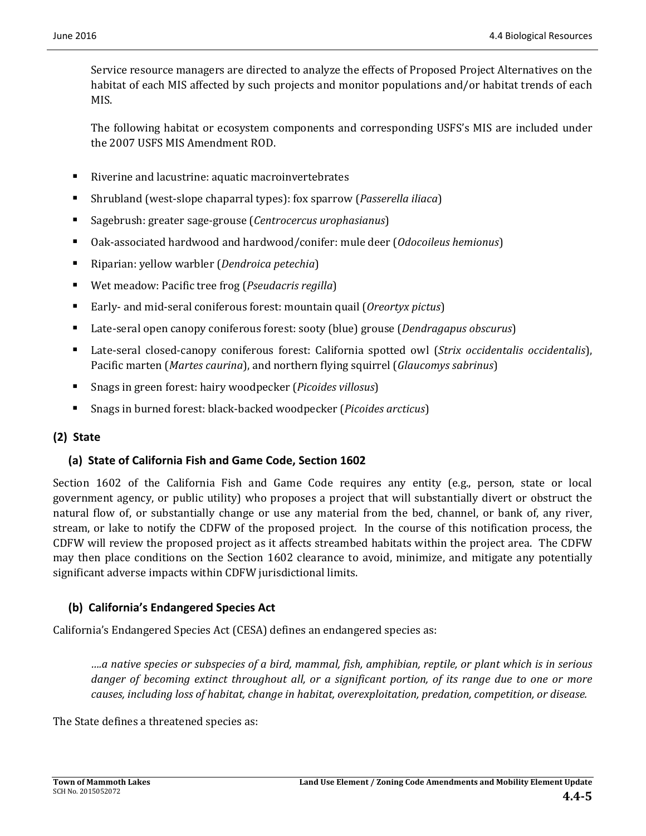Service resource managers are directed to analyze the effects of Proposed Project Alternatives on the habitat of each MIS affected by such projects and monitor populations and/or habitat trends of each MIS. 

The following habitat or ecosystem components and corresponding USFS's MIS are included under the 2007 USFS MIS Amendment ROD.

- Riverine and lacustrine: aquatic macroinvertebrates
- Shrubland (west-slope chaparral types): fox sparrow (*Passerella iliaca*)
- Sagebrush: greater sage-grouse (Centrocercus *urophasianus*)
- Oak-associated hardwood and hardwood/conifer: mule deer (*Odocoileus hemionus*)
- Riparian: yellow warbler (*Dendroica petechia*)
- Wet meadow: Pacific tree frog (*Pseudacris regilla*)
- Early- and mid-seral coniferous forest: mountain quail (*Oreortyx pictus*)
- Late-seral open canopy coniferous forest: sooty (blue) grouse (*Dendragapus obscurus*)
- Late-seral closed-canopy coniferous forest: California spotted owl (*Strix occidentalis occidentalis*), Pacific marten (*Martes caurina*), and northern flying squirrel (*Glaucomys sabrinus*)
- Snags in green forest: hairy woodpecker (*Picoides villosus*)
- Snags in burned forest: black-backed woodpecker (*Picoides arcticus*)

### **(2) State**

### **(a) State of California Fish and Game Code, Section 1602**

Section  $1602$  of the California Fish and Game Code requires any entity (e.g., person, state or local government agency, or public utility) who proposes a project that will substantially divert or obstruct the natural flow of, or substantially change or use any material from the bed, channel, or bank of, any river, stream, or lake to notify the CDFW of the proposed project. In the course of this notification process, the CDFW will review the proposed project as it affects streambed habitats within the project area. The CDFW may then place conditions on the Section 1602 clearance to avoid, minimize, and mitigate any potentially significant adverse impacts within CDFW jurisdictional limits.

### **(b) California's Endangered Species Act**

California's Endangered Species Act (CESA) defines an endangered species as:

....a native species or subspecies of a bird, mammal, fish, amphibian, reptile, or plant which is in serious danger of becoming extinct throughout all, or a significant portion, of its range due to one or more *causes, including loss of habitat, change in habitat, overexploitation, predation, competition, or disease.*

The State defines a threatened species as: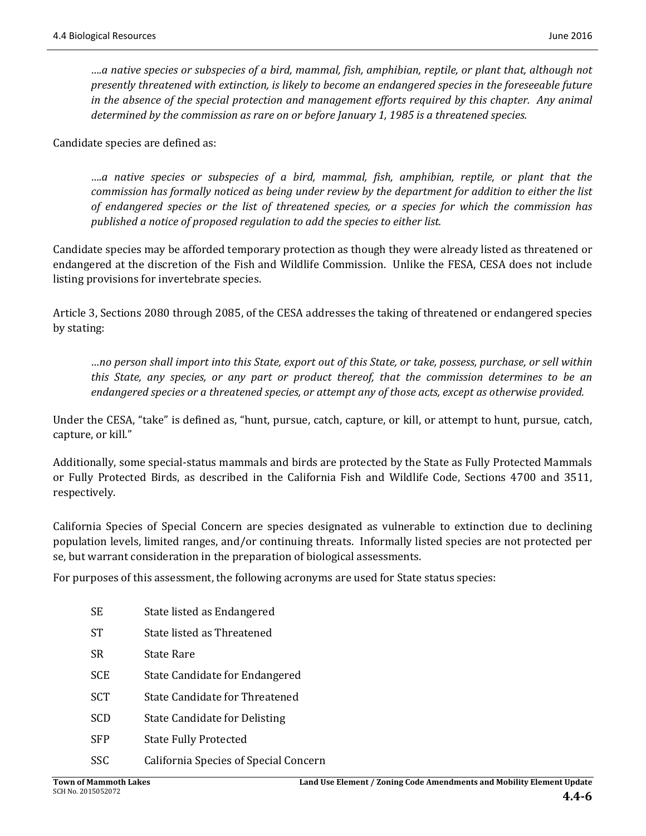*….a native species or subspecies of a bird, mammal, fish, amphibian, reptile, or plant that, although not presently threatened with extinction, is likely to become an endangered species in the foreseeable future in the absence of the special protection and management efforts required by this chapter. Any animal determined by the commission as rare on or before January 1, 1985 is a threatened species.*

Candidate species are defined as:

*….a native species or subspecies of a bird, mammal, fish, amphibian, reptile, or plant that the commission has formally noticed as being under review by the department for addition to either the list of endangered species or the list of threatened species, or a species for which the commission has published a notice of proposed regulation to add the species to either list.*

Candidate species may be afforded temporary protection as though they were already listed as threatened or endangered at the discretion of the Fish and Wildlife Commission. Unlike the FESA, CESA does not include listing provisions for invertebrate species.

Article 3, Sections 2080 through 2085, of the CESA addresses the taking of threatened or endangered species by stating: 

...no person shall import into this State, export out of this State, or take, possess, purchase, or sell within *this State, any species, or any part or product thereof, that the commission determines to be an endangered species or a threatened species, or attempt any of those acts, except as otherwise provided.*

Under the CESA, "take" is defined as, "hunt, pursue, catch, capture, or kill, or attempt to hunt, pursue, catch, capture, or kill."

Additionally, some special-status mammals and birds are protected by the State as Fully Protected Mammals or Fully Protected Birds, as described in the California Fish and Wildlife Code, Sections 4700 and 3511, respectively. 

California Species of Special Concern are species designated as vulnerable to extinction due to declining population levels, limited ranges, and/or continuing threats. Informally listed species are not protected per se, but warrant consideration in the preparation of biological assessments.

For purposes of this assessment, the following acronyms are used for State status species:

| <b>SE</b>  | State listed as Endangered            |
|------------|---------------------------------------|
| <b>ST</b>  | State listed as Threatened            |
| SR         | <b>State Rare</b>                     |
| <b>SCE</b> | State Candidate for Endangered        |
| <b>SCT</b> | State Candidate for Threatened        |
| <b>SCD</b> | <b>State Candidate for Delisting</b>  |
| <b>SFP</b> | <b>State Fully Protected</b>          |
| <b>SSC</b> | California Species of Special Concern |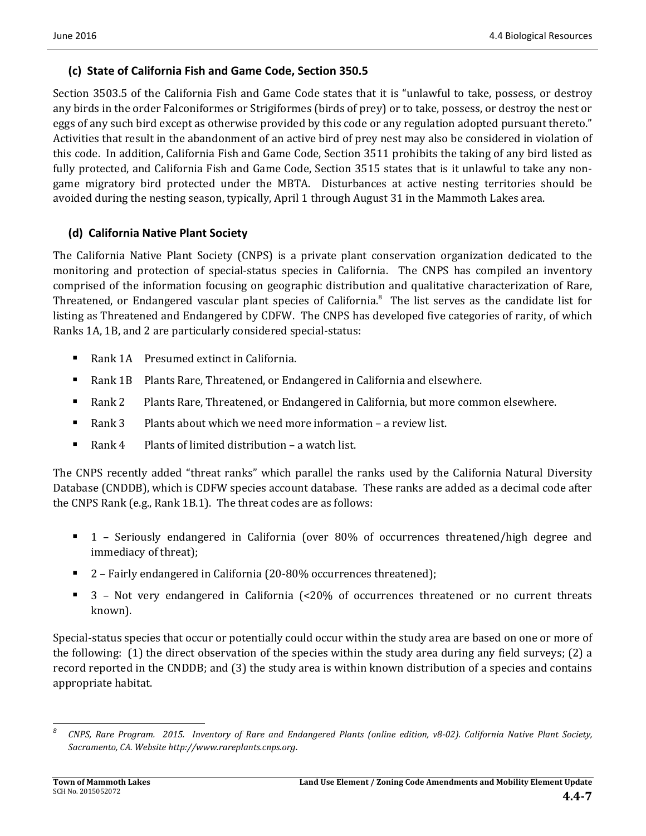### **(c) State of California Fish and Game Code, Section 350.5**

Section 3503.5 of the California Fish and Game Code states that it is "unlawful to take, possess, or destroy any birds in the order Falconiformes or Strigiformes (birds of prey) or to take, possess, or destroy the nest or eggs of any such bird except as otherwise provided by this code or any regulation adopted pursuant thereto." Activities that result in the abandonment of an active bird of prey nest may also be considered in violation of this code. In addition, California Fish and Game Code, Section 3511 prohibits the taking of any bird listed as fully protected, and California Fish and Game Code, Section 3515 states that is it unlawful to take any nongame migratory bird protected under the MBTA. Disturbances at active nesting territories should be avoided during the nesting season, typically, April 1 through August 31 in the Mammoth Lakes area.

### **(d) California Native Plant Society**

The California Native Plant Society (CNPS) is a private plant conservation organization dedicated to the monitoring and protection of special-status species in California. The CNPS has compiled an inventory comprised of the information focusing on geographic distribution and qualitative characterization of Rare, Threatened, or Endangered vascular plant species of California. $8$  The list serves as the candidate list for listing as Threatened and Endangered by CDFW. The CNPS has developed five categories of rarity, of which Ranks 1A, 1B, and 2 are particularly considered special-status:

- Rank 1A Presumed extinct in California.
- Rank 1B Plants Rare, Threatened, or Endangered in California and elsewhere.
- Rank 2 Plants Rare, Threatened, or Endangered in California, but more common elsewhere.
- Rank 3 Plants about which we need more information  $-$  a review list.
- Rank 4 Plants of limited distribution  $-$  a watch list.

The CNPS recently added "threat ranks" which parallel the ranks used by the California Natural Diversity Database (CNDDB), which is CDFW species account database. These ranks are added as a decimal code after the CNPS Rank (e.g., Rank 1B.1). The threat codes are as follows:

- $\blacksquare$  1 Seriously endangered in California (over 80% of occurrences threatened/high degree and immediacy of threat);
- 2 Fairly endangered in California (20-80% occurrences threatened);
- $\blacksquare$  3 Not very endangered in California (<20% of occurrences threatened or no current threats known).

Special-status species that occur or potentially could occur within the study area are based on one or more of the following:  $(1)$  the direct observation of the species within the study area during any field surveys;  $(2)$  a record reported in the CNDDB; and (3) the study area is within known distribution of a species and contains appropriate habitat.

 <sup>8</sup> CNPS, Rare Program. 2015. Inventory of Rare and Endangered Plants (online edition, v8-02). California Native Plant Society, *Sacramento, CA. Website http://www.rareplants.cnps.org.*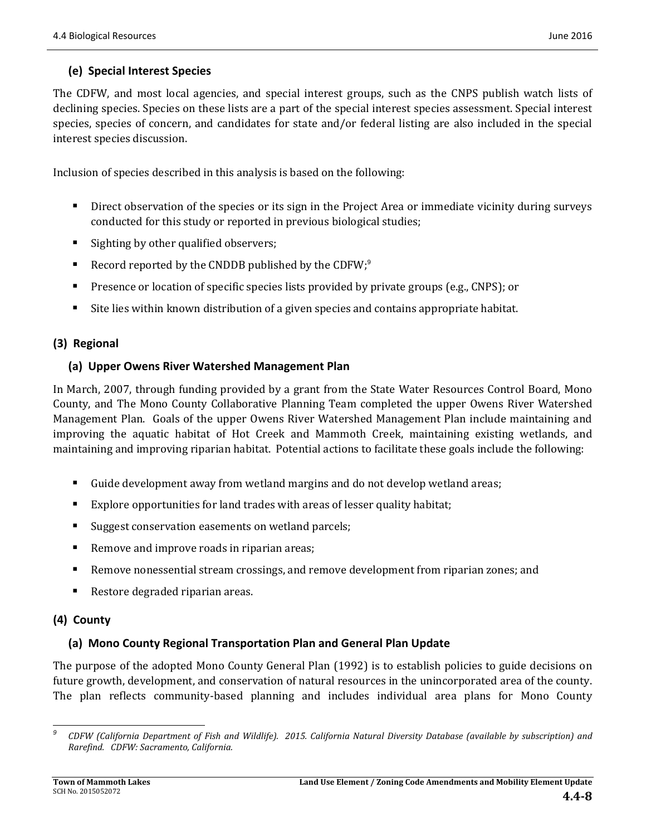### **(e) Special Interest Species**

The CDFW, and most local agencies, and special interest groups, such as the CNPS publish watch lists of declining species. Species on these lists are a part of the special interest species assessment. Special interest species, species of concern, and candidates for state and/or federal listing are also included in the special interest species discussion.

Inclusion of species described in this analysis is based on the following:

- Direct observation of the species or its sign in the Project Area or immediate vicinity during surveys conducted for this study or reported in previous biological studies;
- Sighting by other qualified observers;
- Record reported by the CNDDB published by the CDFW; $9$
- **Presence or location of specific species lists provided by private groups (e.g., CNPS); or**
- If Site lies within known distribution of a given species and contains appropriate habitat.

### **(3) Regional**

### **(a) Upper Owens River Watershed Management Plan**

In March, 2007, through funding provided by a grant from the State Water Resources Control Board, Mono County, and The Mono County Collaborative Planning Team completed the upper Owens River Watershed Management Plan. Goals of the upper Owens River Watershed Management Plan include maintaining and improving the aquatic habitat of Hot Creek and Mammoth Creek, maintaining existing wetlands, and maintaining and improving riparian habitat. Potential actions to facilitate these goals include the following:

- Guide development away from wetland margins and do not develop wetland areas;
- Explore opportunities for land trades with areas of lesser quality habitat;
- Suggest conservation easements on wetland parcels;
- Remove and improve roads in riparian areas;
- Remove nonessential stream crossings, and remove development from riparian zones; and
- Restore degraded riparian areas.

### **(4) County**

### **(a) Mono County Regional Transportation Plan and General Plan Update**

The purpose of the adopted Mono County General Plan (1992) is to establish policies to guide decisions on future growth, development, and conservation of natural resources in the unincorporated area of the county. The plan reflects community-based planning and includes individual area plans for Mono County

 CDFW (California Department of Fish and Wildlife). 2015. California Natural Diversity Database (available by subscription) and *Rarefind. CDFW: Sacramento, California.*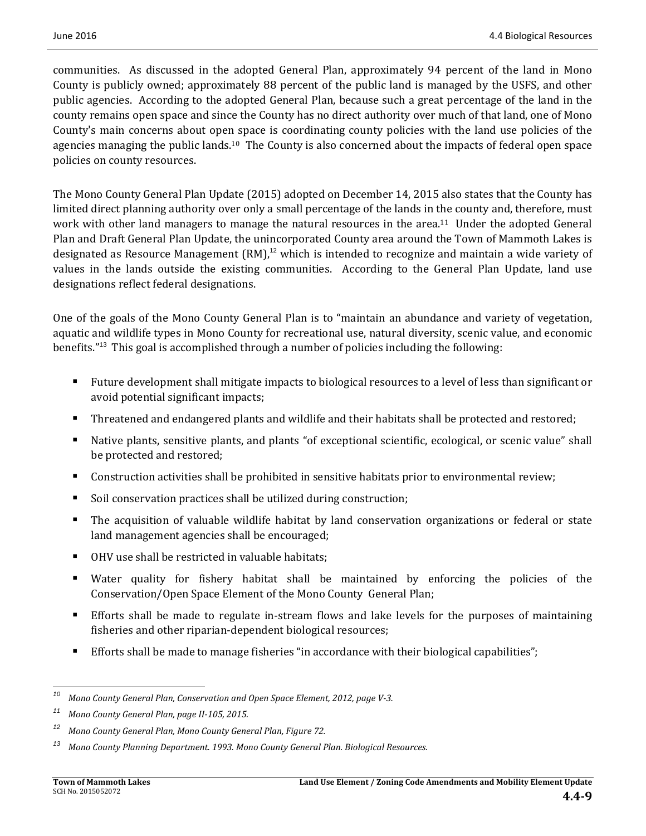communities. As discussed in the adopted General Plan, approximately 94 percent of the land in Mono County is publicly owned; approximately 88 percent of the public land is managed by the USFS, and other public agencies. According to the adopted General Plan, because such a great percentage of the land in the county remains open space and since the County has no direct authority over much of that land, one of Mono County's main concerns about open space is coordinating county policies with the land use policies of the agencies managing the public lands.<sup>10</sup> The County is also concerned about the impacts of federal open space policies on county resources.

The Mono County General Plan Update (2015) adopted on December 14, 2015 also states that the County has limited direct planning authority over only a small percentage of the lands in the county and, therefore, must work with other land managers to manage the natural resources in the area.<sup>11</sup> Under the adopted General Plan and Draft General Plan Update, the unincorporated County area around the Town of Mammoth Lakes is designated as Resource Management  $\text{(RM)}$ ,<sup>12</sup> which is intended to recognize and maintain a wide variety of values in the lands outside the existing communities. According to the General Plan Update, land use designations reflect federal designations.

One of the goals of the Mono County General Plan is to "maintain an abundance and variety of vegetation, aquatic and wildlife types in Mono County for recreational use, natural diversity, scenic value, and economic benefits."<sup>13</sup> This goal is accomplished through a number of policies including the following:

- Future development shall mitigate impacts to biological resources to a level of less than significant or avoid potential significant impacts;
- **Threatened and endangered plants and wildlife and their habitats shall be protected and restored;**
- Native plants, sensitive plants, and plants "of exceptional scientific, ecological, or scenic value" shall be protected and restored;
- Construction activities shall be prohibited in sensitive habitats prior to environmental review;
- Soil conservation practices shall be utilized during construction;
- **The** acquisition of valuable wildlife habitat by land conservation organizations or federal or state land management agencies shall be encouraged;
- OHV use shall be restricted in valuable habitats;
- Water quality for fishery habitat shall be maintained by enforcing the policies of the Conservation/Open Space Element of the Mono County General Plan;
- Efforts shall be made to regulate in-stream flows and lake levels for the purposes of maintaining fisheries and other riparian-dependent biological resources;
- Efforts shall be made to manage fisheries "in accordance with their biological capabilities";

 *<sup>10</sup> Mono County General Plan, Conservation and Open Space Element, 2012, page V‐3.*

*<sup>11</sup> Mono County General Plan, page II‐105, 2015.*

*<sup>12</sup> Mono County General Plan, Mono County General Plan, Figure 72.*

*<sup>13</sup> Mono County Planning Department. 1993. Mono County General Plan. Biological Resources.*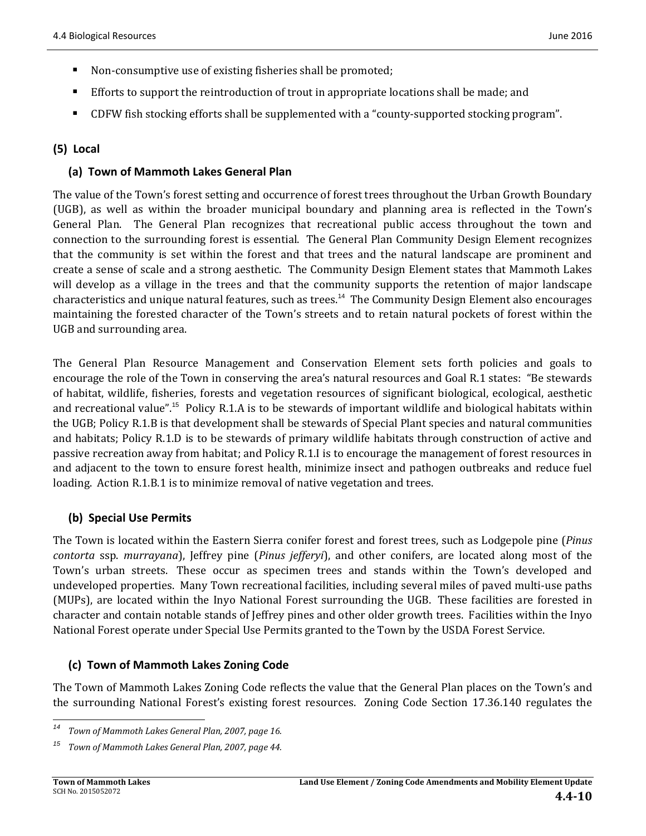- Non-consumptive use of existing fisheries shall be promoted;
- **Efforts** to support the reintroduction of trout in appropriate locations shall be made; and
- CDFW fish stocking efforts shall be supplemented with a "county-supported stocking program".

### **(5) Local**

### **(a) Town of Mammoth Lakes General Plan**

The value of the Town's forest setting and occurrence of forest trees throughout the Urban Growth Boundary (UGB), as well as within the broader municipal boundary and planning area is reflected in the Town's General Plan. The General Plan recognizes that recreational public access throughout the town and connection to the surrounding forest is essential. The General Plan Community Design Element recognizes that the community is set within the forest and that trees and the natural landscape are prominent and create a sense of scale and a strong aesthetic. The Community Design Element states that Mammoth Lakes will develop as a village in the trees and that the community supports the retention of major landscape characteristics and unique natural features, such as trees.<sup>14</sup> The Community Design Element also encourages maintaining the forested character of the Town's streets and to retain natural pockets of forest within the UGB and surrounding area.

The General Plan Resource Management and Conservation Element sets forth policies and goals to encourage the role of the Town in conserving the area's natural resources and Goal R.1 states: "Be stewards of habitat, wildlife, fisheries, forests and vegetation resources of significant biological, ecological, aesthetic and recreational value".<sup>15</sup> Policy R.1.A is to be stewards of important wildlife and biological habitats within the UGB; Policy R.1.B is that development shall be stewards of Special Plant species and natural communities and habitats; Policy R.1.D is to be stewards of primary wildlife habitats through construction of active and passive recreation away from habitat; and Policy R.1.I is to encourage the management of forest resources in and adjacent to the town to ensure forest health, minimize insect and pathogen outbreaks and reduce fuel loading. Action R.1.B.1 is to minimize removal of native vegetation and trees.

### **(b) Special Use Permits**

The Town is located within the Eastern Sierra conifer forest and forest trees, such as Lodgepole pine (*Pinus contorta* ssp. *murrayana*), *Jeffrey pine (Pinus jefferyi)*, and other conifers, are located along most of the Town's urban streets. These occur as specimen trees and stands within the Town's developed and undeveloped properties. Many Town recreational facilities, including several miles of paved multi-use paths (MUPs), are located within the Inyo National Forest surrounding the UGB. These facilities are forested in character and contain notable stands of Jeffrey pines and other older growth trees. Facilities within the Inyo National Forest operate under Special Use Permits granted to the Town by the USDA Forest Service.

### **(c) Town of Mammoth Lakes Zoning Code**

The Town of Mammoth Lakes Zoning Code reflects the value that the General Plan places on the Town's and the surrounding National Forest's existing forest resources. Zoning Code Section 17.36.140 regulates the

 *<sup>14</sup> Town of Mammoth Lakes General Plan, 2007, page 16.*

*<sup>15</sup> Town of Mammoth Lakes General Plan, 2007, page 44.*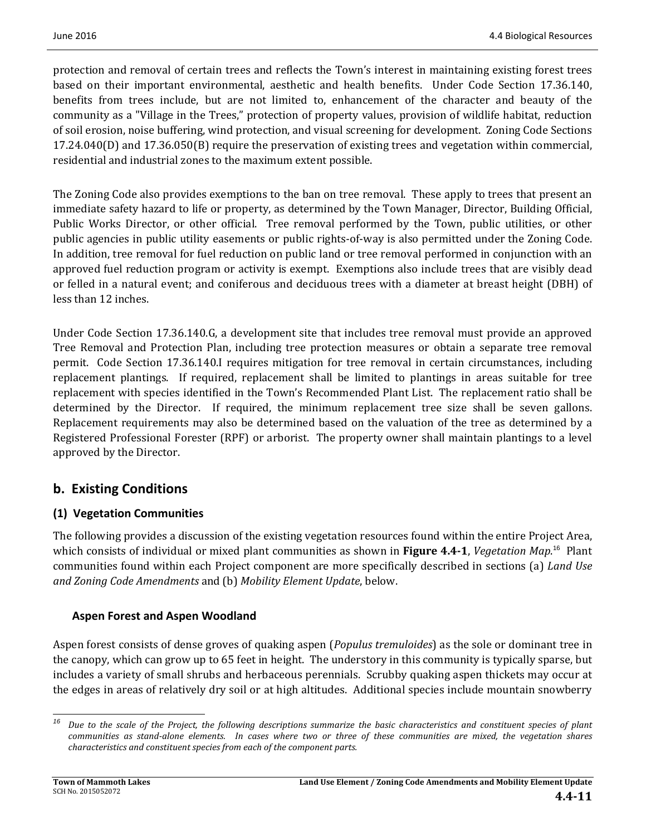protection and removal of certain trees and reflects the Town's interest in maintaining existing forest trees based on their important environmental, aesthetic and health benefits. Under Code Section 17.36.140, benefits from trees include, but are not limited to, enhancement of the character and beauty of the community as a "Village in the Trees," protection of property values, provision of wildlife habitat, reduction of soil erosion, noise buffering, wind protection, and visual screening for development. Zoning Code Sections  $17.24.040(D)$  and  $17.36.050(B)$  require the preservation of existing trees and vegetation within commercial, residential and industrial zones to the maximum extent possible.

The Zoning Code also provides exemptions to the ban on tree removal. These apply to trees that present an immediate safety hazard to life or property, as determined by the Town Manager, Director, Building Official, Public Works Director, or other official. Tree removal performed by the Town, public utilities, or other public agencies in public utility easements or public rights-of-way is also permitted under the Zoning Code. In addition, tree removal for fuel reduction on public land or tree removal performed in conjunction with an approved fuel reduction program or activity is exempt. Exemptions also include trees that are visibly dead or felled in a natural event; and coniferous and deciduous trees with a diameter at breast height (DBH) of less than 12 inches.

Under Code Section 17.36.140.G, a development site that includes tree removal must provide an approved Tree Removal and Protection Plan, including tree protection measures or obtain a separate tree removal permit. Code Section 17.36.140.I requires mitigation for tree removal in certain circumstances, including replacement plantings. If required, replacement shall be limited to plantings in areas suitable for tree replacement with species identified in the Town's Recommended Plant List. The replacement ratio shall be determined by the Director. If required, the minimum replacement tree size shall be seven gallons. Replacement requirements may also be determined based on the valuation of the tree as determined by a Registered Professional Forester (RPF) or arborist. The property owner shall maintain plantings to a level approved by the Director.

# **b. Existing Conditions**

### **(1) Vegetation Communities**

The following provides a discussion of the existing vegetation resources found within the entire Project Area, which consists of individual or mixed plant communities as shown in Figure 4.4-1, Vegetation Map.<sup>16</sup> Plant communities found within each Project component are more specifically described in sections (a) *Land Use and Zoning Code Amendments* and (b) *Mobility Element Update*, below. 

### **Aspen Forest and Aspen Woodland**

Aspen forest consists of dense groves of quaking aspen (*Populus tremuloides*) as the sole or dominant tree in the canopy, which can grow up to 65 feet in height. The understory in this community is typically sparse, but includes a variety of small shrubs and herbaceous perennials. Scrubby quaking aspen thickets may occur at the edges in areas of relatively dry soil or at high altitudes. Additional species include mountain snowberry

 <sup>16</sup> Due to the scale of the Project, the following descriptions summarize the basic characteristics and constituent species of plant communities as stand-alone elements. In cases where two or three of these communities are mixed, the vegetation shares *characteristics and constituent species from each of the component parts.*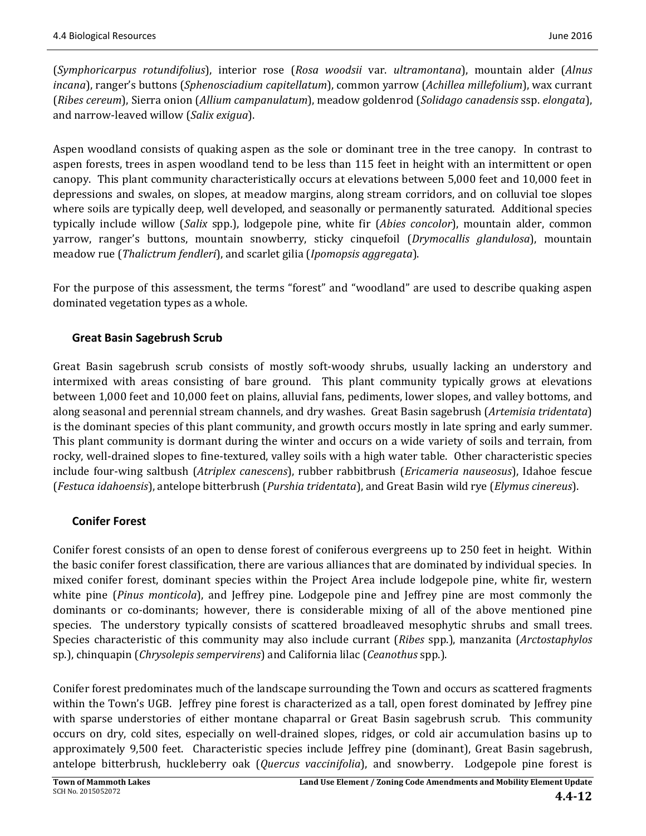(*Symphoricarpus rotundifolius*), interior rose (*Rosa woodsii* var. *ultramontana*), mountain alder (*Alnus incana*), ranger's buttons (*Sphenosciadium capitellatum*), common yarrow (*Achillea millefolium*), wax currant (*Ribes cereum*), Sierra onion (*Allium campanulatum*), meadow goldenrod (*Solidago canadensis* ssp. *elongata*), and narrow-leaved willow (*Salix exigua*).

Aspen woodland consists of quaking aspen as the sole or dominant tree in the tree canopy. In contrast to aspen forests, trees in aspen woodland tend to be less than 115 feet in height with an intermittent or open canopy. This plant community characteristically occurs at elevations between 5,000 feet and 10,000 feet in depressions and swales, on slopes, at meadow margins, along stream corridors, and on colluvial toe slopes where soils are typically deep, well developed, and seasonally or permanently saturated. Additional species typically include willow (*Salix* spp.), lodgepole pine, white fir (*Abies concolor*), mountain alder, common yarrow, ranger's buttons, mountain snowberry, sticky cinquefoil (*Drymocallis glandulosa*), mountain meadow rue (*Thalictrum fendleri*), and scarlet gilia (*Ipomopsis aggregata*). 

For the purpose of this assessment, the terms "forest" and "woodland" are used to describe quaking aspen dominated vegetation types as a whole.

### **Great Basin Sagebrush Scrub**

Great Basin sagebrush scrub consists of mostly soft-woody shrubs, usually lacking an understory and intermixed with areas consisting of bare ground. This plant community typically grows at elevations between 1,000 feet and 10,000 feet on plains, alluvial fans, pediments, lower slopes, and valley bottoms, and along seasonal and perennial stream channels, and dry washes. Great Basin sagebrush (Artemisia tridentata) is the dominant species of this plant community, and growth occurs mostly in late spring and early summer. This plant community is dormant during the winter and occurs on a wide variety of soils and terrain, from rocky, well-drained slopes to fine-textured, valley soils with a high water table. Other characteristic species include four-wing saltbush (*Atriplex canescens*), rubber rabbitbrush (*Ericameria nauseosus*), Idahoe fescue (*Festuca idahoensis*), antelope bitterbrush (*Purshia tridentata*), and Great Basin wild rye (*Elymus cinereus*). 

### **Conifer Forest**

Conifer forest consists of an open to dense forest of coniferous evergreens up to 250 feet in height. Within the basic conifer forest classification, there are various alliances that are dominated by individual species. In mixed conifer forest, dominant species within the Project Area include lodgepole pine, white fir, western white pine (*Pinus monticola*), and Jeffrey pine. Lodgepole pine and Jeffrey pine are most commonly the dominants or co-dominants; however, there is considerable mixing of all of the above mentioned pine species. The understory typically consists of scattered broadleaved mesophytic shrubs and small trees. Species characteristic of this community may also include currant (*Ribes* spp.), manzanita (*Arctostaphylos* sp.), chinquapin (*Chrysolepis sempervirens*) and California lilac (*Ceanothus* spp.).

Conifer forest predominates much of the landscape surrounding the Town and occurs as scattered fragments within the Town's UGB. Jeffrey pine forest is characterized as a tall, open forest dominated by Jeffrey pine with sparse understories of either montane chaparral or Great Basin sagebrush scrub. This community occurs on dry, cold sites, especially on well-drained slopes, ridges, or cold air accumulation basins up to approximately 9,500 feet. Characteristic species include Jeffrey pine (dominant), Great Basin sagebrush, antelope bitterbrush, huckleberry oak (*Quercus vaccinifolia*), and snowberry. Lodgepole pine forest is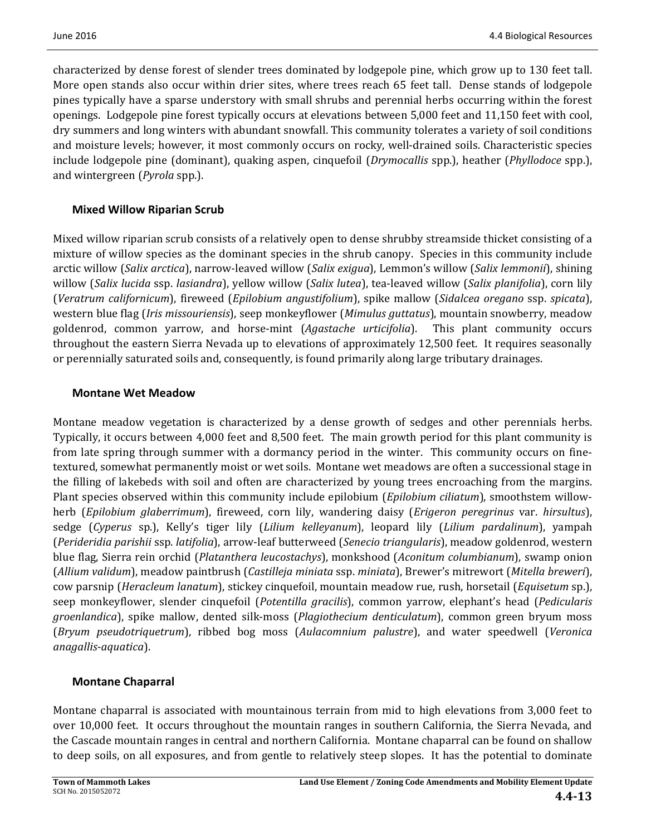characterized by dense forest of slender trees dominated by lodgepole pine, which grow up to 130 feet tall. More open stands also occur within drier sites, where trees reach 65 feet tall. Dense stands of lodgepole pines typically have a sparse understory with small shrubs and perennial herbs occurring within the forest openings. Lodgepole pine forest typically occurs at elevations between 5,000 feet and 11,150 feet with cool, dry summers and long winters with abundant snowfall. This community tolerates a variety of soil conditions and moisture levels; however, it most commonly occurs on rocky, well-drained soils. Characteristic species include lodgepole pine (dominant), quaking aspen, cinquefoil (*Drymocallis* spp.), heather (*Phyllodoce* spp.), and wintergreen *(Pyrola* spp.).

### **Mixed Willow Riparian Scrub**

Mixed willow riparian scrub consists of a relatively open to dense shrubby streamside thicket consisting of a mixture of willow species as the dominant species in the shrub canopy. Species in this community include arctic willow (*Salix arctica*), narrow‐leaved willow (*Salix exigua*), Lemmon's willow (*Salix lemmonii*), shining willow (*Salix lucida* ssp. *lasiandra*), yellow willow (*Salix lutea*), tea-leaved willow (*Salix planifolia*), corn lily (*Veratrum californicum*), fireweed (*Epilobium angustifolium*), spike mallow (*Sidalcea oregano* ssp. *spicata*), western blue flag (*Iris missouriensis*), seep monkeyflower (*Mimulus guttatus*), mountain snowberry, meadow goldenrod, common yarrow, and horse-mint (*Agastache urticifolia*). This plant community occurs throughout the eastern Sierra Nevada up to elevations of approximately 12,500 feet. It requires seasonally or perennially saturated soils and, consequently, is found primarily along large tributary drainages.

### **Montane Wet Meadow**

Montane meadow vegetation is characterized by a dense growth of sedges and other perennials herbs. Typically, it occurs between 4,000 feet and 8,500 feet. The main growth period for this plant community is from late spring through summer with a dormancy period in the winter. This community occurs on finetextured, somewhat permanently moist or wet soils. Montane wet meadows are often a successional stage in the filling of lakebeds with soil and often are characterized by young trees encroaching from the margins. Plant species observed within this community include epilobium (*Epilobium ciliatum*), smoothstem willowherb (*Epilobium glaberrimum*), fireweed, corn lily, wandering daisy (*Erigeron peregrinus* var. *hirsultus*), sedge (*Cyperus* sp.), Kelly's tiger lily (*Lilium kelleyanum*), leopard lily (*Lilium pardalinum*), yampah (*Perideridia parishii* ssp. *latifolia*), arrow‐leaf butterweed (*Senecio triangularis*), meadow goldenrod, western blue flag, Sierra rein orchid (*Platanthera leucostachys*), monkshood (*Aconitum columbianum*), swamp onion (*Allium validum*), meadow paintbrush (*Castilleja miniata* ssp. *miniata*), Brewer's mitrewort (*Mitella breweri*), cow parsnip (*Heracleum lanatum*), stickey cinquefoil, mountain meadow rue, rush, horsetail (*Equisetum* sp.), seep monkeyflower, slender cinquefoil (*Potentilla gracilis*), common yarrow, elephant's head (*Pedicularis groenlandica*), spike mallow, dented silk-moss (*Plagiothecium denticulatum*), common green bryum moss (*Bryum pseudotriquetrum*), ribbed bog moss (*Aulacomnium palustre*), and water speedwell (*Veronica anagallis‐aquatica*). 

### **Montane Chaparral**

Montane chaparral is associated with mountainous terrain from mid to high elevations from 3,000 feet to over 10,000 feet. It occurs throughout the mountain ranges in southern California, the Sierra Nevada, and the Cascade mountain ranges in central and northern California. Montane chaparral can be found on shallow to deep soils, on all exposures, and from gentle to relatively steep slopes. It has the potential to dominate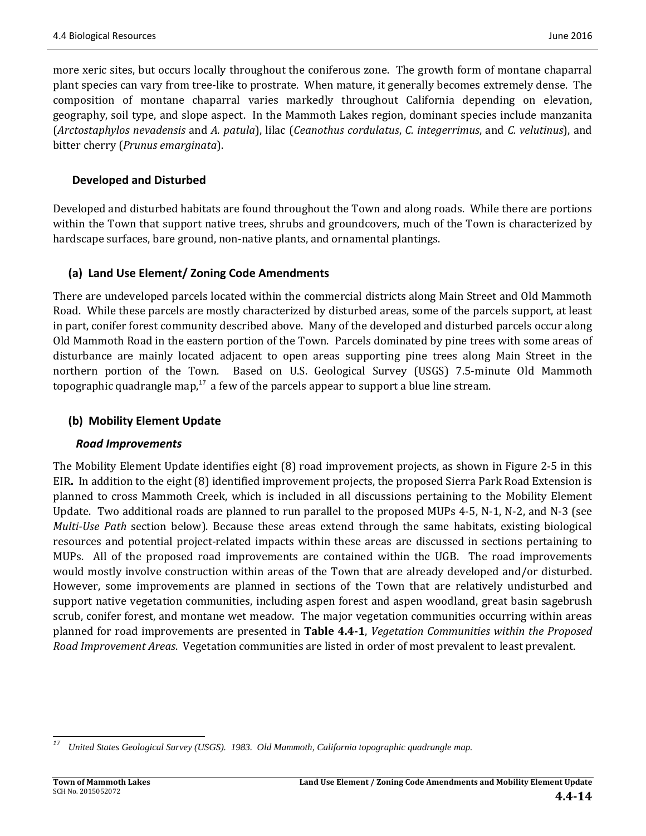more xeric sites, but occurs locally throughout the coniferous zone. The growth form of montane chaparral plant species can vary from tree-like to prostrate. When mature, it generally becomes extremely dense. The composition of montane chaparral varies markedly throughout California depending on elevation, geography, soil type, and slope aspect. In the Mammoth Lakes region, dominant species include manzanita (*Arctostaphylos nevadensis* and *A. patula*), lilac (*Ceanothus cordulatus*, *C. integerrimus*, and *C. velutinus*), and bitter cherry (*Prunus emarginata*). 

### **Developed and Disturbed**

Developed and disturbed habitats are found throughout the Town and along roads. While there are portions within the Town that support native trees, shrubs and groundcovers, much of the Town is characterized by hardscape surfaces, bare ground, non-native plants, and ornamental plantings.

### **(a) Land Use Element/ Zoning Code Amendments**

There are undeveloped parcels located within the commercial districts along Main Street and Old Mammoth Road. While these parcels are mostly characterized by disturbed areas, some of the parcels support, at least in part, conifer forest community described above. Many of the developed and disturbed parcels occur along Old Mammoth Road in the eastern portion of the Town. Parcels dominated by pine trees with some areas of disturbance are mainly located adjacent to open areas supporting pine trees along Main Street in the northern portion of the Town. Based on U.S. Geological Survey (USGS) 7.5-minute Old Mammoth topographic quadrangle map,<sup>17</sup> a few of the parcels appear to support a blue line stream.

### **(b) Mobility Element Update**

#### *Road Improvements*

The Mobility Element Update identifies eight (8) road improvement projects, as shown in Figure 2-5 in this EIR. In addition to the eight (8) identified improvement projects, the proposed Sierra Park Road Extension is planned to cross Mammoth Creek, which is included in all discussions pertaining to the Mobility Element Update. Two additional roads are planned to run parallel to the proposed MUPs  $4-5$ , N $-1$ , N $-2$ , and N $-3$  (see *Multi*-*Use Path* section below). Because these areas extend through the same habitats, existing biological resources and potential project-related impacts within these areas are discussed in sections pertaining to MUPs. All of the proposed road improvements are contained within the UGB. The road improvements would mostly involve construction within areas of the Town that are already developed and/or disturbed. However, some improvements are planned in sections of the Town that are relatively undisturbed and support native vegetation communities, including aspen forest and aspen woodland, great basin sagebrush scrub, conifer forest, and montane wet meadow. The major vegetation communities occurring within areas planned for road improvements are presented in **Table 4.4‐1**, *Vegetation Communities within the Proposed Road Improvement Areas.* Vegetation communities are listed in order of most prevalent to least prevalent.

 *<sup>17</sup> United States Geological Survey (USGS). 1983. Old Mammoth, California topographic quadrangle map.*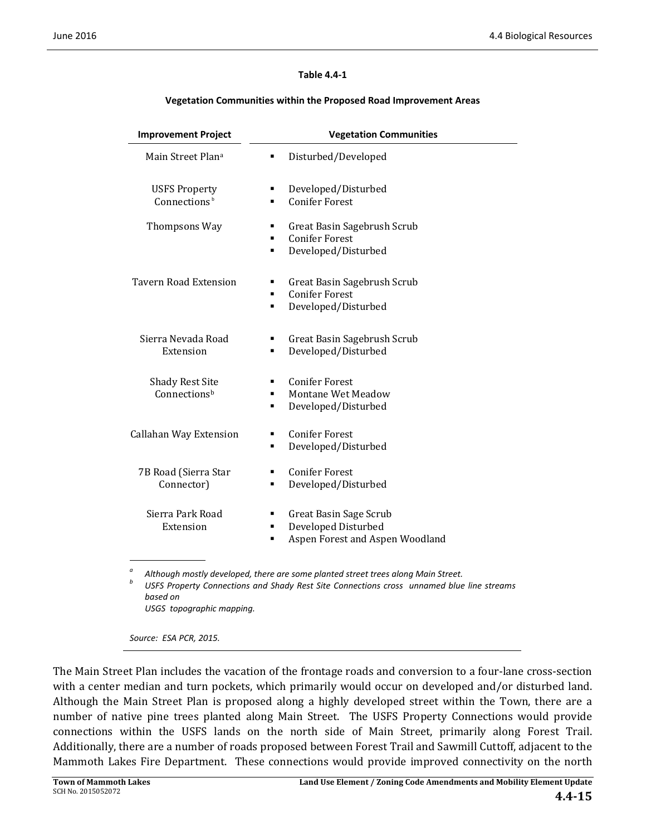#### **Table 4.4‐1**

#### **Vegetation Communities within the Proposed Road Improvement Areas**

| <b>Improvement Project</b>                       | <b>Vegetation Communities</b>                                                                   |  |  |  |
|--------------------------------------------------|-------------------------------------------------------------------------------------------------|--|--|--|
| Main Street Plana                                | Disturbed/Developed<br>٠                                                                        |  |  |  |
| <b>USFS Property</b><br>Connections <sup>b</sup> | Developed/Disturbed<br>٠<br><b>Conifer Forest</b><br>٠                                          |  |  |  |
| Thompsons Way                                    | Great Basin Sagebrush Scrub<br>п<br><b>Conifer Forest</b><br>П<br>Developed/Disturbed<br>٠      |  |  |  |
| <b>Tavern Road Extension</b>                     | Great Basin Sagebrush Scrub<br>٠<br><b>Conifer Forest</b><br>٠<br>Developed/Disturbed<br>п      |  |  |  |
| Sierra Nevada Road<br>Extension                  | Great Basin Sagebrush Scrub<br>Developed/Disturbed<br>٠                                         |  |  |  |
| <b>Shady Rest Site</b><br>Connectionsb           | <b>Conifer Forest</b><br>٠<br>Montane Wet Meadow<br>٠<br>Developed/Disturbed<br>٠               |  |  |  |
| Callahan Way Extension                           | <b>Conifer Forest</b><br>٠<br>Developed/Disturbed<br>٠                                          |  |  |  |
| 7B Road (Sierra Star<br>Connector)               | <b>Conifer Forest</b><br>٠<br>Developed/Disturbed<br>٠                                          |  |  |  |
| Sierra Park Road<br>Extension                    | Great Basin Sage Scrub<br>٠<br>Developed Disturbed<br>٠<br>Aspen Forest and Aspen Woodland<br>٠ |  |  |  |

*a*

Although mostly developed, there are some planted street trees along Main Street.<br>USFS Property Connections and Shady Rest Site Connections cross unnamed blue line streams *based on USGS topographic mapping.*

*Source: ESA PCR, 2015.*

The Main Street Plan includes the vacation of the frontage roads and conversion to a four-lane cross-section with a center median and turn pockets, which primarily would occur on developed and/or disturbed land. Although the Main Street Plan is proposed along a highly developed street within the Town, there are a number of native pine trees planted along Main Street. The USFS Property Connections would provide connections within the USFS lands on the north side of Main Street, primarily along Forest Trail. Additionally, there are a number of roads proposed between Forest Trail and Sawmill Cuttoff, adjacent to the Mammoth Lakes Fire Department. These connections would provide improved connectivity on the north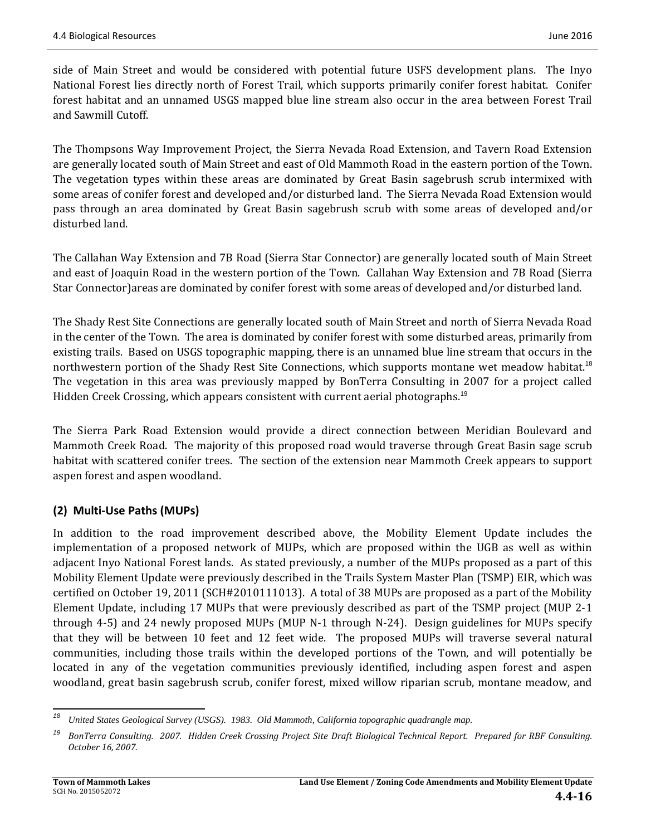side of Main Street and would be considered with potential future USFS development plans. The Inyo National Forest lies directly north of Forest Trail, which supports primarily conifer forest habitat. Conifer forest habitat and an unnamed USGS mapped blue line stream also occur in the area between Forest Trail and Sawmill Cutoff. 

The Thompsons Way Improvement Project, the Sierra Nevada Road Extension, and Tavern Road Extension are generally located south of Main Street and east of Old Mammoth Road in the eastern portion of the Town. The vegetation types within these areas are dominated by Great Basin sagebrush scrub intermixed with some areas of conifer forest and developed and/or disturbed land. The Sierra Nevada Road Extension would pass through an area dominated by Great Basin sagebrush scrub with some areas of developed and/or disturbed land.

The Callahan Way Extension and 7B Road (Sierra Star Connector) are generally located south of Main Street and east of Joaquin Road in the western portion of the Town. Callahan Way Extension and 7B Road (Sierra Star Connector) areas are dominated by conifer forest with some areas of developed and/or disturbed land.

The Shady Rest Site Connections are generally located south of Main Street and north of Sierra Nevada Road in the center of the Town. The area is dominated by conifer forest with some disturbed areas, primarily from existing trails. Based on USGS topographic mapping, there is an unnamed blue line stream that occurs in the northwestern portion of the Shady Rest Site Connections, which supports montane wet meadow habitat.<sup>18</sup> The vegetation in this area was previously mapped by BonTerra Consulting in 2007 for a project called Hidden Creek Crossing, which appears consistent with current aerial photographs.<sup>19</sup>

The Sierra Park Road Extension would provide a direct connection between Meridian Boulevard and Mammoth Creek Road. The majority of this proposed road would traverse through Great Basin sage scrub habitat with scattered conifer trees. The section of the extension near Mammoth Creek appears to support aspen forest and aspen woodland.

### **(2) Multi‐Use Paths (MUPs)**

In addition to the road improvement described above, the Mobility Element Update includes the implementation of a proposed network of MUPs, which are proposed within the UGB as well as within adjacent Inyo National Forest lands. As stated previously, a number of the MUPs proposed as a part of this Mobility Element Update were previously described in the Trails System Master Plan (TSMP) EIR, which was certified on October 19, 2011 (SCH#2010111013). A total of 38 MUPs are proposed as a part of the Mobility Element Update, including 17 MUPs that were previously described as part of the TSMP project (MUP 2-1 through 4-5) and 24 newly proposed MUPs (MUP N-1 through N-24). Design guidelines for MUPs specify that they will be between 10 feet and 12 feet wide. The proposed MUPs will traverse several natural communities, including those trails within the developed portions of the Town, and will potentially be located in any of the vegetation communities previously identified, including aspen forest and aspen woodland, great basin sagebrush scrub, conifer forest, mixed willow riparian scrub, montane meadow, and

<sup>&</sup>lt;u> 1980 - Jan Barnett, fransk politik (d. 1980)</u><br>1901 - Jan Britannik (d. 1980) *<sup>18</sup> United States Geological Survey (USGS). 1983. Old Mammoth, California topographic quadrangle map.*

<sup>&</sup>lt;sup>19</sup> BonTerra Consulting. 2007. Hidden Creek Crossing Project Site Draft Biological Technical Report. Prepared for RBF Consulting. *October 16, 2007.*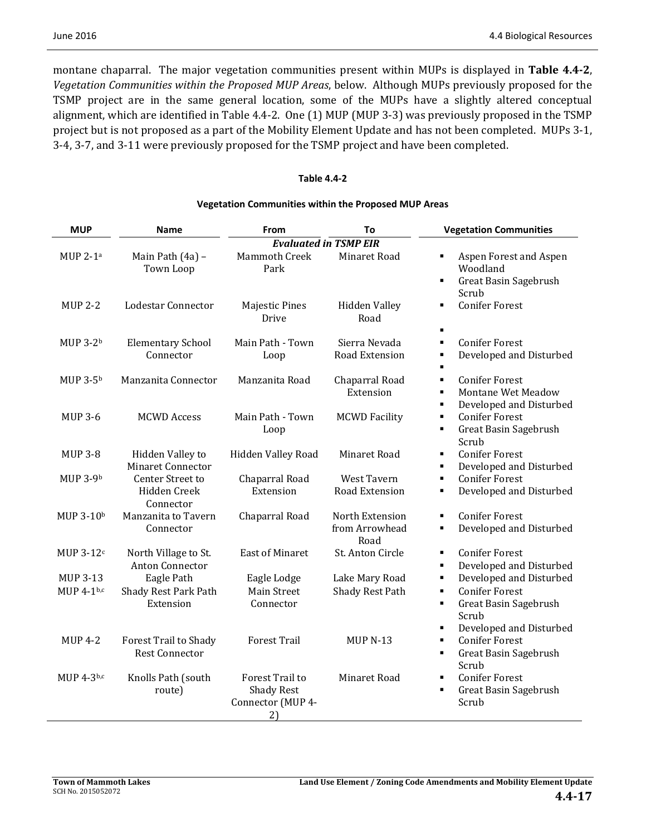montane chaparral. The major vegetation communities present within MUPs is displayed in Table 4.4-2, *Vegetation Communities within the Proposed MUP Areas*, below. Although MUPs previously proposed for the TSMP project are in the same general location, some of the MUPs have a slightly altered conceptual alignment, which are identified in Table 4.4-2. One (1) MUP (MUP 3-3) was previously proposed in the TSMP project but is not proposed as a part of the Mobility Element Update and has not been completed. MUPs 3-1, 3-4, 3-7, and 3-11 were previously proposed for the TSMP project and have been completed.

#### **Table 4.4‐2**

#### **Vegetation Communities within the Proposed MUP Areas**

| <b>MUP</b>            | Name                                           | From                                                            | To                                        | <b>Vegetation Communities</b>                                                                                                |
|-----------------------|------------------------------------------------|-----------------------------------------------------------------|-------------------------------------------|------------------------------------------------------------------------------------------------------------------------------|
|                       |                                                |                                                                 | <b>Evaluated in TSMP EIR</b>              |                                                                                                                              |
| MUP $2-1a$            | Main Path (4a) -<br>Town Loop                  | <b>Mammoth Creek</b><br>Park                                    | Minaret Road                              | Aspen Forest and Aspen<br>٠<br>Woodland<br>Great Basin Sagebrush<br>$\blacksquare$<br>Scrub                                  |
| <b>MUP 2-2</b>        | Lodestar Connector                             | <b>Majestic Pines</b><br>Drive                                  | <b>Hidden Valley</b><br>Road              | <b>Conifer Forest</b><br>$\blacksquare$<br>$\blacksquare$                                                                    |
| MUP 3-2 <sup>b</sup>  | <b>Elementary School</b><br>Connector          | Main Path - Town<br>Loop                                        | Sierra Nevada<br>Road Extension           | <b>Conifer Forest</b><br>$\blacksquare$<br>Developed and Disturbed                                                           |
| MUP 3-5 <sup>b</sup>  | Manzanita Connector                            | Manzanita Road                                                  | Chaparral Road<br>Extension               | <b>Conifer Forest</b><br>$\blacksquare$<br>Montane Wet Meadow<br>$\blacksquare$<br>Developed and Disturbed<br>$\blacksquare$ |
| <b>MUP 3-6</b>        | <b>MCWD</b> Access                             | Main Path - Town<br>Loop                                        | <b>MCWD Facility</b>                      | <b>Conifer Forest</b><br>٠<br>Great Basin Sagebrush<br>$\blacksquare$<br>Scrub                                               |
| <b>MUP 3-8</b>        | Hidden Valley to<br>Minaret Connector          | Hidden Valley Road                                              | Minaret Road                              | <b>Conifer Forest</b><br>٠<br>Developed and Disturbed<br>٠                                                                   |
| MUP 3-9b              | Center Street to<br>Hidden Creek<br>Connector  | Chaparral Road<br>Extension                                     | West Tavern<br>Road Extension             | <b>Conifer Forest</b><br>$\blacksquare$<br>Developed and Disturbed<br>٠                                                      |
| MUP 3-10 <sup>b</sup> | Manzanita to Tavern<br>Connector               | Chaparral Road                                                  | North Extension<br>from Arrowhead<br>Road | <b>Conifer Forest</b><br>٠<br>Developed and Disturbed<br>٠                                                                   |
| MUP $3-12c$           | North Village to St.<br><b>Anton Connector</b> | <b>East of Minaret</b>                                          | St. Anton Circle                          | <b>Conifer Forest</b><br>٠<br>Developed and Disturbed<br>٠                                                                   |
| MUP 3-13              | Eagle Path                                     | Eagle Lodge                                                     | Lake Mary Road                            | Developed and Disturbed<br>٠                                                                                                 |
| MUP 4-1b,c            | Shady Rest Park Path<br>Extension              | <b>Main Street</b><br>Connector                                 | Shady Rest Path                           | <b>Conifer Forest</b><br>×,<br>Great Basin Sagebrush<br>$\blacksquare$<br>Scrub<br>Developed and Disturbed<br>٠              |
| <b>MUP 4-2</b>        | Forest Trail to Shady<br><b>Rest Connector</b> | <b>Forest Trail</b>                                             | <b>MUP N-13</b>                           | <b>Conifer Forest</b><br>×,<br><b>Great Basin Sagebrush</b><br>٠<br>Scrub                                                    |
| MUP 4-3b,c            | Knolls Path (south<br>route)                   | Forest Trail to<br><b>Shady Rest</b><br>Connector (MUP 4-<br>2) | Minaret Road                              | <b>Conifer Forest</b><br>$\blacksquare$<br><b>Great Basin Sagebrush</b><br>×,<br>Scrub                                       |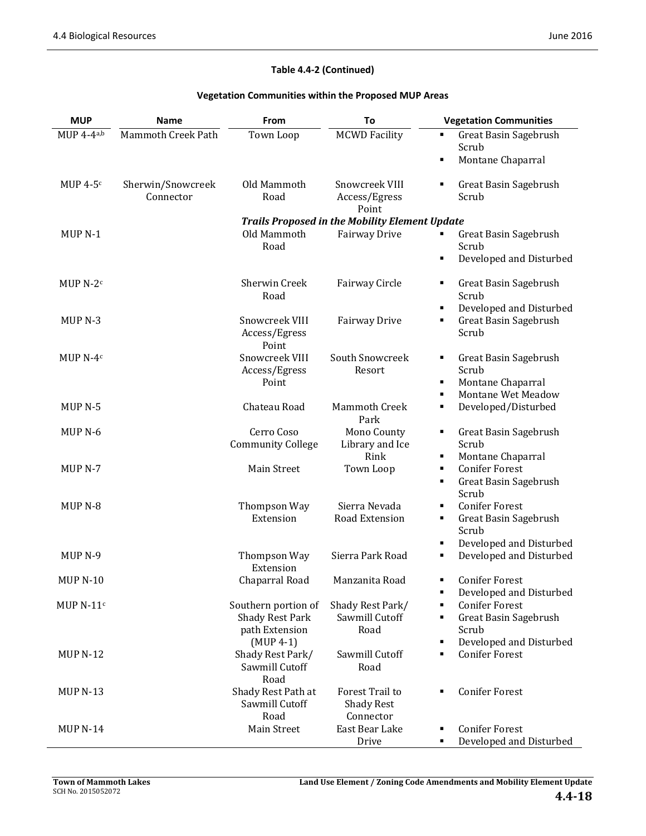#### **Table 4.4‐2 (Continued)**

#### **Vegetation Communities within the Proposed MUP Areas**

| <b>MUP</b>          | <b>Name</b>        | From                            | To                                                    | <b>Vegetation Communities</b>                              |
|---------------------|--------------------|---------------------------------|-------------------------------------------------------|------------------------------------------------------------|
| MUP $4-4a,b$        | Mammoth Creek Path | Town Loop                       | <b>MCWD Facility</b>                                  | <b>Great Basin Sagebrush</b><br>٠                          |
|                     |                    |                                 |                                                       | Scrub                                                      |
|                     |                    |                                 |                                                       | Montane Chaparral<br>٠                                     |
| MUP $4-5$ c         | Sherwin/Snowcreek  | Old Mammoth                     | Snowcreek VIII                                        | Great Basin Sagebrush<br>٠                                 |
|                     | Connector          | Road                            | Access/Egress                                         | Scrub                                                      |
|                     |                    |                                 | Point                                                 |                                                            |
|                     |                    |                                 | <b>Trails Proposed in the Mobility Element Update</b> |                                                            |
| MUP <sub>N-1</sub>  |                    | Old Mammoth                     | Fairway Drive                                         | Great Basin Sagebrush                                      |
|                     |                    | Road                            |                                                       | Scrub                                                      |
|                     |                    |                                 |                                                       | Developed and Disturbed<br>٠                               |
| MUP N-2c            |                    | Sherwin Creek                   | Fairway Circle                                        | Great Basin Sagebrush<br>٠                                 |
|                     |                    | Road                            |                                                       | Scrub                                                      |
|                     |                    |                                 |                                                       | Developed and Disturbed<br>٠                               |
| MUP <sub>N</sub> -3 |                    | Snowcreek VIII                  | Fairway Drive                                         | Great Basin Sagebrush<br>٠                                 |
|                     |                    | Access/Egress                   |                                                       | Scrub                                                      |
|                     |                    | Point                           |                                                       |                                                            |
| MUP <sub>N-4c</sub> |                    | Snowcreek VIII<br>Access/Egress | South Snowcreek<br>Resort                             | Great Basin Sagebrush<br>п<br>Scrub                        |
|                     |                    | Point                           |                                                       | Montane Chaparral<br>٠                                     |
|                     |                    |                                 |                                                       | Montane Wet Meadow<br>٠                                    |
| MUP <sub>N-5</sub>  |                    | Chateau Road                    | Mammoth Creek                                         | Developed/Disturbed<br>٠                                   |
|                     |                    |                                 | Park                                                  |                                                            |
| MUP <sub>N</sub> -6 |                    | Cerro Coso                      | Mono County                                           | Great Basin Sagebrush<br>٠                                 |
|                     |                    | <b>Community College</b>        | Library and Ice                                       | Scrub                                                      |
| MUP <sub>N</sub> -7 |                    | Main Street                     | Rink<br>Town Loop                                     | Montane Chaparral<br>٠<br><b>Conifer Forest</b><br>٠       |
|                     |                    |                                 |                                                       | Great Basin Sagebrush<br>٠                                 |
|                     |                    |                                 |                                                       | Scrub                                                      |
| MUP <sub>N</sub> -8 |                    | Thompson Way                    | Sierra Nevada                                         | <b>Conifer Forest</b><br>٠                                 |
|                     |                    | Extension                       | Road Extension                                        | Great Basin Sagebrush<br>٠                                 |
|                     |                    |                                 |                                                       | Scrub                                                      |
|                     |                    |                                 |                                                       | Developed and Disturbed<br>٠                               |
| MUP <sub>N-9</sub>  |                    | Thompson Way<br>Extension       | Sierra Park Road                                      | Developed and Disturbed<br>٠                               |
| <b>MUP N-10</b>     |                    | Chaparral Road                  | Manzanita Road                                        | <b>Conifer Forest</b><br>٠                                 |
|                     |                    |                                 |                                                       | Developed and Disturbed<br>٠                               |
| MUP $N-11c$         |                    | Southern portion of             | Shady Rest Park/                                      | <b>Conifer Forest</b><br>٠                                 |
|                     |                    | <b>Shady Rest Park</b>          | Sawmill Cutoff                                        | Great Basin Sagebrush<br>٠                                 |
|                     |                    | path Extension                  | Road                                                  | Scrub                                                      |
| <b>MUP N-12</b>     |                    | $(MUP 4-1)$<br>Shady Rest Park/ | Sawmill Cutoff                                        | Developed and Disturbed<br>٠<br><b>Conifer Forest</b><br>٠ |
|                     |                    | Sawmill Cutoff                  | Road                                                  |                                                            |
|                     |                    | Road                            |                                                       |                                                            |
| <b>MUP N-13</b>     |                    | Shady Rest Path at              | Forest Trail to                                       | <b>Conifer Forest</b>                                      |
|                     |                    | Sawmill Cutoff                  | <b>Shady Rest</b>                                     |                                                            |
|                     |                    | Road                            | Connector                                             |                                                            |
| <b>MUP N-14</b>     |                    | Main Street                     | East Bear Lake                                        | <b>Conifer Forest</b>                                      |
|                     |                    |                                 | Drive                                                 | Developed and Disturbed<br>٠                               |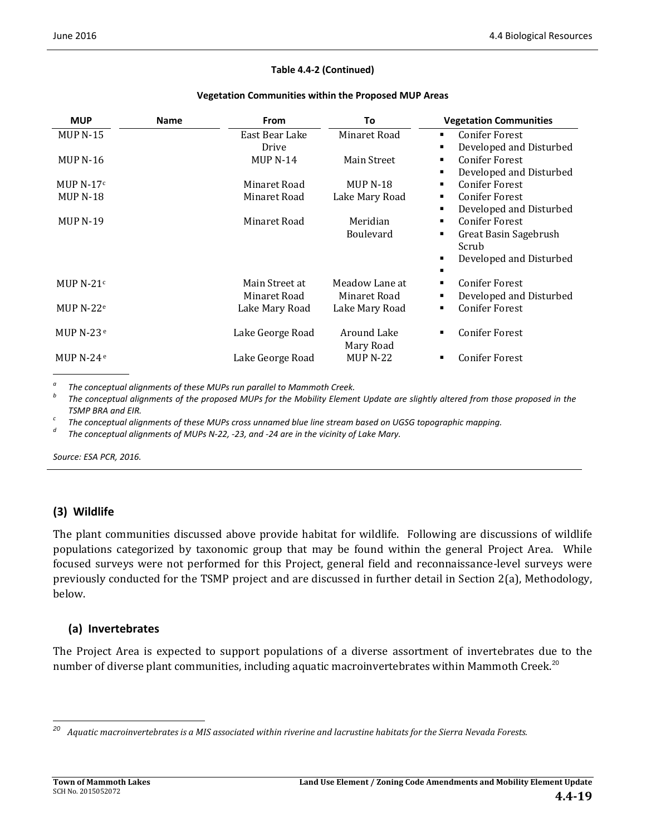#### **Table 4.4‐2 (Continued)**

| <b>MUP</b>       | <b>Name</b> | <b>From</b>                    | To                             | <b>Vegetation Communities</b>                                                                |
|------------------|-------------|--------------------------------|--------------------------------|----------------------------------------------------------------------------------------------|
| $MUPN-15$        |             | East Bear Lake<br>Drive        | Minaret Road                   | <b>Conifer Forest</b><br>٠<br>Developed and Disturbed                                        |
| MUP $N-16$       |             | MUP $N-14$                     | Main Street                    | <b>Conifer Forest</b><br>٠<br>Developed and Disturbed                                        |
| MUP $N-17c$      |             | Minaret Road                   | <b>MUP N-18</b>                | <b>Conifer Forest</b><br>٠                                                                   |
| <b>MUP N-18</b>  |             | Minaret Road                   | Lake Mary Road                 | <b>Conifer Forest</b><br>٠<br>Developed and Disturbed<br>٠                                   |
| <b>MUP N-19</b>  |             | Minaret Road                   | Meridian<br><b>Boulevard</b>   | <b>Conifer Forest</b><br>٠<br>Great Basin Sagebrush<br>٠<br>Scrub<br>Developed and Disturbed |
| MUP N-21 $\circ$ |             | Main Street at<br>Minaret Road | Meadow Lane at<br>Minaret Road | <b>Conifer Forest</b><br>٠<br>Developed and Disturbed<br>٠                                   |
| MUP $N-22e$      |             | Lake Mary Road                 | Lake Mary Road                 | <b>Conifer Forest</b><br>٠                                                                   |
| MUP $N-23e$      |             | Lake George Road               | Around Lake<br>Mary Road       | <b>Conifer Forest</b>                                                                        |
| MUP $N-24e$      |             | Lake George Road               | $MUP N-22$                     | <b>Conifer Forest</b><br>٠                                                                   |

The conceptual alignments of these MUPs run parallel to Mammoth Creek.<br>The conceptual alignments of the proposed MUPs for the Mobility Element Update are slightly altered from those proposed in the

TSMP BRA and EIR.<br>
<sup>c</sup> The conceptual alignments of these MUPs cross unnamed blue line stream based on UGSG topographic mapping.<br>
<sup>d</sup> The conceptual alignments of MUPs N-22, -23, and -24 are in the vicinity of Lake Mary.

*Source: ESA PCR, 2016.*

#### **(3) Wildlife**

The plant communities discussed above provide habitat for wildlife. Following are discussions of wildlife populations categorized by taxonomic group that may be found within the general Project Area. While focused surveys were not performed for this Project, general field and reconnaissance-level surveys were previously conducted for the TSMP project and are discussed in further detail in Section 2(a), Methodology, below. 

#### **(a) Invertebrates**

 

The Project Area is expected to support populations of a diverse assortment of invertebrates due to the number of diverse plant communities, including aquatic macroinvertebrates within Mammoth Creek.<sup>20</sup>

<sup>&</sup>lt;sup>20</sup> Aquatic macroinvertebrates is a MIS associated within riverine and lacrustine habitats for the Sierra Nevada Forests.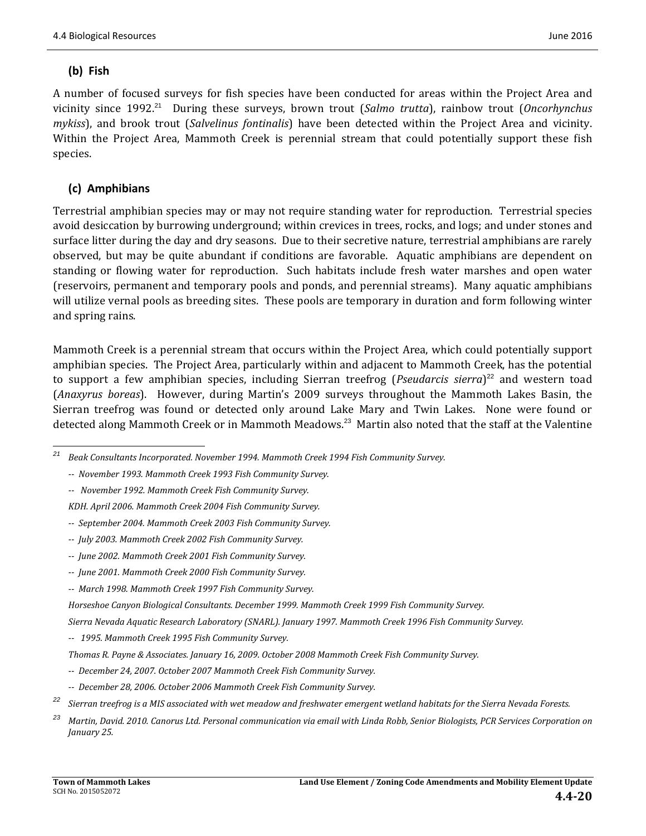### **(b) Fish**

A number of focused surveys for fish species have been conducted for areas within the Project Area and vicinity since 1992.<sup>21</sup> During these surveys, brown trout (*Salmo trutta*), rainbow trout (*Oncorhynchus mykiss*), and brook trout (*Salvelinus fontinalis*) have been detected within the Project Area and vicinity. Within the Project Area, Mammoth Creek is perennial stream that could potentially support these fish species. 

### **(c) Amphibians**

Terrestrial amphibian species may or may not require standing water for reproduction. Terrestrial species avoid desiccation by burrowing underground; within crevices in trees, rocks, and logs; and under stones and surface litter during the day and dry seasons. Due to their secretive nature, terrestrial amphibians are rarely observed, but may be quite abundant if conditions are favorable. Aquatic amphibians are dependent on standing or flowing water for reproduction. Such habitats include fresh water marshes and open water (reservoirs, permanent and temporary pools and ponds, and perennial streams). Many aquatic amphibians will utilize vernal pools as breeding sites. These pools are temporary in duration and form following winter and spring rains.

Mammoth Creek is a perennial stream that occurs within the Project Area, which could potentially support amphibian species. The Project Area, particularly within and adjacent to Mammoth Creek, has the potential to support a few amphibian species, including Sierran treefrog (*Pseudarcis sierra*)<sup>22</sup> and western toad (*Anaxyrus boreas*). However, during Martin's 2009 surveys throughout the Mammoth Lakes Basin, the Sierran treefrog was found or detected only around Lake Mary and Twin Lakes. None were found or detected along Mammoth Creek or in Mammoth Meadows.<sup>23</sup> Martin also noted that the staff at the Valentine

 *‐‐ November 1992. Mammoth Creek Fish Community Survey.*

*KDH. April 2006. Mammoth Creek 2004 Fish Community Survey.*

- *‐‐ September 2004. Mammoth Creek 2003 Fish Community Survey.*
- *‐‐ July 2003. Mammoth Creek 2002 Fish Community Survey.*
- *‐‐ June 2002. Mammoth Creek 2001 Fish Community Survey.*
- *‐‐ June 2001. Mammoth Creek 2000 Fish Community Survey.*
- *‐‐ March 1998. Mammoth Creek 1997 Fish Community Survey.*

- *Sierra Nevada Aquatic Research Laboratory (SNARL). January 1997. Mammoth Creek 1996 Fish Community Survey.*
- *‐‐ 1995. Mammoth Creek 1995 Fish Community Survey.*
- *Thomas R. Payne & Associates. January 16, 2009. October 2008 Mammoth Creek Fish Community Survey.*
- *‐‐ December 24, 2007. October 2007 Mammoth Creek Fish Community Survey.*
- *‐‐ December 28, 2006. October 2006 Mammoth Creek Fish Community Survey.*
- <sup>22</sup> Sierran treefrog is a MIS associated with wet meadow and freshwater emergent wetland habitats for the Sierra Nevada Forests.
- <sup>23</sup> Martin, David. 2010. Canorus Ltd. Personal communication via email with Linda Robb, Senior Biologists, PCR Services Corporation on *January 25.*

 *<sup>21</sup> Beak Consultants Incorporated. November 1994. Mammoth Creek 1994 Fish Community Survey.*

 *<sup>‐‐</sup> November 1993. Mammoth Creek 1993 Fish Community Survey.*

*Horseshoe Canyon Biological Consultants. December 1999. Mammoth Creek 1999 Fish Community Survey.*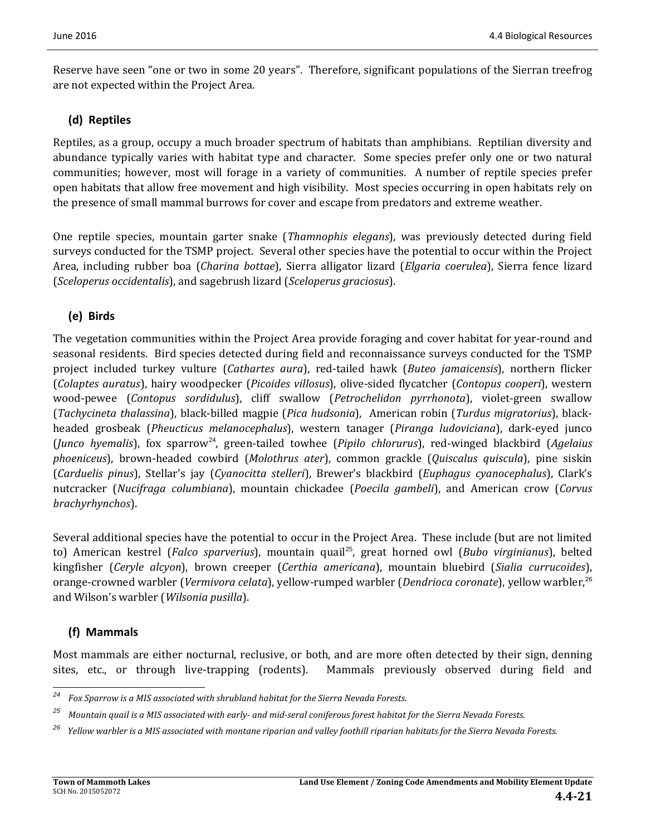Reserve have seen "one or two in some 20 years". Therefore, significant populations of the Sierran treefrog are not expected within the Project Area.

### **(d) Reptiles**

Reptiles, as a group, occupy a much broader spectrum of habitats than amphibians. Reptilian diversity and abundance typically varies with habitat type and character. Some species prefer only one or two natural communities; however, most will forage in a variety of communities. A number of reptile species prefer open habitats that allow free movement and high visibility. Most species occurring in open habitats rely on the presence of small mammal burrows for cover and escape from predators and extreme weather.

One reptile species, mountain garter snake (*Thamnophis elegans*), was previously detected during field surveys conducted for the TSMP project. Several other species have the potential to occur within the Project Area, including rubber boa (*Charina bottae*), Sierra alligator lizard (*Elgaria coerulea*), Sierra fence lizard (*Sceloperus occidentalis*), and sagebrush lizard (*Sceloperus graciosus*). 

### **(e) Birds**

The vegetation communities within the Project Area provide foraging and cover habitat for year-round and seasonal residents. Bird species detected during field and reconnaissance surveys conducted for the TSMP project included turkey vulture (*Cathartes aura*), red‐tailed hawk (*Buteo jamaicensis*), northern flicker (*Colaptes auratus*), hairy woodpecker (*Picoides villosus*), olive‐sided flycatcher (*Contopus cooperi*), western wood-pewee (*Contopus sordidulus*), cliff swallow (*Petrochelidon pyrrhonota*), violet-green swallow (*Tachycineta thalassina*), black‐billed magpie (*Pica hudsonia*), American robin (*Turdus migratorius*), black‐ headed grosbeak (*Pheucticus melanocephalus*), western tanager (*Piranga ludoviciana*), dark‐eyed junco (*Junco hyemalis*), fox sparrow<sup>24</sup>, green-tailed towhee (*Pipilo chlorurus*), red-winged blackbird (*Agelaius phoeniceus*), brown‐headed cowbird (*Molothrus ater*), common grackle (*Quiscalus quiscula*), pine siskin (*Carduelis pinus*), Stellar's jay (*Cyanocitta stelleri*), Brewer's blackbird (*Euphagus cyanocephalus*), Clark's nutcracker (*Nucifraga columbiana*), mountain chickadee (*Poecila gambeli*), and American crow (*Corvus brachyrhynchos*). 

Several additional species have the potential to occur in the Project Area. These include (but are not limited to) American kestrel (*Falco sparverius*), mountain quail<sup>25</sup>, great horned owl (*Bubo virginianus*), belted kingfisher (*Ceryle alcyon*), brown creeper (*Certhia americana*), mountain bluebird (*Sialia currucoides*), orange-crowned warbler (*Vermivora celata*), vellow-rumped warbler (*Dendrioca coronate*), vellow warbler,<sup>26</sup> and Wilson's warbler (*Wilsonia pusilla*).

### **(f) Mammals**

<u> 1989 - Johann Stein, fransk politiker (d. 1989)</u>

Most mammals are either nocturnal, reclusive, or both, and are more often detected by their sign, denning sites, etc., or through live-trapping (rodents). Mammals previously observed during field and

*<sup>24</sup> Fox Sparrow is a MIS associated with shrubland habitat for the Sierra Nevada Forests.*

<sup>&</sup>lt;sup>25</sup> Mountain quail is a MIS associated with early- and mid-seral coniferous forest habitat for the Sierra Nevada Forests.

<sup>&</sup>lt;sup>26</sup> Yellow warbler is a MIS associated with montane riparian and valley foothill riparian habitats for the Sierra Nevada Forests.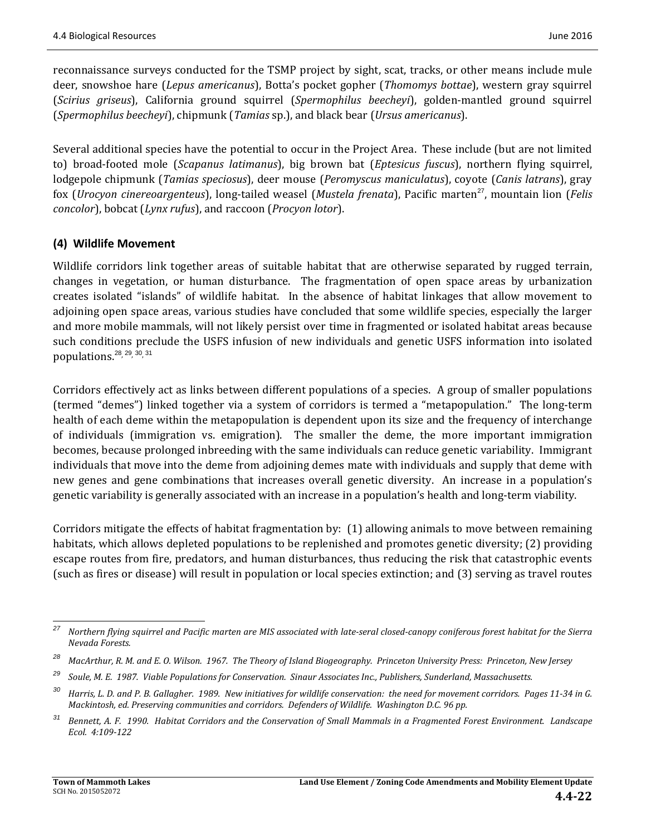reconnaissance surveys conducted for the TSMP project by sight, scat, tracks, or other means include mule deer, snowshoe hare (*Lepus americanus*), Botta's pocket gopher (*Thomomys bottae*), western gray squirrel (*Scirius griseus*), California ground squirrel (*Spermophilus beecheyi*), golden‐mantled ground squirrel (*Spermophilus beecheyi*), chipmunk (*Tamias* sp.), and black bear (*Ursus americanus*). 

Several additional species have the potential to occur in the Project Area. These include (but are not limited to) broad-footed mole (*Scapanus latimanus*), big brown bat (*Eptesicus fuscus*), northern flying squirrel, lodgepole chipmunk (*Tamias speciosus*), deer mouse (*Peromyscus maniculatus*), coyote (*Canis latrans*), gray fox (*Urocyon cinereoargenteus*), long‐tailed weasel (*Mustela frenata*), Pacific marten<sup>27</sup>, mountain lion (*Felis concolor*), bobcat (*Lynx rufus*), and raccoon (*Procyon lotor*).

### **(4) Wildlife Movement**

Wildlife corridors link together areas of suitable habitat that are otherwise separated by rugged terrain, changes in vegetation, or human disturbance. The fragmentation of open space areas by urbanization creates isolated "islands" of wildlife habitat. In the absence of habitat linkages that allow movement to adjoining open space areas, various studies have concluded that some wildlife species, especially the larger and more mobile mammals, will not likely persist over time in fragmented or isolated habitat areas because such conditions preclude the USFS infusion of new individuals and genetic USFS information into isolated populations.<sup>28, 29, 30, 31</sup>

Corridors effectively act as links between different populations of a species. A group of smaller populations (termed "demes") linked together via a system of corridors is termed a "metapopulation." The long-term health of each deme within the metapopulation is dependent upon its size and the frequency of interchange of individuals (immigration vs. emigration). The smaller the deme, the more important immigration becomes, because prolonged inbreeding with the same individuals can reduce genetic variability. Immigrant individuals that move into the deme from adjoining demes mate with individuals and supply that deme with new genes and gene combinations that increases overall genetic diversity. An increase in a population's genetic variability is generally associated with an increase in a population's health and long-term viability.

Corridors mitigate the effects of habitat fragmentation by:  $(1)$  allowing animals to move between remaining habitats, which allows depleted populations to be replenished and promotes genetic diversity; (2) providing escape routes from fire, predators, and human disturbances, thus reducing the risk that catastrophic events (such as fires or disease) will result in population or local species extinction; and (3) serving as travel routes

 <sup>27</sup> Northern flying squirrel and Pacific marten are MIS associated with late-seral closed-canopy coniferous forest habitat for the Sierra *Nevada Forests.*

<sup>&</sup>lt;sup>28</sup> MacArthur, R. M. and E. O. Wilson. 1967. The Theory of Island Biogeography. Princeton University Press: Princeton, New Jersey

<sup>&</sup>lt;sup>29</sup> Soule, M. E. 1987. Viable Populations for Conservation. Sinaur Associates Inc., Publishers, Sunderland, Massachusetts.

<sup>&</sup>lt;sup>30</sup> Harris, L. D. and P. B. Gallagher. 1989. New initiatives for wildlife conservation: the need for movement corridors. Pages 11-34 in G. *Mackintosh, ed. Preserving communities and corridors. Defenders of Wildlife. Washington D.C. 96 pp.*

Bennett, A. F. 1990. Habitat Corridors and the Conservation of Small Mammals in a Fragmented Forest Environment. Landscape *Ecol. 4:109‐122*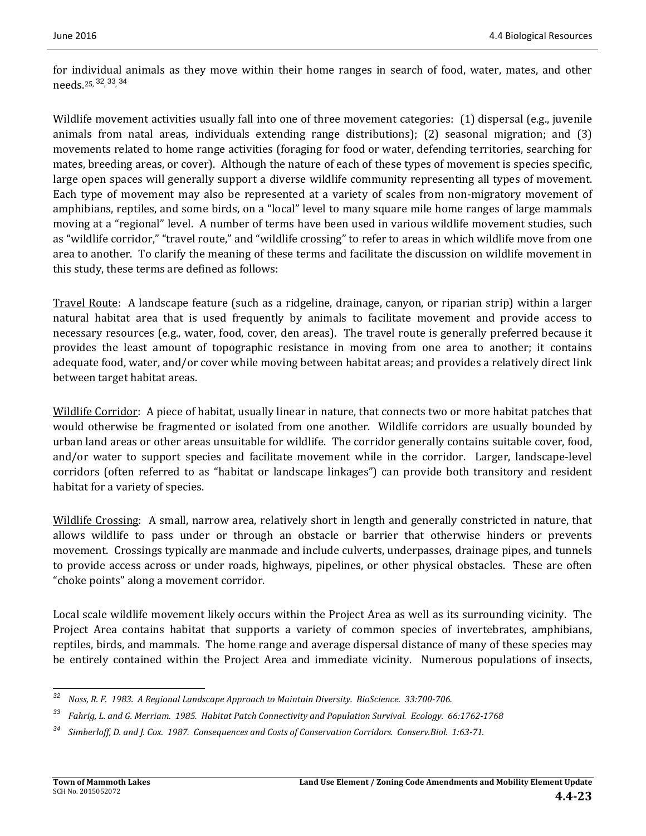for individual animals as they move within their home ranges in search of food, water, mates, and other needs.25, <sup>32</sup>, 33, <sup>34</sup> 

Wildlife movement activities usually fall into one of three movement categories:  $(1)$  dispersal (e.g., juvenile animals from natal areas, individuals extending range distributions); (2) seasonal migration; and  $(3)$ movements related to home range activities (foraging for food or water, defending territories, searching for mates, breeding areas, or cover). Although the nature of each of these types of movement is species specific, large open spaces will generally support a diverse wildlife community representing all types of movement. Each type of movement may also be represented at a variety of scales from non-migratory movement of amphibians, reptiles, and some birds, on a "local" level to many square mile home ranges of large mammals moving at a "regional" level. A number of terms have been used in various wildlife movement studies, such as "wildlife corridor," "travel route," and "wildlife crossing" to refer to areas in which wildlife move from one area to another. To clarify the meaning of these terms and facilitate the discussion on wildlife movement in this study, these terms are defined as follows:

Travel Route: A landscape feature (such as a ridgeline, drainage, canyon, or riparian strip) within a larger natural habitat area that is used frequently by animals to facilitate movement and provide access to necessary resources (e.g., water, food, cover, den areas). The travel route is generally preferred because it provides the least amount of topographic resistance in moving from one area to another; it contains adequate food, water, and/or cover while moving between habitat areas; and provides a relatively direct link between target habitat areas.

Wildlife Corridor: A piece of habitat, usually linear in nature, that connects two or more habitat patches that would otherwise be fragmented or isolated from one another. Wildlife corridors are usually bounded by urban land areas or other areas unsuitable for wildlife. The corridor generally contains suitable cover, food, and/or water to support species and facilitate movement while in the corridor. Larger, landscape-level corridors (often referred to as "habitat or landscape linkages") can provide both transitory and resident habitat for a variety of species.

Wildlife Crossing: A small, narrow area, relatively short in length and generally constricted in nature, that allows wildlife to pass under or through an obstacle or barrier that otherwise hinders or prevents movement. Crossings typically are manmade and include culverts, underpasses, drainage pipes, and tunnels to provide access across or under roads, highways, pipelines, or other physical obstacles. These are often "choke points" along a movement corridor.

Local scale wildlife movement likely occurs within the Project Area as well as its surrounding vicinity. The Project Area contains habitat that supports a variety of common species of invertebrates, amphibians, reptiles, birds, and mammals. The home range and average dispersal distance of many of these species may be entirely contained within the Project Area and immediate vicinity. Numerous populations of insects,

 <sup>32</sup> Noss, R. F. 1983. A Regional Landscape Approach to Maintain Diversity. BioScience. 33:700-706.

<sup>&</sup>lt;sup>33</sup> Fahrig, L. and G. Merriam. 1985. Habitat Patch Connectivity and Population Survival. Ecology. 66:1762-1768

<sup>&</sup>lt;sup>34</sup> Simberloff, D. and J. Cox. 1987. Consequences and Costs of Conservation Corridors. Conserv.Biol. 1:63-71.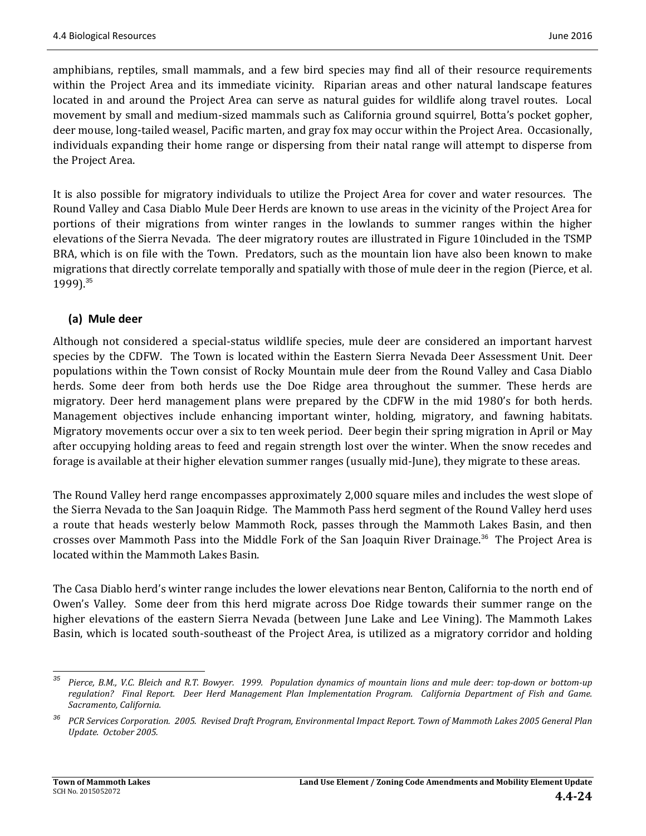amphibians, reptiles, small mammals, and a few bird species may find all of their resource requirements within the Project Area and its immediate vicinity. Riparian areas and other natural landscape features located in and around the Project Area can serve as natural guides for wildlife along travel routes. Local movement by small and medium-sized mammals such as California ground squirrel, Botta's pocket gopher, deer mouse, long-tailed weasel, Pacific marten, and gray fox may occur within the Project Area. Occasionally, individuals expanding their home range or dispersing from their natal range will attempt to disperse from the Project Area.

It is also possible for migratory individuals to utilize the Project Area for cover and water resources. The Round Valley and Casa Diablo Mule Deer Herds are known to use areas in the vicinity of the Project Area for portions of their migrations from winter ranges in the lowlands to summer ranges within the higher elevations of the Sierra Nevada. The deer migratory routes are illustrated in Figure 10included in the TSMP BRA, which is on file with the Town. Predators, such as the mountain lion have also been known to make migrations that directly correlate temporally and spatially with those of mule deer in the region (Pierce, et al. 1999).<sup>35</sup>

### **(a) Mule deer**

Although not considered a special-status wildlife species, mule deer are considered an important harvest species by the CDFW. The Town is located within the Eastern Sierra Nevada Deer Assessment Unit. Deer populations within the Town consist of Rocky Mountain mule deer from the Round Valley and Casa Diablo herds. Some deer from both herds use the Doe Ridge area throughout the summer. These herds are migratory. Deer herd management plans were prepared by the CDFW in the mid 1980's for both herds. Management objectives include enhancing important winter, holding, migratory, and fawning habitats. Migratory movements occur over a six to ten week period. Deer begin their spring migration in April or May after occupying holding areas to feed and regain strength lost over the winter. When the snow recedes and forage is available at their higher elevation summer ranges (usually mid-June), they migrate to these areas.

The Round Valley herd range encompasses approximately 2,000 square miles and includes the west slope of the Sierra Nevada to the San Joaquin Ridge. The Mammoth Pass herd segment of the Round Valley herd uses a route that heads westerly below Mammoth Rock, passes through the Mammoth Lakes Basin, and then crosses over Mammoth Pass into the Middle Fork of the San Joaquin River Drainage.<sup>36</sup> The Project Area is located within the Mammoth Lakes Basin.

The Casa Diablo herd's winter range includes the lower elevations near Benton, California to the north end of Owen's Valley. Some deer from this herd migrate across Doe Ridge towards their summer range on the higher elevations of the eastern Sierra Nevada (between June Lake and Lee Vining). The Mammoth Lakes Basin, which is located south-southeast of the Project Area, is utilized as a migratory corridor and holding

 

<sup>&</sup>lt;sup>35</sup> Pierce, B.M., V.C. Bleich and R.T. Bowyer. 1999. Population dynamics of mountain lions and mule deer: top-down or bottom-up regulation? Final Report. Deer Herd Management Plan Implementation Program. California Department of Fish and Game. *Sacramento, California.*

<sup>&</sup>lt;sup>36</sup> PCR Services Corporation. 2005. Revised Draft Program, Environmental Impact Report. Town of Mammoth Lakes 2005 General Plan *Update. October 2005.*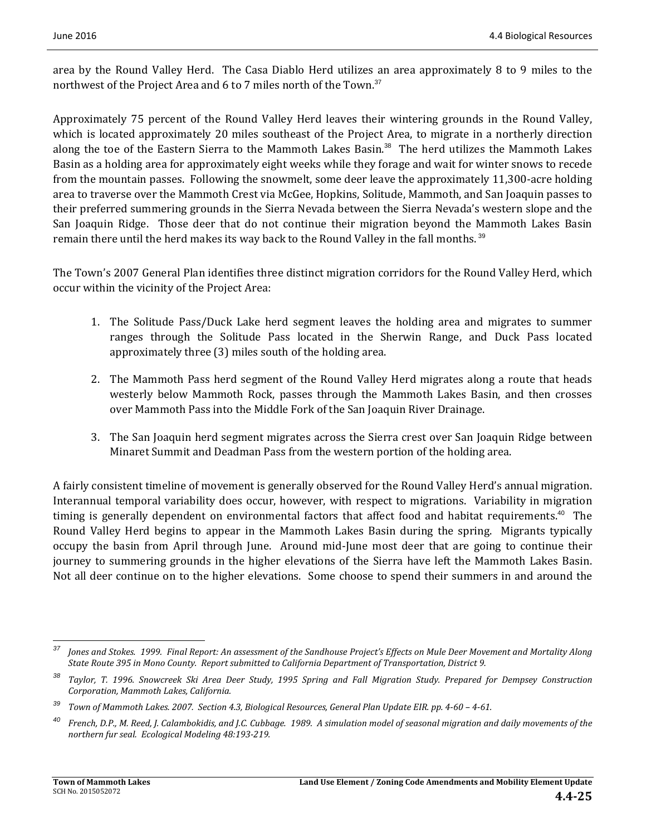area by the Round Valley Herd. The Casa Diablo Herd utilizes an area approximately  $8$  to  $9$  miles to the northwest of the Project Area and 6 to 7 miles north of the Town.<sup>37</sup>

Approximately 75 percent of the Round Valley Herd leaves their wintering grounds in the Round Valley, which is located approximately 20 miles southeast of the Project Area, to migrate in a northerly direction along the toe of the Eastern Sierra to the Mammoth Lakes Basin. $38$  The herd utilizes the Mammoth Lakes Basin as a holding area for approximately eight weeks while they forage and wait for winter snows to recede from the mountain passes. Following the snowmelt, some deer leave the approximately 11,300-acre holding area to traverse over the Mammoth Crest via McGee, Hopkins, Solitude, Mammoth, and San Joaquin passes to their preferred summering grounds in the Sierra Nevada between the Sierra Nevada's western slope and the San Joaquin Ridge. Those deer that do not continue their migration beyond the Mammoth Lakes Basin remain there until the herd makes its way back to the Round Valley in the fall months.<sup>39</sup>

The Town's 2007 General Plan identifies three distinct migration corridors for the Round Valley Herd, which occur within the vicinity of the Project Area:

- 1. The Solitude Pass/Duck Lake herd segment leaves the holding area and migrates to summer ranges through the Solitude Pass located in the Sherwin Range, and Duck Pass located approximately three (3) miles south of the holding area.
- 2. The Mammoth Pass herd segment of the Round Valley Herd migrates along a route that heads westerly below Mammoth Rock, passes through the Mammoth Lakes Basin, and then crosses over Mammoth Pass into the Middle Fork of the San Joaquin River Drainage.
- 3. The San Joaquin herd segment migrates across the Sierra crest over San Joaquin Ridge between Minaret Summit and Deadman Pass from the western portion of the holding area.

A fairly consistent timeline of movement is generally observed for the Round Valley Herd's annual migration. Interannual temporal variability does occur, however, with respect to migrations. Variability in migration timing is generally dependent on environmental factors that affect food and habitat requirements.<sup>40</sup> The Round Valley Herd begins to appear in the Mammoth Lakes Basin during the spring. Migrants typically occupy the basin from April through June. Around mid-June most deer that are going to continue their journey to summering grounds in the higher elevations of the Sierra have left the Mammoth Lakes Basin. Not all deer continue on to the higher elevations. Some choose to spend their summers in and around the

<u> 1989 - Johann Stein, fransk politiker (d. 1989)</u>

<sup>&</sup>lt;sup>37</sup> Jones and Stokes. 1999. Final Report: An assessment of the Sandhouse Project's Effects on Mule Deer Movement and Mortality Along *State Route 395 in Mono County. Report submitted to California Department of Transportation, District 9.*

Taylor, T. 1996. Snowcreek Ski Area Deer Study, 1995 Spring and Fall Migration Study. Prepared for Dempsey Construction *Corporation, Mammoth Lakes, California.*

<sup>&</sup>lt;sup>39</sup> Town of Mammoth Lakes. 2007. Section 4.3, Biological Resources, General Plan Update EIR. pp. 4-60 - 4-61.

<sup>&</sup>lt;sup>40</sup> French, D.P., M. Reed, J. Calambokidis, and J.C. Cubbage. 1989. A simulation model of seasonal migration and daily movements of the *northern fur seal. Ecological Modeling 48:193‐219.*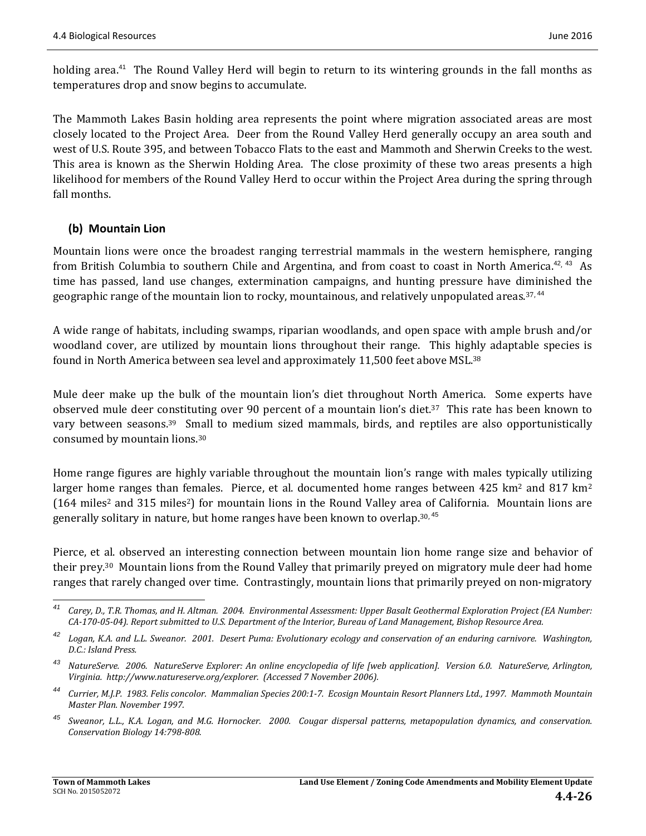holding area.<sup>41</sup> The Round Valley Herd will begin to return to its wintering grounds in the fall months as temperatures drop and snow begins to accumulate.

The Mammoth Lakes Basin holding area represents the point where migration associated areas are most closely located to the Project Area. Deer from the Round Valley Herd generally occupy an area south and west of U.S. Route 395, and between Tobacco Flats to the east and Mammoth and Sherwin Creeks to the west. This area is known as the Sherwin Holding Area. The close proximity of these two areas presents a high likelihood for members of the Round Valley Herd to occur within the Project Area during the spring through fall months.

### **(b) Mountain Lion**

Mountain lions were once the broadest ranging terrestrial mammals in the western hemisphere, ranging from British Columbia to southern Chile and Argentina, and from coast to coast in North America.<sup>42, 43</sup> As time has passed, land use changes, extermination campaigns, and hunting pressure have diminished the geographic range of the mountain lion to rocky, mountainous, and relatively unpopulated areas.<sup>37, 44</sup>

A wide range of habitats, including swamps, riparian woodlands, and open space with ample brush and/or woodland cover, are utilized by mountain lions throughout their range. This highly adaptable species is found in North America between sea level and approximately 11,500 feet above MSL.<sup>38</sup>

Mule deer make up the bulk of the mountain lion's diet throughout North America. Some experts have observed mule deer constituting over 90 percent of a mountain lion's diet.<sup>37</sup> This rate has been known to vary between seasons.<sup>39</sup> Small to medium sized mammals, birds, and reptiles are also opportunistically consumed by mountain lions.<sup>30</sup>

Home range figures are highly variable throughout the mountain lion's range with males typically utilizing larger home ranges than females. Pierce, et al. documented home ranges between  $425 \text{ km}^2$  and  $817 \text{ km}^2$ (164 miles<sup>2</sup> and 315 miles<sup>2</sup>) for mountain lions in the Round Valley area of California. Mountain lions are generally solitary in nature, but home ranges have been known to overlap.<sup>30, 45</sup>

Pierce, et al. observed an interesting connection between mountain lion home range size and behavior of their prey.<sup>30</sup> Mountain lions from the Round Valley that primarily preyed on migratory mule deer had home ranges that rarely changed over time. Contrastingly, mountain lions that primarily preyed on non-migratory

<sup>&</sup>lt;u> 1989 - Johann Stein, fransk politiker (d. 1989)</u> <sup>41</sup> Carey, D., T.R. Thomas, and H. Altman. 2004. Environmental Assessment: Upper Basalt Geothermal Exploration Project (EA Number: CA-170-05-04). Report submitted to U.S. Department of the Interior, Bureau of Land Management, Bishop Resource Area.

Logan, K.A. and L.L. Sweanor. 2001. Desert Puma: Evolutionary ecology and conservation of an enduring carnivore. Washington, *D.C.: Island Press.*

<sup>&</sup>lt;sup>43</sup> NatureServe. 2006. NatureServe Explorer: An online encyclopedia of life [web application]. Version 6.0. NatureServe, Arlington, *Virginia. http://www.natureserve.org/explorer. (Accessed 7 November 2006).*

Currier, M.J.P. 1983. Felis concolor. Mammalian Species 200:1-7. Ecosign Mountain Resort Planners Ltd., 1997. Mammoth Mountain *Master Plan. November 1997.*

Sweanor, L.L., K.A. Logan, and M.G. Hornocker. 2000. Cougar dispersal patterns, metapopulation dynamics, and conservation. *Conservation Biology 14:798‐808.*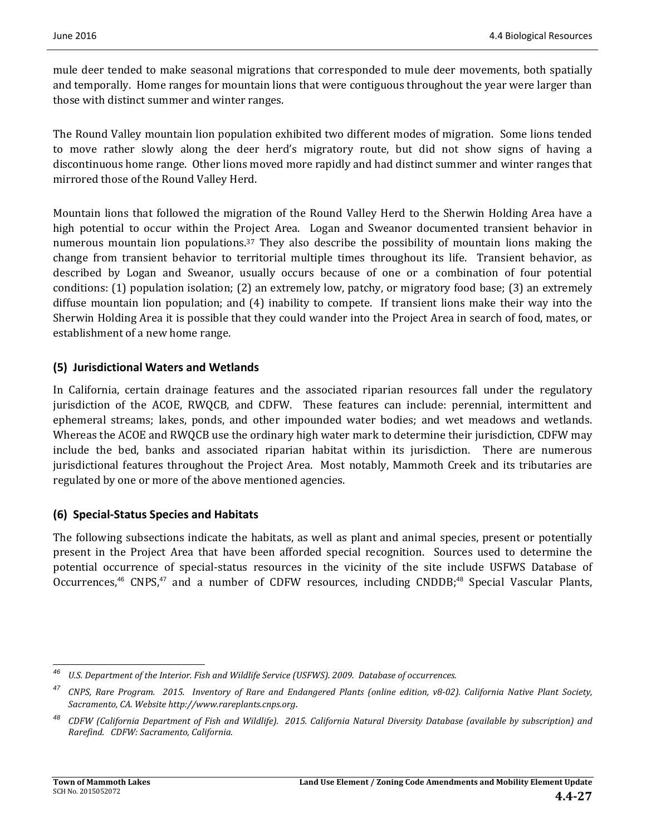mule deer tended to make seasonal migrations that corresponded to mule deer movements, both spatially and temporally. Home ranges for mountain lions that were contiguous throughout the year were larger than those with distinct summer and winter ranges.

The Round Valley mountain lion population exhibited two different modes of migration. Some lions tended to move rather slowly along the deer herd's migratory route, but did not show signs of having a discontinuous home range. Other lions moved more rapidly and had distinct summer and winter ranges that mirrored those of the Round Valley Herd.

Mountain lions that followed the migration of the Round Valley Herd to the Sherwin Holding Area have a high potential to occur within the Project Area. Logan and Sweanor documented transient behavior in numerous mountain lion populations.<sup>37</sup> They also describe the possibility of mountain lions making the change from transient behavior to territorial multiple times throughout its life. Transient behavior, as described by Logan and Sweanor, usually occurs because of one or a combination of four potential conditions:  $(1)$  population isolation;  $(2)$  an extremely low, patchy, or migratory food base;  $(3)$  an extremely diffuse mountain lion population; and  $(4)$  inability to compete. If transient lions make their way into the Sherwin Holding Area it is possible that they could wander into the Project Area in search of food, mates, or establishment of a new home range.

### **(5) Jurisdictional Waters and Wetlands**

In California, certain drainage features and the associated riparian resources fall under the regulatory jurisdiction of the ACOE, RWQCB, and CDFW. These features can include: perennial, intermittent and ephemeral streams; lakes, ponds, and other impounded water bodies; and wet meadows and wetlands. Whereas the ACOE and RWQCB use the ordinary high water mark to determine their jurisdiction, CDFW may include the bed, banks and associated riparian habitat within its jurisdiction. There are numerous jurisdictional features throughout the Project Area. Most notably, Mammoth Creek and its tributaries are regulated by one or more of the above mentioned agencies.

### **(6) Special‐Status Species and Habitats**

The following subsections indicate the habitats, as well as plant and animal species, present or potentially present in the Project Area that have been afforded special recognition. Sources used to determine the potential occurrence of special-status resources in the vicinity of the site include USFWS Database of Occurrences,<sup>46</sup> CNPS,<sup>47</sup> and a number of CDFW resources, including CNDDB;<sup>48</sup> Special Vascular Plants,

 *<sup>46</sup> U.S. Department of the Interior. Fish and Wildlife Service (USFWS). 2009. Database of occurrences.*

<sup>&</sup>lt;sup>47</sup> CNPS, Rare Program. 2015. Inventory of Rare and Endangered Plants (online edition, v8-02). California Native Plant Society, *Sacramento, CA. Website http://www.rareplants.cnps.org.*

CDFW (California Department of Fish and Wildlife). 2015. California Natural Diversity Database (available by subscription) and *Rarefind. CDFW: Sacramento, California.*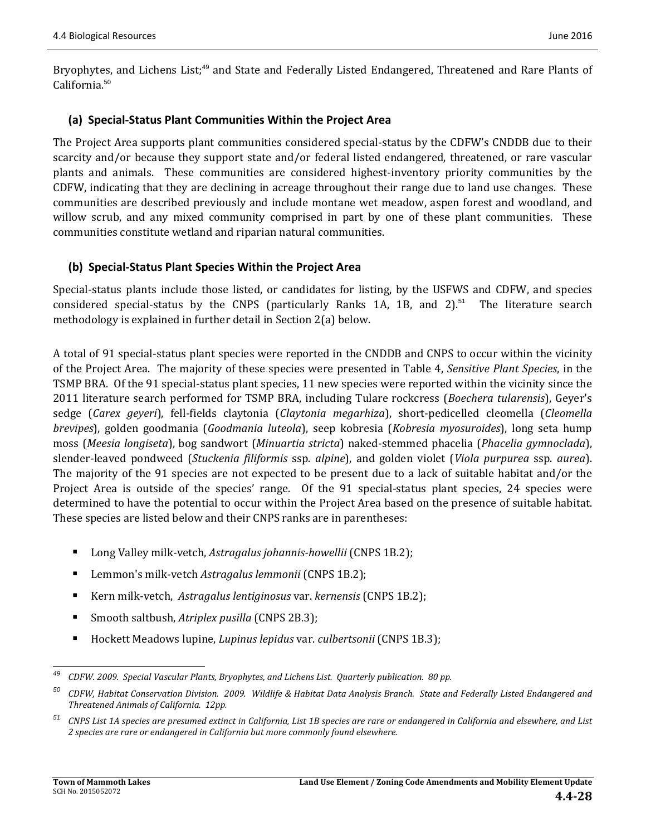Bryophytes, and Lichens List;<sup>49</sup> and State and Federally Listed Endangered, Threatened and Rare Plants of California.<sup>50</sup>

### **(a) Special‐Status Plant Communities Within the Project Area**

The Project Area supports plant communities considered special-status by the CDFW's CNDDB due to their scarcity and/or because they support state and/or federal listed endangered, threatened, or rare vascular plants and animals. These communities are considered highest-inventory priority communities by the CDFW, indicating that they are declining in acreage throughout their range due to land use changes. These communities are described previously and include montane wet meadow, aspen forest and woodland, and willow scrub, and any mixed community comprised in part by one of these plant communities. These communities constitute wetland and riparian natural communities.

### **(b) Special‐Status Plant Species Within the Project Area**

Special-status plants include those listed, or candidates for listing, by the USFWS and CDFW, and species considered special-status by the CNPS (particularly Ranks 1A, 1B, and  $2$ ).<sup>51</sup> The literature search methodology is explained in further detail in Section  $2(a)$  below.

A total of 91 special-status plant species were reported in the CNDDB and CNPS to occur within the vicinity of the Project Area. The majority of these species were presented in Table 4, *Sensitive Plant Species*, in the TSMP BRA. Of the 91 special-status plant species, 11 new species were reported within the vicinity since the 2011 literature search performed for TSMP BRA, including Tulare rockcress (*Boechera tularensis*), Geyer's sedge (*Carex geyeri*), fell‐fields claytonia (*Claytonia megarhiza*), short‐pedicelled cleomella (*Cleomella brevipes*), golden goodmania (*Goodmania luteola*), seep kobresia (*Kobresia myosuroides*), long seta hump moss (*Meesia longiseta*), bog sandwort (*Minuartia stricta*) naked‐stemmed phacelia (*Phacelia gymnoclada*), slender‐leaved pondweed (*Stuckenia filiformis* ssp. *alpine*), and golden violet (*Viola purpurea* ssp. *aurea*). The majority of the 91 species are not expected to be present due to a lack of suitable habitat and/or the Project Area is outside of the species' range. Of the 91 special-status plant species, 24 species were determined to have the potential to occur within the Project Area based on the presence of suitable habitat. These species are listed below and their CNPS ranks are in parentheses:

- Long Valley milk-vetch, *Astragalus johannis-howellii* (CNPS 1B.2);
- Lemmon's milk-vetch *Astragalus lemmonii* (CNPS 1B.2);
- Kern milk-vetch, Astragalus lentiginosus var. kernensis (CNPS 1B.2);
- Smooth saltbush, *Atriplex pusilla* (CNPS 2B.3);
- Hockett Meadows lupine, *Lupinus lepidus* var. *culbertsonii* (CNPS 1B.3);

 <sup>49</sup> CDFW. 2009. Special Vascular Plants, Bryophytes, and Lichens List. Quarterly publication. 80 pp.

 $50$  CDFW, Habitat Conservation Division. 2009. Wildlife & Habitat Data Analysis Branch. State and Federally Listed Endangered and *Threatened Animals of California. 12pp.*

CNPS List 1A species are presumed extinct in California, List 1B species are rare or endangered in California and elsewhere, and List *2 species are rare or endangered in California but more commonly found elsewhere.*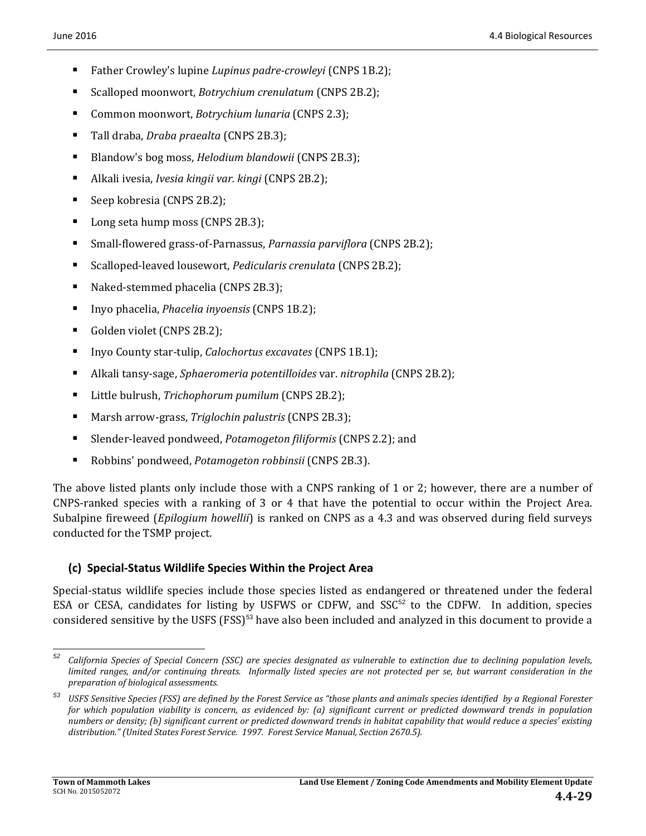- Father Crowley's lupine *Lupinus padre-crowleyi* (CNPS 1B.2);
- Scalloped moonwort, *Botrychium crenulatum* (CNPS 2B.2);
- Common moonwort, *Botrychium lunaria* (CNPS 2.3);
- Tall draba, *Draba praealta* (CNPS 2B.3);
- Blandow's bog moss, *Helodium blandowii* (CNPS 2B.3);
- Alkali ivesia, *Ivesia kingii var. kingi* (CNPS 2B.2);
- Seep kobresia (CNPS 2B.2);
- Long seta hump moss (CNPS 2B.3);
- Small-flowered grass-of-Parnassus, *Parnassia parviflora* (CNPS 2B.2);
- Scalloped-leaved lousewort, *Pedicularis crenulata* (CNPS 2B.2);
- Naked-stemmed phacelia (CNPS 2B.3);
- Inyo phacelia, *Phacelia inyoensis* (CNPS 1B.2);
- Golden violet (CNPS 2B.2);
- Inyo County star-tulip, *Calochortus excavates* (CNPS 1B.1);
- Alkali tansy-sage, *Sphaeromeria potentilloides* var. *nitrophila* (CNPS 2B.2);
- Little bulrush, *Trichophorum pumilum* (CNPS 2B.2);
- Marsh arrow-grass, *Triglochin palustris* (CNPS 2B.3);
- Slender-leaved pondweed, *Potamogeton filiformis* (CNPS 2.2); and
- Robbins' pondweed, *Potamogeton robbinsii* (CNPS 2B.3).

The above listed plants only include those with a CNPS ranking of 1 or 2; however, there are a number of CNPS-ranked species with a ranking of 3 or 4 that have the potential to occur within the Project Area. Subalpine fireweed (*Epilogium howellii*) is ranked on CNPS as a 4.3 and was observed during field surveys conducted for the TSMP project.

#### **(c) Special‐Status Wildlife Species Within the Project Area**

Special-status wildlife species include those species listed as endangered or threatened under the federal ESA or CESA, candidates for listing by USFWS or CDFW, and  $SSC<sup>52</sup>$  to the CDFW. In addition, species considered sensitive by the USFS (FSS)<sup>53</sup> have also been included and analyzed in this document to provide a

  $52$  California Species of Special Concern (SSC) are species designated as vulnerable to extinction due to declining population levels, limited ranges, and/or continuing threats. Informally listed species are not protected per se, but warrant consideration in the *preparation of biological assessments.* 

<sup>&</sup>lt;sup>53</sup> USFS Sensitive Species (FSS) are defined by the Forest Service as "those plants and animals species identified by a Regional Forester for which population viability is concern, as evidenced by: (a) significant current or predicted downward trends in population numbers or density; (b) significant current or predicted downward trends in habitat capability that would reduce a species' existing *distribution." (United States Forest Service. 1997. Forest Service Manual, Section 2670.5).*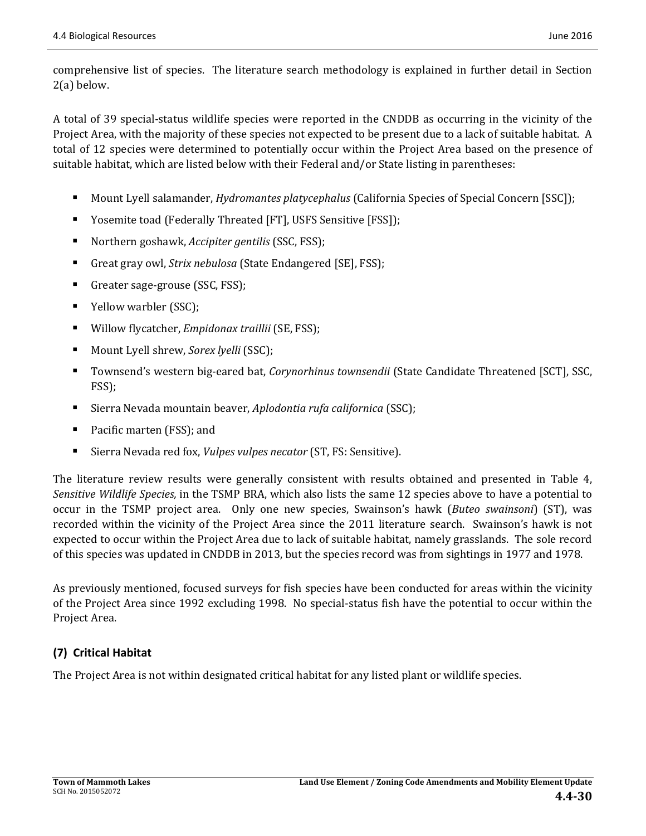comprehensive list of species. The literature search methodology is explained in further detail in Section  $2(a)$  below.

A total of 39 special-status wildlife species were reported in the CNDDB as occurring in the vicinity of the Project Area, with the majority of these species not expected to be present due to a lack of suitable habitat. A total of 12 species were determined to potentially occur within the Project Area based on the presence of suitable habitat, which are listed below with their Federal and/or State listing in parentheses:

- Mount Lyell salamander, *Hydromantes platycephalus* (California Species of Special Concern [SSC]);
- Yosemite toad (Federally Threated [FT], USFS Sensitive [FSS]);
- Northern goshawk, *Accipiter gentilis* (SSC, FSS);
- Great gray owl, *Strix nebulosa* (State Endangered [SE], FSS);
- Greater sage-grouse  $(SSC, FSS)$ ;
- Yellow warbler (SSC);
- Willow flycatcher, *Empidonax traillii* (SE, FSS);
- Mount Lyell shrew, *Sorex lyelli* (SSC);
- Townsend's western big-eared bat, *Corynorhinus townsendii* (State Candidate Threatened [SCT], SSC, FSS);
- Sierra Nevada mountain beaver, *Aplodontia rufa californica* (SSC);
- Pacific marten (FSS); and
- Sierra Nevada red fox, *Vulpes vulpes necator* (ST, FS: Sensitive).

The literature review results were generally consistent with results obtained and presented in Table 4, *Sensitive Wildlife Species*, in the TSMP BRA, which also lists the same 12 species above to have a potential to occur in the TSMP project area. Only one new species, Swainson's hawk (*Buteo swainsoni*) (ST), was recorded within the vicinity of the Project Area since the 2011 literature search. Swainson's hawk is not expected to occur within the Project Area due to lack of suitable habitat, namely grasslands. The sole record of this species was updated in CNDDB in 2013, but the species record was from sightings in 1977 and 1978.

As previously mentioned, focused surveys for fish species have been conducted for areas within the vicinity of the Project Area since 1992 excluding 1998. No special-status fish have the potential to occur within the Project Area.

### **(7) Critical Habitat**

The Project Area is not within designated critical habitat for any listed plant or wildlife species.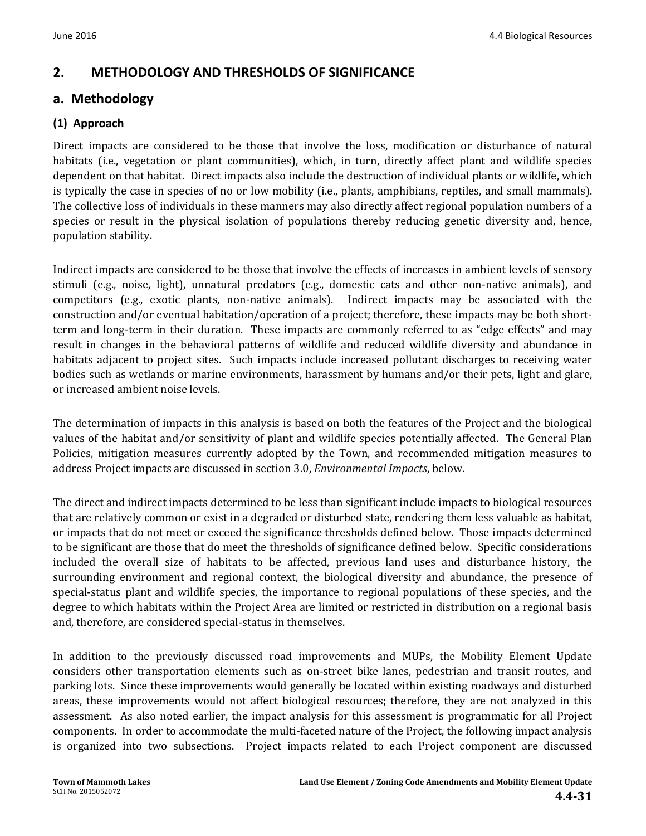# **2. METHODOLOGY AND THRESHOLDS OF SIGNIFICANCE**

### **a. Methodology**

### **(1) Approach**

Direct impacts are considered to be those that involve the loss, modification or disturbance of natural habitats (i.e., vegetation or plant communities), which, in turn, directly affect plant and wildlife species dependent on that habitat. Direct impacts also include the destruction of individual plants or wildlife, which is typically the case in species of no or low mobility (i.e., plants, amphibians, reptiles, and small mammals). The collective loss of individuals in these manners may also directly affect regional population numbers of a species or result in the physical isolation of populations thereby reducing genetic diversity and, hence, population stability. 

Indirect impacts are considered to be those that involve the effects of increases in ambient levels of sensory stimuli (e.g., noise, light), unnatural predators (e.g., domestic cats and other non-native animals), and competitors (e.g., exotic plants, non-native animals). Indirect impacts may be associated with the construction and/or eventual habitation/operation of a project; therefore, these impacts may be both shortterm and long-term in their duration. These impacts are commonly referred to as "edge effects" and may result in changes in the behavioral patterns of wildlife and reduced wildlife diversity and abundance in habitats adjacent to project sites. Such impacts include increased pollutant discharges to receiving water bodies such as wetlands or marine environments, harassment by humans and/or their pets, light and glare, or increased ambient noise levels.

The determination of impacts in this analysis is based on both the features of the Project and the biological values of the habitat and/or sensitivity of plant and wildlife species potentially affected. The General Plan Policies, mitigation measures currently adopted by the Town, and recommended mitigation measures to address Project impacts are discussed in section 3.0, *Environmental Impacts*, below.

The direct and indirect impacts determined to be less than significant include impacts to biological resources that are relatively common or exist in a degraded or disturbed state, rendering them less valuable as habitat, or impacts that do not meet or exceed the significance thresholds defined below. Those impacts determined to be significant are those that do meet the thresholds of significance defined below. Specific considerations included the overall size of habitats to be affected, previous land uses and disturbance history, the surrounding environment and regional context, the biological diversity and abundance, the presence of special-status plant and wildlife species, the importance to regional populations of these species, and the degree to which habitats within the Project Area are limited or restricted in distribution on a regional basis and, therefore, are considered special-status in themselves.

In addition to the previously discussed road improvements and MUPs, the Mobility Element Update considers other transportation elements such as on-street bike lanes, pedestrian and transit routes, and parking lots. Since these improvements would generally be located within existing roadways and disturbed areas, these improvements would not affect biological resources; therefore, they are not analyzed in this assessment. As also noted earlier, the impact analysis for this assessment is programmatic for all Project components. In order to accommodate the multi-faceted nature of the Project, the following impact analysis is organized into two subsections. Project impacts related to each Project component are discussed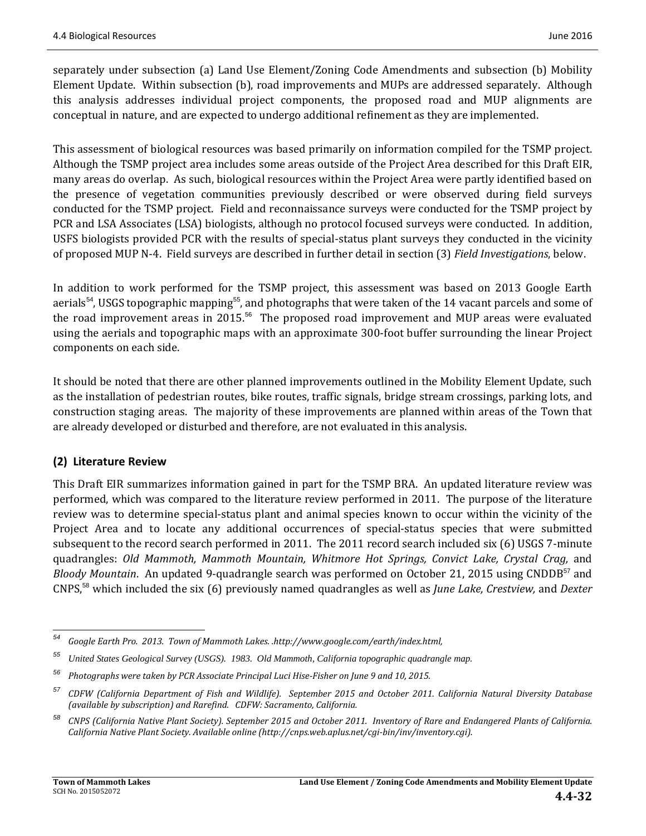separately under subsection (a) Land Use Element/Zoning Code Amendments and subsection (b) Mobility Element Update. Within subsection (b), road improvements and MUPs are addressed separately. Although this analysis addresses individual project components, the proposed road and MUP alignments are conceptual in nature, and are expected to undergo additional refinement as they are implemented.

This assessment of biological resources was based primarily on information compiled for the TSMP project. Although the TSMP project area includes some areas outside of the Project Area described for this Draft EIR, many areas do overlap. As such, biological resources within the Project Area were partly identified based on the presence of vegetation communities previously described or were observed during field surveys conducted for the TSMP project. Field and reconnaissance surveys were conducted for the TSMP project by PCR and LSA Associates (LSA) biologists, although no protocol focused surveys were conducted. In addition, USFS biologists provided PCR with the results of special-status plant surveys they conducted in the vicinity of proposed MUP N-4. Field surveys are described in further detail in section (3) *Field Investigations*, below.

In addition to work performed for the TSMP project, this assessment was based on 2013 Google Earth aerials<sup>54</sup>, USGS topographic mapping<sup>55</sup>, and photographs that were taken of the 14 vacant parcels and some of the road improvement areas in 2015.<sup>56</sup> The proposed road improvement and MUP areas were evaluated using the aerials and topographic maps with an approximate 300-foot buffer surrounding the linear Project components on each side.

It should be noted that there are other planned improvements outlined in the Mobility Element Update, such as the installation of pedestrian routes, bike routes, traffic signals, bridge stream crossings, parking lots, and construction staging areas. The majority of these improvements are planned within areas of the Town that are already developed or disturbed and therefore, are not evaluated in this analysis.

### **(2) Literature Review**

This Draft EIR summarizes information gained in part for the TSMP BRA. An updated literature review was performed, which was compared to the literature review performed in 2011. The purpose of the literature review was to determine special-status plant and animal species known to occur within the vicinity of the Project Area and to locate any additional occurrences of special-status species that were submitted subsequent to the record search performed in 2011. The 2011 record search included six (6) USGS 7-minute quadrangles: *Old Mammoth, Mammoth Mountain, Whitmore Hot Springs, Convict Lake, Crystal Crag,* and *Bloody Mountain*. An updated 9-quadrangle search was performed on October 21, 2015 using CNDDB<sup>57</sup> and CNPS,<sup>58</sup> which included the six (6) previously named quadrangles as well as *June Lake, Crestview,* and *Dexter*

<sup>&</sup>lt;u> 1989 - Johann Stein, fransk politik (d. 1989)</u> *<sup>54</sup> Google Earth Pro. 2013. Town of Mammoth Lakes. .http://www.google.com/earth/index.html,*

*<sup>55</sup> United States Geological Survey (USGS). 1983. Old Mammoth, California topographic quadrangle map.*

*<sup>56</sup> Photographs were taken by PCR Associate Principal Luci Hise‐Fisher on June 9 and 10, 2015.*

<sup>&</sup>lt;sup>57</sup> CDFW (California Department of Fish and Wildlife). September 2015 and October 2011. California Natural Diversity Database *(available by subscription) and Rarefind. CDFW: Sacramento, California.* 

<sup>&</sup>lt;sup>58</sup> CNPS (California Native Plant Society). September 2015 and October 2011. Inventory of Rare and Endangered Plants of California. *California Native Plant Society. Available online (http://cnps.web.aplus.net/cgi‐bin/inv/inventory.cgi).*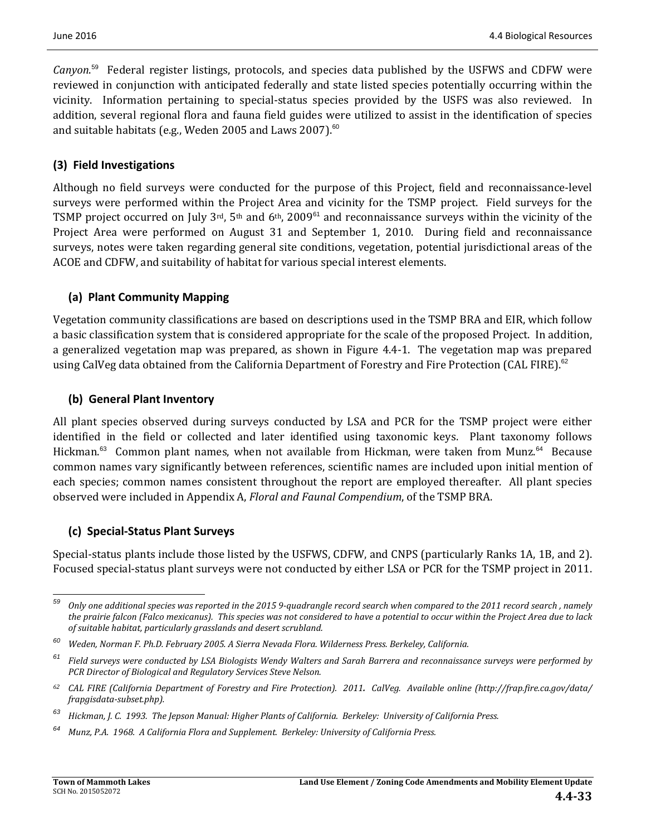Canyon.<sup>59</sup> Federal register listings, protocols, and species data published by the USFWS and CDFW were reviewed in conjunction with anticipated federally and state listed species potentially occurring within the vicinity. Information pertaining to special-status species provided by the USFS was also reviewed. In addition, several regional flora and fauna field guides were utilized to assist in the identification of species and suitable habitats (e.g., Weden 2005 and Laws 2007).<sup>60</sup>

### **(3) Field Investigations**

Although no field surveys were conducted for the purpose of this Project, field and reconnaissance-level surveys were performed within the Project Area and vicinity for the TSMP project. Field surveys for the TSMP project occurred on July  $3<sup>rd</sup>$ ,  $5<sup>th</sup>$  and  $6<sup>th</sup>$ ,  $2009<sup>61</sup>$  and reconnaissance surveys within the vicinity of the Project Area were performed on August 31 and September 1, 2010. During field and reconnaissance surveys, notes were taken regarding general site conditions, vegetation, potential jurisdictional areas of the ACOE and CDFW, and suitability of habitat for various special interest elements.

### **(a) Plant Community Mapping**

Vegetation community classifications are based on descriptions used in the TSMP BRA and EIR, which follow a basic classification system that is considered appropriate for the scale of the proposed Project. In addition, a generalized vegetation map was prepared, as shown in Figure 4.4-1. The vegetation map was prepared using CalVeg data obtained from the California Department of Forestry and Fire Protection (CAL FIRE).<sup>62</sup>

### **(b) General Plant Inventory**

All plant species observed during surveys conducted by LSA and PCR for the TSMP project were either identified in the field or collected and later identified using taxonomic keys. Plant taxonomy follows Hickman.<sup>63</sup> Common plant names, when not available from Hickman, were taken from Munz.<sup>64</sup> Because common names vary significantly between references, scientific names are included upon initial mention of each species; common names consistent throughout the report are employed thereafter. All plant species observed were included in Appendix A, *Floral and Faunal Compendium*, of the TSMP BRA.

### **(c) Special‐Status Plant Surveys**

Special-status plants include those listed by the USFWS, CDFW, and CNPS (particularly Ranks 1A, 1B, and 2). Focused special-status plant surveys were not conducted by either LSA or PCR for the TSMP project in 2011.

  $59$  Only one additional species was reported in the 2015 9-quadrangle record search when compared to the 2011 record search, namely the prairie falcon (Falco mexicanus). This species was not considered to have a potential to occur within the Project Area due to lack *of suitable habitat, particularly grasslands and desert scrubland.* 

*<sup>60</sup> Weden, Norman F. Ph.D. February 2005. A Sierra Nevada Flora. Wilderness Press. Berkeley, California.*

 $61$  Field surveys were conducted by LSA Biologists Wendy Walters and Sarah Barrera and reconnaissance surveys were performed by *PCR Director of Biological and Regulatory Services Steve Nelson.*

 $62$  CAL FIRE (California Department of Forestry and Fire Protection). 2011. CalVeg. Available online (http://frap.fire.ca.gov/data/ *frapgisdata‐subset.php).*

<sup>&</sup>lt;sup>63</sup> Hickman, J. C. 1993. The Jepson Manual: Higher Plants of California. Berkeley: University of California Press.

<sup>&</sup>lt;sup>64</sup> Munz, P.A. 1968. A California Flora and Supplement. Berkeley: University of California Press.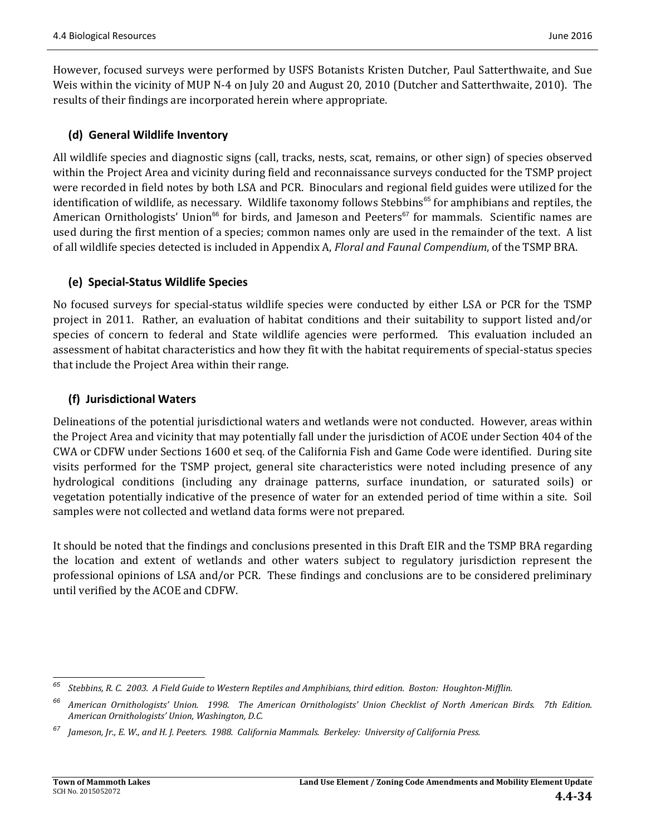However, focused surveys were performed by USFS Botanists Kristen Dutcher, Paul Satterthwaite, and Sue Weis within the vicinity of MUP N-4 on July 20 and August 20, 2010 (Dutcher and Satterthwaite, 2010). The results of their findings are incorporated herein where appropriate.

### **(d) General Wildlife Inventory**

All wildlife species and diagnostic signs (call, tracks, nests, scat, remains, or other sign) of species observed within the Project Area and vicinity during field and reconnaissance surveys conducted for the TSMP project were recorded in field notes by both LSA and PCR. Binoculars and regional field guides were utilized for the identification of wildlife, as necessary. Wildlife taxonomy follows Stebbins<sup>65</sup> for amphibians and reptiles, the American Ornithologists' Union<sup>66</sup> for birds, and Jameson and Peeters<sup>67</sup> for mammals. Scientific names are used during the first mention of a species; common names only are used in the remainder of the text. A list of all wildlife species detected is included in Appendix A, *Floral and Faunal Compendium*, of the TSMP BRA.

### **(e) Special‐Status Wildlife Species**

No focused surveys for special-status wildlife species were conducted by either LSA or PCR for the TSMP project in 2011. Rather, an evaluation of habitat conditions and their suitability to support listed and/or species of concern to federal and State wildlife agencies were performed. This evaluation included an assessment of habitat characteristics and how they fit with the habitat requirements of special-status species that include the Project Area within their range.

#### **(f) Jurisdictional Waters**

Delineations of the potential jurisdictional waters and wetlands were not conducted. However, areas within the Project Area and vicinity that may potentially fall under the jurisdiction of ACOE under Section 404 of the CWA or CDFW under Sections 1600 et seq. of the California Fish and Game Code were identified. During site visits performed for the TSMP project, general site characteristics were noted including presence of any hydrological conditions (including any drainage patterns, surface inundation, or saturated soils) or vegetation potentially indicative of the presence of water for an extended period of time within a site. Soil samples were not collected and wetland data forms were not prepared.

It should be noted that the findings and conclusions presented in this Draft EIR and the TSMP BRA regarding the location and extent of wetlands and other waters subject to regulatory jurisdiction represent the professional opinions of LSA and/or PCR. These findings and conclusions are to be considered preliminary until verified by the ACOE and CDFW.

 

 $65$  Stebbins, R. C. 2003. A Field Guide to Western Reptiles and Amphibians, third edition. Boston: Houghton-Mifflin.

<sup>&</sup>lt;sup>66</sup> American Ornithologists' Union. 1998. The American Ornithologists' Union Checklist of North American Birds. 7th Edition. *American Ornithologists' Union, Washington, D.C.*

Jameson, Jr., E. W., and H. J. Peeters. 1988. California Mammals. Berkeley: University of California Press.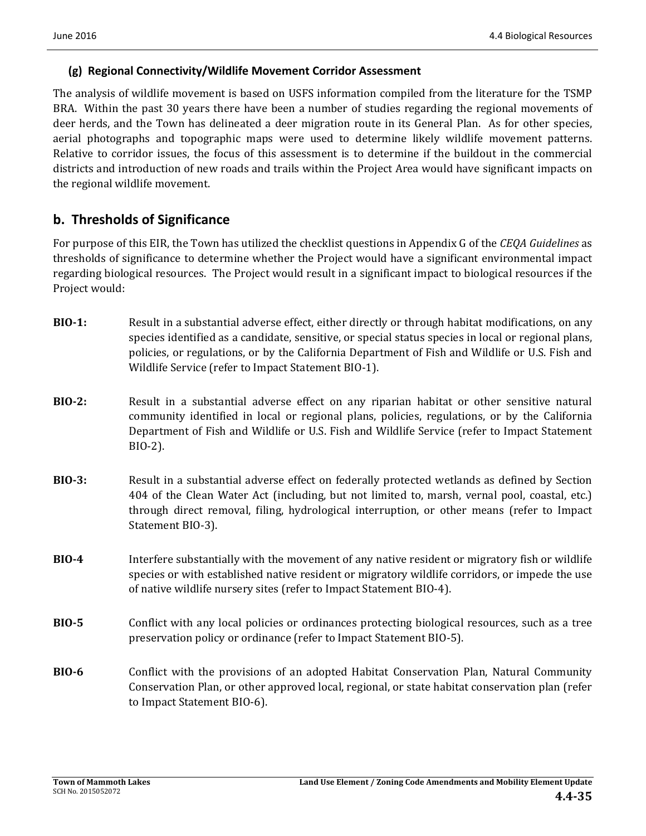### **(g) Regional Connectivity/Wildlife Movement Corridor Assessment**

The analysis of wildlife movement is based on USFS information compiled from the literature for the TSMP BRA. Within the past 30 years there have been a number of studies regarding the regional movements of deer herds, and the Town has delineated a deer migration route in its General Plan. As for other species, aerial photographs and topographic maps were used to determine likely wildlife movement patterns. Relative to corridor issues, the focus of this assessment is to determine if the buildout in the commercial districts and introduction of new roads and trails within the Project Area would have significant impacts on the regional wildlife movement.

# **b. Thresholds of Significance**

For purpose of this EIR, the Town has utilized the checklist questions in Appendix G of the *CEQA Guidelines* as thresholds of significance to determine whether the Project would have a significant environmental impact regarding biological resources. The Project would result in a significant impact to biological resources if the Project would:

- **BIO-1:** Result in a substantial adverse effect, either directly or through habitat modifications, on any species identified as a candidate, sensitive, or special status species in local or regional plans, policies, or regulations, or by the California Department of Fish and Wildlife or U.S. Fish and Wildlife Service (refer to Impact Statement BIO-1).
- **BIO-2:** Result in a substantial adverse effect on any riparian habitat or other sensitive natural community identified in local or regional plans, policies, regulations, or by the California Department of Fish and Wildlife or U.S. Fish and Wildlife Service (refer to Impact Statement BIO‐2).
- **BIO-3:** Result in a substantial adverse effect on federally protected wetlands as defined by Section 404 of the Clean Water Act (including, but not limited to, marsh, vernal pool, coastal, etc.) through direct removal, filing, hydrological interruption, or other means (refer to Impact Statement BIO-3).
- **BIO-4** Interfere substantially with the movement of any native resident or migratory fish or wildlife species or with established native resident or migratory wildlife corridors, or impede the use of native wildlife nursery sites (refer to Impact Statement BIO-4).
- **BIO-5** Conflict with any local policies or ordinances protecting biological resources, such as a tree preservation policy or ordinance (refer to Impact Statement BIO-5).
- **BIO•6 Conflict** with the provisions of an adopted Habitat Conservation Plan, Natural Community Conservation Plan, or other approved local, regional, or state habitat conservation plan (refer to Impact Statement BIO-6).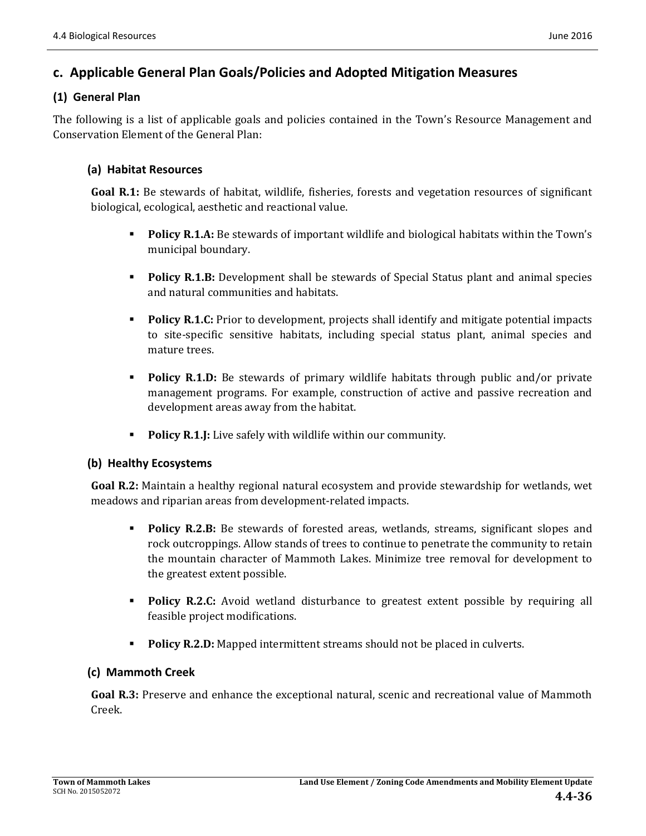# **c. Applicable General Plan Goals/Policies and Adopted Mitigation Measures**

### **(1) General Plan**

The following is a list of applicable goals and policies contained in the Town's Resource Management and Conservation Element of the General Plan:

### **(a) Habitat Resources**

**Goal R.1:** Be stewards of habitat, wildlife, fisheries, forests and vegetation resources of significant biological, ecological, aesthetic and reactional value.

- **Policy R.1.A:** Be stewards of important wildlife and biological habitats within the Town's municipal boundary.
- **Policy R.1.B:** Development shall be stewards of Special Status plant and animal species and natural communities and habitats.
- **Policy R.1.C:** Prior to development, projects shall identify and mitigate potential impacts to site-specific sensitive habitats, including special status plant, animal species and mature trees.
- **Policy R.1.D:** Be stewards of primary wildlife habitats through public and/or private management programs. For example, construction of active and passive recreation and development areas away from the habitat.
- **Policy R.1.J:** Live safely with wildlife within our community.

#### **(b) Healthy Ecosystems**

**Goal R.2:** Maintain a healthy regional natural ecosystem and provide stewardship for wetlands, wet meadows and riparian areas from development-related impacts.

- **Policy R.2.B:** Be stewards of forested areas, wetlands, streams, significant slopes and rock outcroppings. Allow stands of trees to continue to penetrate the community to retain the mountain character of Mammoth Lakes. Minimize tree removal for development to the greatest extent possible.
- **Policy R.2.C:** Avoid wetland disturbance to greatest extent possible by requiring all feasible project modifications.
- **Policy R.2.D:** Mapped intermittent streams should not be placed in culverts.

#### **(c) Mammoth Creek**

**Goal R.3:** Preserve and enhance the exceptional natural, scenic and recreational value of Mammoth Creek.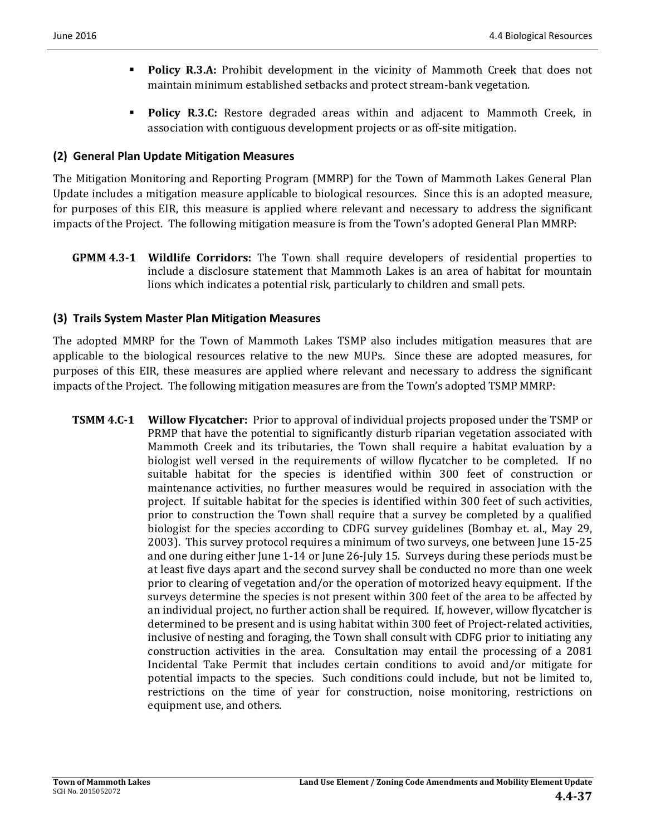- **Policy R.3.A:** Prohibit development in the vicinity of Mammoth Creek that does not maintain minimum established setbacks and protect stream-bank vegetation.
- **Policy R.3.C:** Restore degraded areas within and adjacent to Mammoth Creek, in association with contiguous development projects or as off-site mitigation.

### **(2) General Plan Update Mitigation Measures**

The Mitigation Monitoring and Reporting Program (MMRP) for the Town of Mammoth Lakes General Plan Update includes a mitigation measure applicable to biological resources. Since this is an adopted measure, for purposes of this EIR, this measure is applied where relevant and necessary to address the significant impacts of the Project. The following mitigation measure is from the Town's adopted General Plan MMRP:

**GPMM 4.3-1 Wildlife Corridors:** The Town shall require developers of residential properties to include a disclosure statement that Mammoth Lakes is an area of habitat for mountain lions which indicates a potential risk, particularly to children and small pets.

### **(3) Trails System Master Plan Mitigation Measures**

The adopted MMRP for the Town of Mammoth Lakes TSMP also includes mitigation measures that are applicable to the biological resources relative to the new MUPs. Since these are adopted measures, for purposes of this EIR, these measures are applied where relevant and necessary to address the significant impacts of the Project. The following mitigation measures are from the Town's adopted TSMP MMRP:

**TSMM 4.C-1 Willow Flycatcher:** Prior to approval of individual projects proposed under the TSMP or PRMP that have the potential to significantly disturb riparian vegetation associated with Mammoth Creek and its tributaries, the Town shall require a habitat evaluation by a biologist well versed in the requirements of willow flycatcher to be completed. If no suitable habitat for the species is identified within 300 feet of construction or maintenance activities, no further measures would be required in association with the project. If suitable habitat for the species is identified within 300 feet of such activities, prior to construction the Town shall require that a survey be completed by a qualified biologist for the species according to CDFG survey guidelines (Bombay et. al., May 29, 2003). This survey protocol requires a minimum of two surveys, one between June 15-25 and one during either June 1-14 or June 26-July 15. Surveys during these periods must be at least five days apart and the second survey shall be conducted no more than one week prior to clearing of vegetation and/or the operation of motorized heavy equipment. If the surveys determine the species is not present within 300 feet of the area to be affected by an individual project, no further action shall be required. If, however, willow flycatcher is determined to be present and is using habitat within 300 feet of Project-related activities, inclusive of nesting and foraging, the Town shall consult with CDFG prior to initiating any construction activities in the area. Consultation may entail the processing of a  $2081$ Incidental Take Permit that includes certain conditions to avoid and/or mitigate for potential impacts to the species. Such conditions could include, but not be limited to, restrictions on the time of year for construction, noise monitoring, restrictions on equipment use, and others.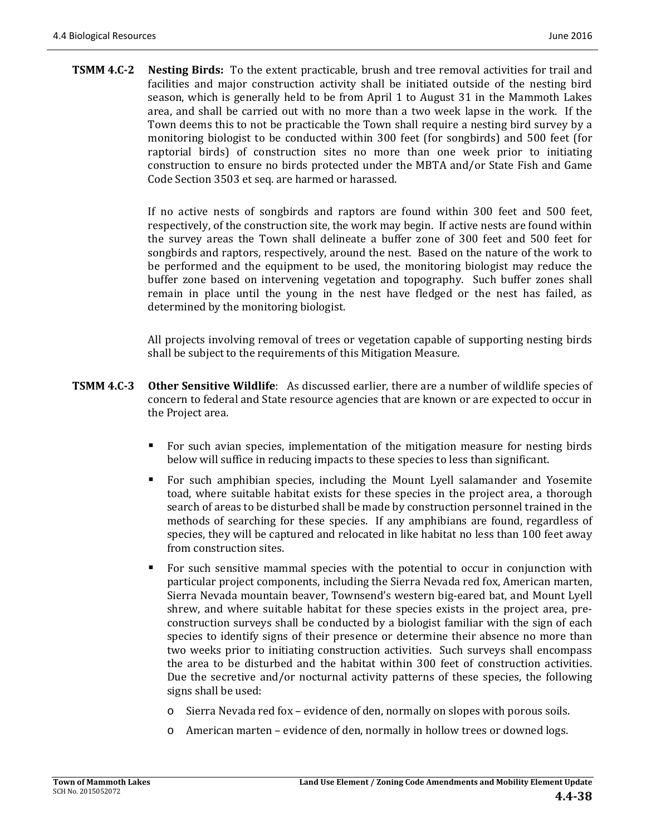**TSMM 4.C-2** Nesting Birds: To the extent practicable, brush and tree removal activities for trail and facilities and major construction activity shall be initiated outside of the nesting bird season, which is generally held to be from April 1 to August 31 in the Mammoth Lakes area, and shall be carried out with no more than a two week lapse in the work. If the Town deems this to not be practicable the Town shall require a nesting bird survey by a monitoring biologist to be conducted within 300 feet (for songbirds) and 500 feet (for raptorial birds) of construction sites no more than one week prior to initiating construction to ensure no birds protected under the MBTA and/or State Fish and Game Code Section 3503 et seq. are harmed or harassed.

> If no active nests of songbirds and raptors are found within  $300$  feet and  $500$  feet, respectively, of the construction site, the work may begin. If active nests are found within the survey areas the Town shall delineate a buffer zone of 300 feet and 500 feet for songbirds and raptors, respectively, around the nest. Based on the nature of the work to be performed and the equipment to be used, the monitoring biologist may reduce the buffer zone based on intervening vegetation and topography. Such buffer zones shall remain in place until the young in the nest have fledged or the nest has failed, as determined by the monitoring biologist.

> All projects involving removal of trees or vegetation capable of supporting nesting birds shall be subject to the requirements of this Mitigation Measure.

- **TSMM 4.C-3** Other Sensitive Wildlife: As discussed earlier, there are a number of wildlife species of concern to federal and State resource agencies that are known or are expected to occur in the Project area.
	- For such avian species, implementation of the mitigation measure for nesting birds below will suffice in reducing impacts to these species to less than significant.
	- **F** For such amphibian species, including the Mount Lyell salamander and Yosemite toad, where suitable habitat exists for these species in the project area, a thorough search of areas to be disturbed shall be made by construction personnel trained in the methods of searching for these species. If any amphibians are found, regardless of species, they will be captured and relocated in like habitat no less than 100 feet away from construction sites.
	- For such sensitive mammal species with the potential to occur in conjunction with particular project components, including the Sierra Nevada red fox, American marten, Sierra Nevada mountain beaver, Townsend's western big-eared bat, and Mount Lyell shrew, and where suitable habitat for these species exists in the project area, preconstruction surveys shall be conducted by a biologist familiar with the sign of each species to identify signs of their presence or determine their absence no more than two weeks prior to initiating construction activities. Such surveys shall encompass the area to be disturbed and the habitat within 300 feet of construction activities. Due the secretive and/or nocturnal activity patterns of these species, the following signs shall be used:
		- $\circ$  Sierra Nevada red fox evidence of den, normally on slopes with porous soils.
		- $\circ$  American marten evidence of den, normally in hollow trees or downed logs.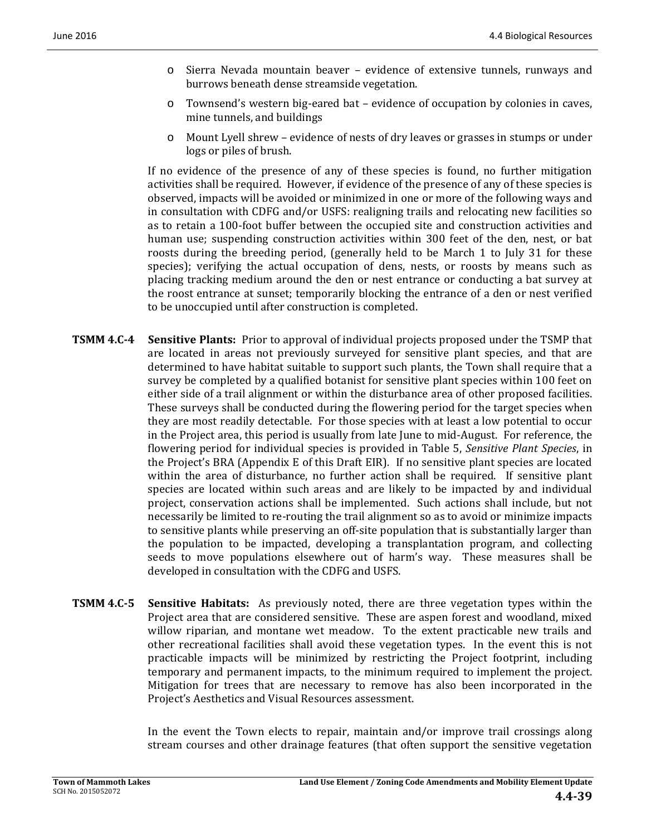- $\circ$  Sierra Nevada mountain beaver evidence of extensive tunnels, runways and burrows beneath dense streamside vegetation.
- Townsend's western big-eared bat evidence of occupation by colonies in caves, mine tunnels, and buildings
- o Mount Lyell shrew evidence of nests of dry leaves or grasses in stumps or under logs or piles of brush.

If no evidence of the presence of any of these species is found, no further mitigation activities shall be required. However, if evidence of the presence of any of these species is observed, impacts will be avoided or minimized in one or more of the following ways and in consultation with CDFG and/or USFS: realigning trails and relocating new facilities so as to retain a 100-foot buffer between the occupied site and construction activities and human use; suspending construction activities within 300 feet of the den, nest, or bat roosts during the breeding period, (generally held to be March 1 to July 31 for these species); verifying the actual occupation of dens, nests, or roosts by means such as placing tracking medium around the den or nest entrance or conducting a bat survey at the roost entrance at sunset; temporarily blocking the entrance of a den or nest verified to be unoccupied until after construction is completed.

- **TSMM 4.C-4** Sensitive Plants: Prior to approval of individual projects proposed under the TSMP that are located in areas not previously surveyed for sensitive plant species, and that are determined to have habitat suitable to support such plants, the Town shall require that a survey be completed by a qualified botanist for sensitive plant species within 100 feet on either side of a trail alignment or within the disturbance area of other proposed facilities. These surveys shall be conducted during the flowering period for the target species when they are most readily detectable. For those species with at least a low potential to occur in the Project area, this period is usually from late June to mid-August. For reference, the flowering period for individual species is provided in Table 5, *Sensitive Plant Species*, in the Project's BRA (Appendix E of this Draft EIR). If no sensitive plant species are located within the area of disturbance, no further action shall be required. If sensitive plant species are located within such areas and are likely to be impacted by and individual project, conservation actions shall be implemented. Such actions shall include, but not necessarily be limited to re-routing the trail alignment so as to avoid or minimize impacts to sensitive plants while preserving an off-site population that is substantially larger than the population to be impacted, developing a transplantation program, and collecting seeds to move populations elsewhere out of harm's way. These measures shall be developed in consultation with the CDFG and USFS.
- **TSMM 4.C-5** Sensitive Habitats: As previously noted, there are three vegetation types within the Project area that are considered sensitive. These are aspen forest and woodland, mixed willow riparian, and montane wet meadow. To the extent practicable new trails and other recreational facilities shall avoid these vegetation types. In the event this is not practicable impacts will be minimized by restricting the Project footprint, including temporary and permanent impacts, to the minimum required to implement the project. Mitigation for trees that are necessary to remove has also been incorporated in the Project's Aesthetics and Visual Resources assessment.

In the event the Town elects to repair, maintain and/or improve trail crossings along stream courses and other drainage features (that often support the sensitive vegetation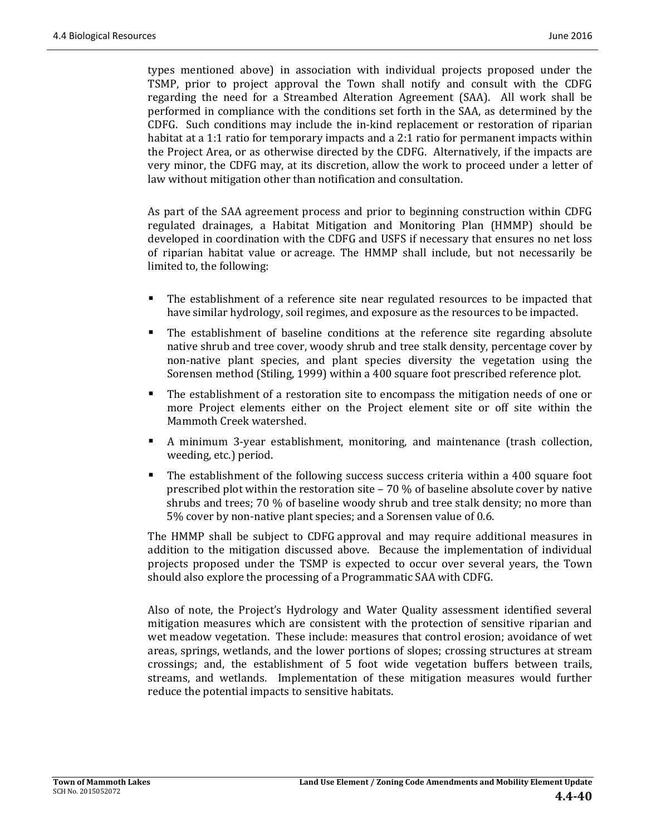types mentioned above) in association with individual projects proposed under the TSMP, prior to project approval the Town shall notify and consult with the CDFG regarding the need for a Streambed Alteration Agreement (SAA). All work shall be performed in compliance with the conditions set forth in the SAA, as determined by the CDFG. Such conditions may include the in-kind replacement or restoration of riparian habitat at a 1:1 ratio for temporary impacts and a 2:1 ratio for permanent impacts within the Project Area, or as otherwise directed by the CDFG. Alternatively, if the impacts are very minor, the CDFG may, at its discretion, allow the work to proceed under a letter of law without mitigation other than notification and consultation.

As part of the SAA agreement process and prior to beginning construction within CDFG regulated drainages, a Habitat Mitigation and Monitoring Plan (HMMP) should be developed in coordination with the CDFG and USFS if necessary that ensures no net loss of riparian habitat value or acreage. The HMMP shall include, but not necessarily be limited to, the following:

- The establishment of a reference site near regulated resources to be impacted that have similar hydrology, soil regimes, and exposure as the resources to be impacted.
- The establishment of baseline conditions at the reference site regarding absolute native shrub and tree cover, woody shrub and tree stalk density, percentage cover by non-native plant species, and plant species diversity the vegetation using the Sorensen method (Stiling, 1999) within a 400 square foot prescribed reference plot.
- The establishment of a restoration site to encompass the mitigation needs of one or more Project elements either on the Project element site or off site within the Mammoth Creek watershed.
- A minimum 3-year establishment, monitoring, and maintenance (trash collection, weeding, etc.) period.
- The establishment of the following success success criteria within a 400 square foot prescribed plot within the restoration site – 70 % of baseline absolute cover by native shrubs and trees;  $70\%$  of baseline woody shrub and tree stalk density; no more than 5% cover by non-native plant species; and a Sorensen value of 0.6.

The HMMP shall be subject to CDFG approval and may require additional measures in addition to the mitigation discussed above. Because the implementation of individual projects proposed under the TSMP is expected to occur over several years, the Town should also explore the processing of a Programmatic SAA with CDFG.

Also of note, the Project's Hydrology and Water Quality assessment identified several mitigation measures which are consistent with the protection of sensitive riparian and wet meadow vegetation. These include: measures that control erosion; avoidance of wet areas, springs, wetlands, and the lower portions of slopes; crossing structures at stream crossings; and, the establishment of 5 foot wide vegetation buffers between trails, streams, and wetlands. Implementation of these mitigation measures would further reduce the potential impacts to sensitive habitats.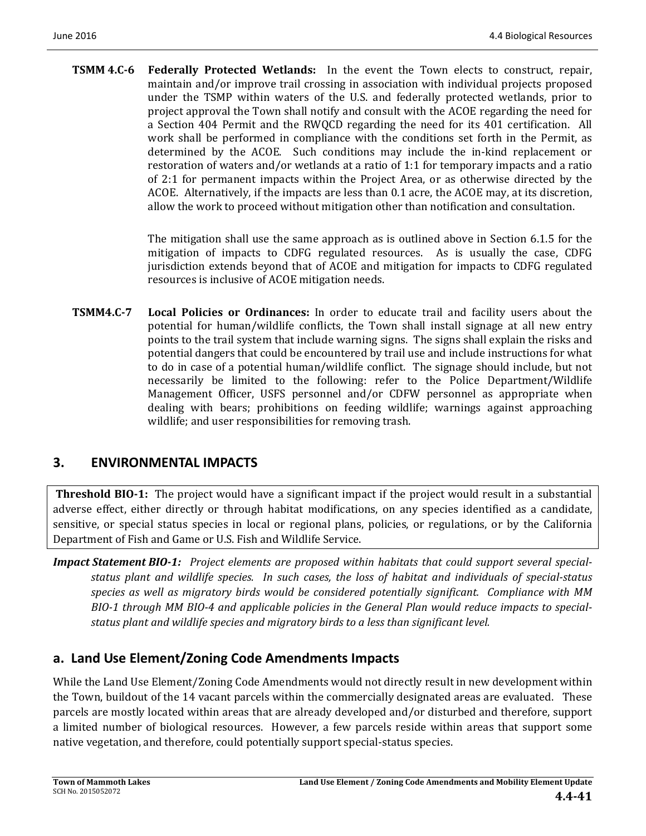**TSMM 4.C-6** Federally Protected Wetlands: In the event the Town elects to construct, repair, maintain and/or improve trail crossing in association with individual projects proposed under the TSMP within waters of the U.S. and federally protected wetlands, prior to project approval the Town shall notify and consult with the ACOE regarding the need for a Section 404 Permit and the RWQCD regarding the need for its 401 certification. All work shall be performed in compliance with the conditions set forth in the Permit, as determined by the ACOE. Such conditions may include the in-kind replacement or restoration of waters and/or wetlands at a ratio of 1:1 for temporary impacts and a ratio of 2:1 for permanent impacts within the Project Area, or as otherwise directed by the ACOE. Alternatively, if the impacts are less than 0.1 acre, the ACOE may, at its discretion, allow the work to proceed without mitigation other than notification and consultation.

> The mitigation shall use the same approach as is outlined above in Section 6.1.5 for the mitigation of impacts to CDFG regulated resources. As is usually the case, CDFG jurisdiction extends beyond that of ACOE and mitigation for impacts to CDFG regulated resources is inclusive of ACOE mitigation needs.

**TSMM4.C‐7 Local Policies or Ordinances:** In order to educate trail and facility users about the potential for human/wildlife conflicts, the Town shall install signage at all new entry points to the trail system that include warning signs. The signs shall explain the risks and potential dangers that could be encountered by trail use and include instructions for what to do in case of a potential human/wildlife conflict. The signage should include, but not necessarily be limited to the following: refer to the Police Department/Wildlife Management Officer, USFS personnel and/or CDFW personnel as appropriate when dealing with bears; prohibitions on feeding wildlife; warnings against approaching wildlife; and user responsibilities for removing trash.

### **3. ENVIRONMENTAL IMPACTS**

**Threshold BIO-1:** The project would have a significant impact if the project would result in a substantial adverse effect, either directly or through habitat modifications, on any species identified as a candidate, sensitive, or special status species in local or regional plans, policies, or regulations, or by the California Department of Fish and Game or U.S. Fish and Wildlife Service.

*Impact Statement BIO‐1: Project elements are proposed within habitats that could support several special‐* status plant and wildlife species. In such cases, the loss of habitat and individuals of special-status *species as well as migratory birds would be considered potentially significant. Compliance with MM* BIO-1 through MM BIO-4 and applicable policies in the General Plan would reduce impacts to special*status plant and wildlife species and migratory birds to a less than significant level.*

# **a. Land Use Element/Zoning Code Amendments Impacts**

While the Land Use Element/Zoning Code Amendments would not directly result in new development within the Town, buildout of the 14 vacant parcels within the commercially designated areas are evaluated. These parcels are mostly located within areas that are already developed and/or disturbed and therefore, support a limited number of biological resources. However, a few parcels reside within areas that support some native vegetation, and therefore, could potentially support special-status species.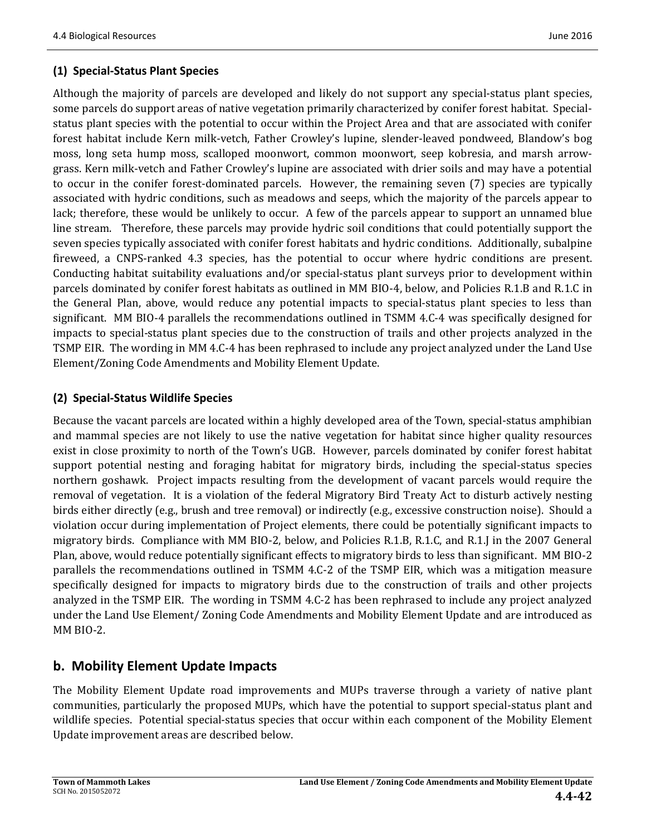### **(1) Special‐Status Plant Species**

Although the majority of parcels are developed and likely do not support any special-status plant species, some parcels do support areas of native vegetation primarily characterized by conifer forest habitat. Specialstatus plant species with the potential to occur within the Project Area and that are associated with conifer forest habitat include Kern milk-vetch, Father Crowley's lupine, slender-leaved pondweed, Blandow's bog moss, long seta hump moss, scalloped moonwort, common moonwort, seep kobresia, and marsh arrowgrass. Kern milk-vetch and Father Crowley's lupine are associated with drier soils and may have a potential to occur in the conifer forest-dominated parcels. However, the remaining seven (7) species are typically associated with hydric conditions, such as meadows and seeps, which the majority of the parcels appear to lack; therefore, these would be unlikely to occur. A few of the parcels appear to support an unnamed blue line stream. Therefore, these parcels may provide hydric soil conditions that could potentially support the seven species typically associated with conifer forest habitats and hydric conditions. Additionally, subalpine fireweed, a CNPS-ranked 4.3 species, has the potential to occur where hydric conditions are present. Conducting habitat suitability evaluations and/or special-status plant surveys prior to development within parcels dominated by conifer forest habitats as outlined in MM BIO-4, below, and Policies R.1.B and R.1.C in the General Plan, above, would reduce any potential impacts to special-status plant species to less than significant. MM BIO-4 parallels the recommendations outlined in TSMM 4.C-4 was specifically designed for impacts to special-status plant species due to the construction of trails and other projects analyzed in the TSMP EIR. The wording in MM 4.C-4 has been rephrased to include any project analyzed under the Land Use Element/Zoning Code Amendments and Mobility Element Update.

### **(2) Special‐Status Wildlife Species**

Because the vacant parcels are located within a highly developed area of the Town, special-status amphibian and mammal species are not likely to use the native vegetation for habitat since higher quality resources exist in close proximity to north of the Town's UGB. However, parcels dominated by conifer forest habitat support potential nesting and foraging habitat for migratory birds, including the special-status species northern goshawk. Project impacts resulting from the development of vacant parcels would require the removal of vegetation. It is a violation of the federal Migratory Bird Treaty Act to disturb actively nesting birds either directly (e.g., brush and tree removal) or indirectly (e.g., excessive construction noise). Should a violation occur during implementation of Project elements, there could be potentially significant impacts to migratory birds. Compliance with MM BIO-2, below, and Policies R.1.B, R.1.C, and R.1.J in the 2007 General Plan, above, would reduce potentially significant effects to migratory birds to less than significant. MM BIO-2 parallels the recommendations outlined in TSMM 4.C-2 of the TSMP EIR, which was a mitigation measure specifically designed for impacts to migratory birds due to the construction of trails and other projects analyzed in the TSMP EIR. The wording in TSMM 4.C-2 has been rephrased to include any project analyzed under the Land Use Element/ Zoning Code Amendments and Mobility Element Update and are introduced as MM BIO-2.

# **b. Mobility Element Update Impacts**

The Mobility Element Update road improvements and MUPs traverse through a variety of native plant communities, particularly the proposed MUPs, which have the potential to support special-status plant and wildlife species. Potential special-status species that occur within each component of the Mobility Element Update improvement areas are described below.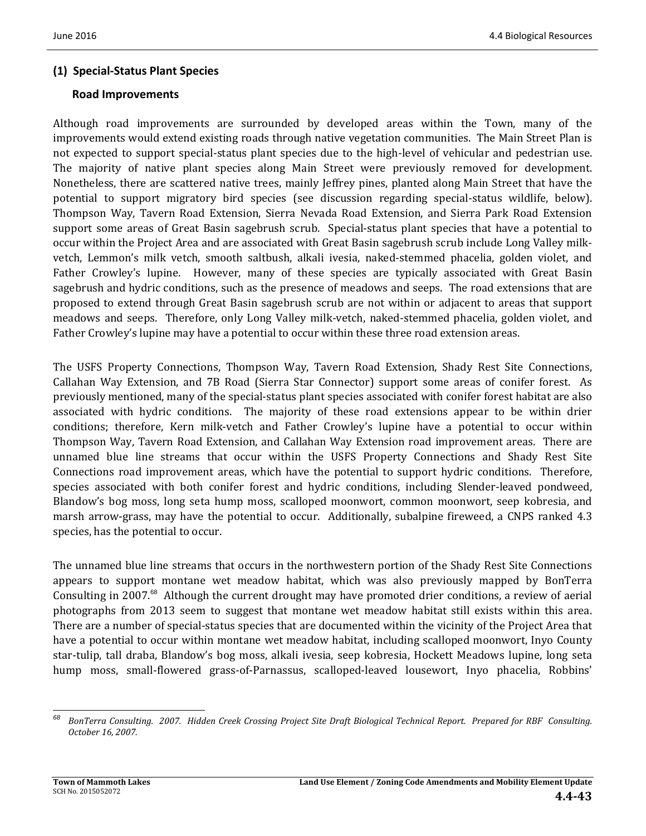### **(1) Special‐Status Plant Species**

#### **Road Improvements**

Although road improvements are surrounded by developed areas within the Town, many of the improvements would extend existing roads through native vegetation communities. The Main Street Plan is not expected to support special-status plant species due to the high-level of vehicular and pedestrian use. The majority of native plant species along Main Street were previously removed for development. Nonetheless, there are scattered native trees, mainly Jeffrey pines, planted along Main Street that have the potential to support migratory bird species (see discussion regarding special-status wildlife, below). Thompson Way, Tavern Road Extension, Sierra Nevada Road Extension, and Sierra Park Road Extension support some areas of Great Basin sagebrush scrub. Special-status plant species that have a potential to occur within the Project Area and are associated with Great Basin sagebrush scrub include Long Valley milkvetch, Lemmon's milk vetch, smooth saltbush, alkali ivesia, naked-stemmed phacelia, golden violet, and Father Crowley's lupine. However, many of these species are typically associated with Great Basin sagebrush and hydric conditions, such as the presence of meadows and seeps. The road extensions that are proposed to extend through Great Basin sagebrush scrub are not within or adjacent to areas that support meadows and seeps. Therefore, only Long Valley milk-vetch, naked-stemmed phacelia, golden violet, and Father Crowley's lupine may have a potential to occur within these three road extension areas.

The USFS Property Connections, Thompson Way, Tavern Road Extension, Shady Rest Site Connections, Callahan Way Extension, and 7B Road (Sierra Star Connector) support some areas of conifer forest. As previously mentioned, many of the special-status plant species associated with conifer forest habitat are also associated with hydric conditions. The majority of these road extensions appear to be within drier conditions; therefore, Kern milk-vetch and Father Crowley's lupine have a potential to occur within Thompson Way, Tavern Road Extension, and Callahan Way Extension road improvement areas. There are unnamed blue line streams that occur within the USFS Property Connections and Shady Rest Site Connections road improvement areas, which have the potential to support hydric conditions. Therefore, species associated with both conifer forest and hydric conditions, including Slender-leaved pondweed, Blandow's bog moss, long seta hump moss, scalloped moonwort, common moonwort, seep kobresia, and marsh arrow-grass, may have the potential to occur. Additionally, subalpine fireweed, a CNPS ranked 4.3 species, has the potential to occur.

The unnamed blue line streams that occurs in the northwestern portion of the Shady Rest Site Connections appears to support montane wet meadow habitat, which was also previously mapped by BonTerra Consulting in 2007.<sup>68</sup> Although the current drought may have promoted drier conditions, a review of aerial photographs from 2013 seem to suggest that montane wet meadow habitat still exists within this area. There are a number of special-status species that are documented within the vicinity of the Project Area that have a potential to occur within montane wet meadow habitat, including scalloped moonwort, Inyo County star-tulip, tall draba, Blandow's bog moss, alkali ivesia, seep kobresia, Hockett Meadows lupine, long seta hump moss, small-flowered grass-of-Parnassus, scalloped-leaved lousewort, Inyo phacelia, Robbins'

 

<sup>&</sup>lt;sup>68</sup> BonTerra Consulting. 2007. Hidden Creek Crossing Project Site Draft Biological Technical Report. Prepared for RBF Consulting. *October 16, 2007.*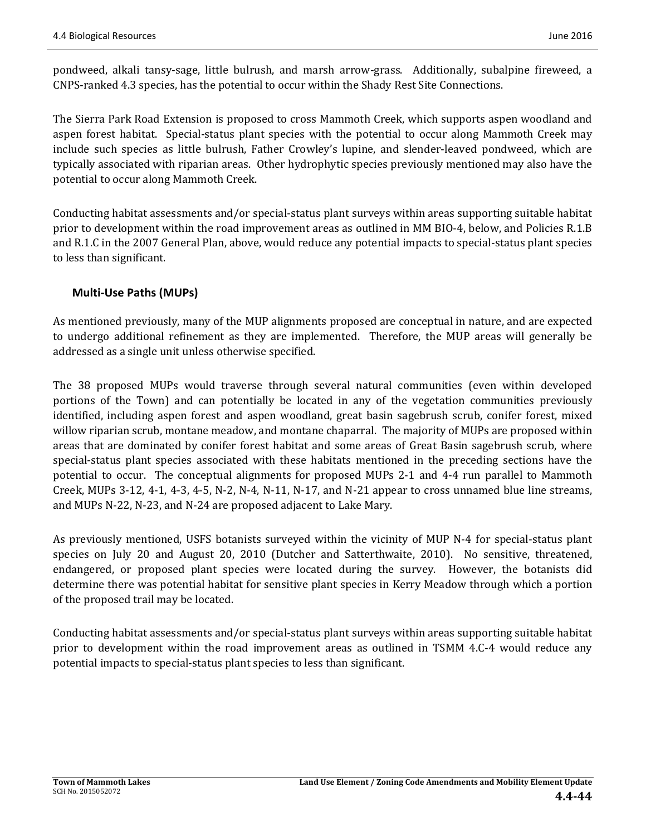pondweed, alkali tansy-sage, little bulrush, and marsh arrow-grass. Additionally, subalpine fireweed, a CNPS-ranked 4.3 species, has the potential to occur within the Shady Rest Site Connections.

The Sierra Park Road Extension is proposed to cross Mammoth Creek, which supports aspen woodland and aspen forest habitat. Special-status plant species with the potential to occur along Mammoth Creek may include such species as little bulrush, Father Crowley's lupine, and slender-leaved pondweed, which are typically associated with riparian areas. Other hydrophytic species previously mentioned may also have the potential to occur along Mammoth Creek.

Conducting habitat assessments and/or special-status plant surveys within areas supporting suitable habitat prior to development within the road improvement areas as outlined in MM BIO-4, below, and Policies R.1.B and R.1.C in the 2007 General Plan, above, would reduce any potential impacts to special-status plant species to less than significant.

### **Multi‐Use Paths (MUPs)**

As mentioned previously, many of the MUP alignments proposed are conceptual in nature, and are expected to undergo additional refinement as they are implemented. Therefore, the MUP areas will generally be addressed as a single unit unless otherwise specified.

The 38 proposed MUPs would traverse through several natural communities (even within developed portions of the Town) and can potentially be located in any of the vegetation communities previously identified, including aspen forest and aspen woodland, great basin sagebrush scrub, conifer forest, mixed willow riparian scrub, montane meadow, and montane chaparral. The majority of MUPs are proposed within areas that are dominated by conifer forest habitat and some areas of Great Basin sagebrush scrub, where special-status plant species associated with these habitats mentioned in the preceding sections have the potential to occur. The conceptual alignments for proposed MUPs 2-1 and 4-4 run parallel to Mammoth Creek, MUPs  $3-12$ ,  $4-1$ ,  $4-3$ ,  $4-5$ , N $-2$ , N $-4$ , N $-11$ , N $-17$ , and N $-21$  appear to cross unnamed blue line streams, and MUPs N-22, N-23, and N-24 are proposed adjacent to Lake Mary.

As previously mentioned, USFS botanists surveyed within the vicinity of MUP N-4 for special-status plant species on July 20 and August 20, 2010 (Dutcher and Satterthwaite, 2010). No sensitive, threatened, endangered, or proposed plant species were located during the survey. However, the botanists did determine there was potential habitat for sensitive plant species in Kerry Meadow through which a portion of the proposed trail may be located.

Conducting habitat assessments and/or special-status plant surveys within areas supporting suitable habitat prior to development within the road improvement areas as outlined in TSMM 4.C-4 would reduce any potential impacts to special-status plant species to less than significant.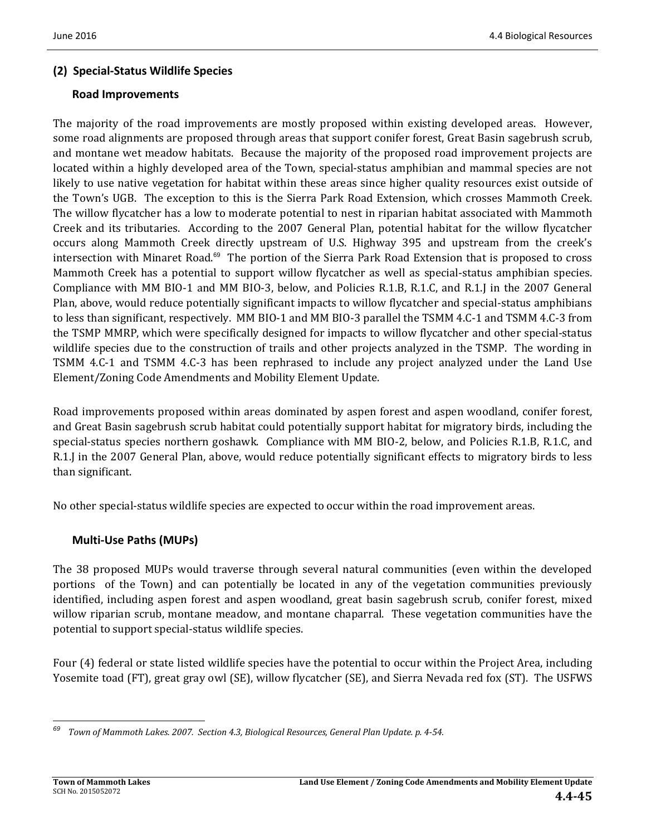### **(2) Special‐Status Wildlife Species**

#### **Road Improvements**

The majority of the road improvements are mostly proposed within existing developed areas. However, some road alignments are proposed through areas that support conifer forest, Great Basin sagebrush scrub, and montane wet meadow habitats. Because the majority of the proposed road improvement projects are located within a highly developed area of the Town, special-status amphibian and mammal species are not likely to use native vegetation for habitat within these areas since higher quality resources exist outside of the Town's UGB. The exception to this is the Sierra Park Road Extension, which crosses Mammoth Creek. The willow flycatcher has a low to moderate potential to nest in riparian habitat associated with Mammoth Creek and its tributaries. According to the 2007 General Plan, potential habitat for the willow flycatcher occurs along Mammoth Creek directly upstream of U.S. Highway 395 and upstream from the creek's intersection with Minaret Road.<sup>69</sup> The portion of the Sierra Park Road Extension that is proposed to cross Mammoth Creek has a potential to support willow flycatcher as well as special-status amphibian species. Compliance with MM BIO-1 and MM BIO-3, below, and Policies R.1.B, R.1.C, and R.1.J in the 2007 General Plan, above, would reduce potentially significant impacts to willow flycatcher and special-status amphibians to less than significant, respectively. MM BIO-1 and MM BIO-3 parallel the TSMM 4.C-1 and TSMM 4.C-3 from the TSMP MMRP, which were specifically designed for impacts to willow flycatcher and other special-status wildlife species due to the construction of trails and other projects analyzed in the TSMP. The wording in TSMM 4.C-1 and TSMM 4.C-3 has been rephrased to include any project analyzed under the Land Use Element/Zoning Code Amendments and Mobility Element Update.

Road improvements proposed within areas dominated by aspen forest and aspen woodland, conifer forest, and Great Basin sagebrush scrub habitat could potentially support habitat for migratory birds, including the special-status species northern goshawk. Compliance with MM BIO-2, below, and Policies R.1.B, R.1.C, and R.1.J in the 2007 General Plan, above, would reduce potentially significant effects to migratory birds to less than significant.

No other special-status wildlife species are expected to occur within the road improvement areas.

### **Multi‐Use Paths (MUPs)**

The 38 proposed MUPs would traverse through several natural communities (even within the developed portions of the Town) and can potentially be located in any of the vegetation communities previously identified, including aspen forest and aspen woodland, great basin sagebrush scrub, conifer forest, mixed willow riparian scrub, montane meadow, and montane chaparral. These vegetation communities have the potential to support special-status wildlife species.

Four (4) federal or state listed wildlife species have the potential to occur within the Project Area, including Yosemite toad (FT), great gray owl (SE), willow flycatcher (SE), and Sierra Nevada red fox (ST). The USFWS

 <sup>69</sup> Town of Mammoth Lakes. 2007. Section 4.3, Biological Resources, General Plan Update. p. 4-54.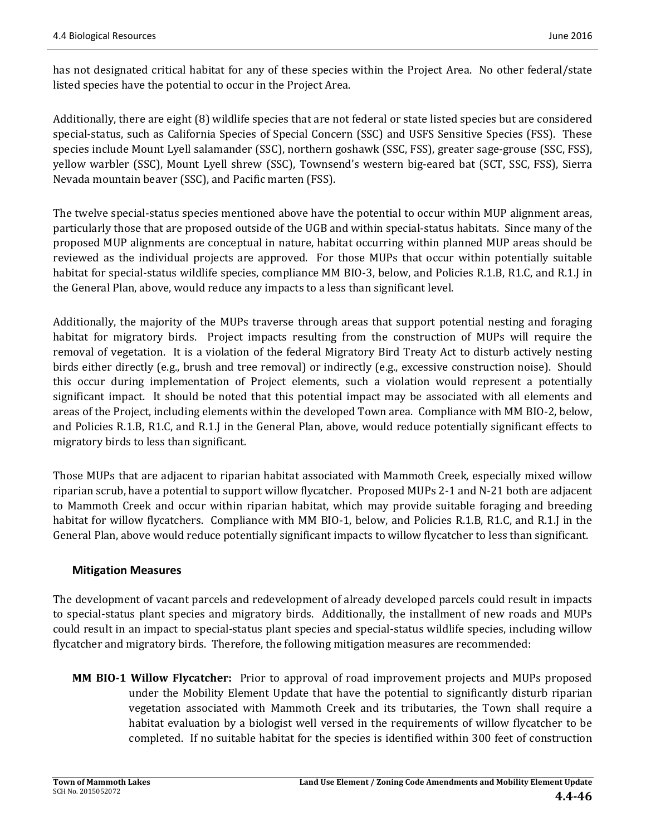has not designated critical habitat for any of these species within the Project Area. No other federal/state listed species have the potential to occur in the Project Area.

Additionally, there are eight  $(8)$  wildlife species that are not federal or state listed species but are considered special-status, such as California Species of Special Concern (SSC) and USFS Sensitive Species (FSS). These species include Mount Lyell salamander (SSC), northern goshawk (SSC, FSS), greater sage-grouse (SSC, FSS), yellow warbler (SSC), Mount Lyell shrew (SSC), Townsend's western big-eared bat (SCT, SSC, FSS), Sierra Nevada mountain beaver (SSC), and Pacific marten (FSS).

The twelve special-status species mentioned above have the potential to occur within MUP alignment areas, particularly those that are proposed outside of the UGB and within special-status habitats. Since many of the proposed MUP alignments are conceptual in nature, habitat occurring within planned MUP areas should be reviewed as the individual projects are approved. For those MUPs that occur within potentially suitable habitat for special-status wildlife species, compliance MM BIO-3, below, and Policies R.1.B, R1.C, and R.1.J in the General Plan, above, would reduce any impacts to a less than significant level.

Additionally, the majority of the MUPs traverse through areas that support potential nesting and foraging habitat for migratory birds. Project impacts resulting from the construction of MUPs will require the removal of vegetation. It is a violation of the federal Migratory Bird Treaty Act to disturb actively nesting birds either directly (e.g., brush and tree removal) or indirectly (e.g., excessive construction noise). Should this occur during implementation of Project elements, such a violation would represent a potentially significant impact. It should be noted that this potential impact may be associated with all elements and areas of the Project, including elements within the developed Town area. Compliance with MM BIO-2, below, and Policies R.1.B, R1.C, and R.1.J in the General Plan, above, would reduce potentially significant effects to migratory birds to less than significant.

Those MUPs that are adjacent to riparian habitat associated with Mammoth Creek, especially mixed willow riparian scrub, have a potential to support willow flycatcher. Proposed MUPs 2-1 and N-21 both are adjacent to Mammoth Creek and occur within riparian habitat, which may provide suitable foraging and breeding habitat for willow flycatchers. Compliance with MM BIO-1, below, and Policies R.1.B, R1.C, and R.1.J in the General Plan, above would reduce potentially significant impacts to willow flycatcher to less than significant.

#### **Mitigation Measures**

The development of vacant parcels and redevelopment of already developed parcels could result in impacts to special-status plant species and migratory birds. Additionally, the installment of new roads and MUPs could result in an impact to special-status plant species and special-status wildlife species, including willow flycatcher and migratory birds. Therefore, the following mitigation measures are recommended:

**MM BIO-1 Willow Flycatcher:** Prior to approval of road improvement projects and MUPs proposed under the Mobility Element Update that have the potential to significantly disturb riparian vegetation associated with Mammoth Creek and its tributaries, the Town shall require a habitat evaluation by a biologist well versed in the requirements of willow flycatcher to be completed. If no suitable habitat for the species is identified within 300 feet of construction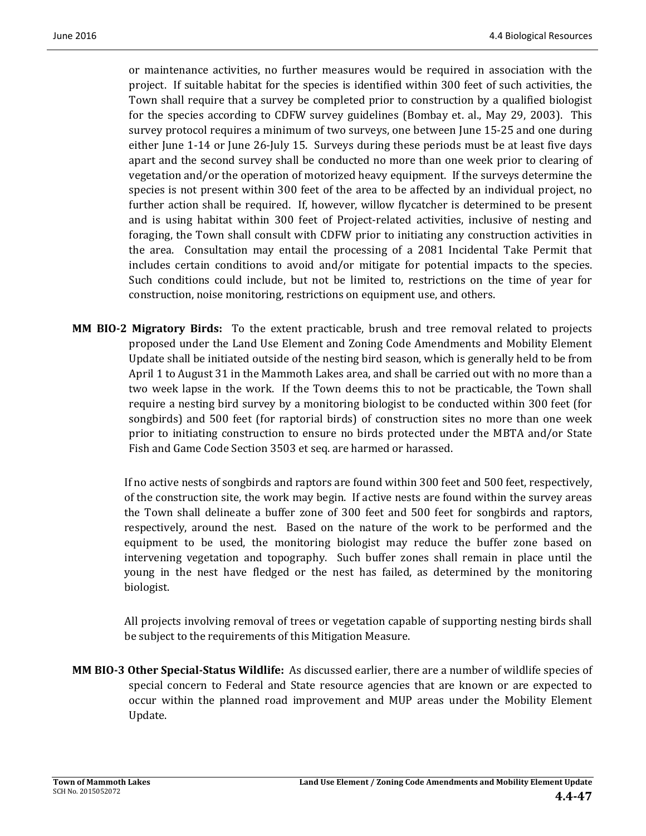or maintenance activities, no further measures would be required in association with the project. If suitable habitat for the species is identified within 300 feet of such activities, the Town shall require that a survey be completed prior to construction by a qualified biologist for the species according to CDFW survey guidelines (Bombay et. al., May 29, 2003). This survey protocol requires a minimum of two surveys, one between June 15-25 and one during either June 1-14 or June 26-July 15. Surveys during these periods must be at least five days apart and the second survey shall be conducted no more than one week prior to clearing of vegetation and/or the operation of motorized heavy equipment. If the surveys determine the species is not present within 300 feet of the area to be affected by an individual project, no further action shall be required. If, however, willow flycatcher is determined to be present and is using habitat within 300 feet of Project-related activities, inclusive of nesting and foraging, the Town shall consult with CDFW prior to initiating any construction activities in the area. Consultation may entail the processing of a 2081 Incidental Take Permit that includes certain conditions to avoid and/or mitigate for potential impacts to the species. Such conditions could include, but not be limited to, restrictions on the time of year for construction, noise monitoring, restrictions on equipment use, and others.

**MM BIO-2 Migratory Birds:** To the extent practicable, brush and tree removal related to projects proposed under the Land Use Element and Zoning Code Amendments and Mobility Element Update shall be initiated outside of the nesting bird season, which is generally held to be from April 1 to August 31 in the Mammoth Lakes area, and shall be carried out with no more than a two week lapse in the work. If the Town deems this to not be practicable, the Town shall require a nesting bird survey by a monitoring biologist to be conducted within 300 feet (for songbirds) and 500 feet (for raptorial birds) of construction sites no more than one week prior to initiating construction to ensure no birds protected under the MBTA and/or State Fish and Game Code Section 3503 et seq. are harmed or harassed.

If no active nests of songbirds and raptors are found within 300 feet and 500 feet, respectively, of the construction site, the work may begin. If active nests are found within the survey areas the Town shall delineate a buffer zone of 300 feet and 500 feet for songbirds and raptors, respectively, around the nest. Based on the nature of the work to be performed and the equipment to be used, the monitoring biologist may reduce the buffer zone based on intervening vegetation and topography. Such buffer zones shall remain in place until the young in the nest have fledged or the nest has failed, as determined by the monitoring biologist. 

All projects involving removal of trees or vegetation capable of supporting nesting birds shall be subject to the requirements of this Mitigation Measure.

**MM BIO**<sup>2</sup> **Other Special-Status Wildlife:** As discussed earlier, there are a number of wildlife species of special concern to Federal and State resource agencies that are known or are expected to occur within the planned road improvement and MUP areas under the Mobility Element Update.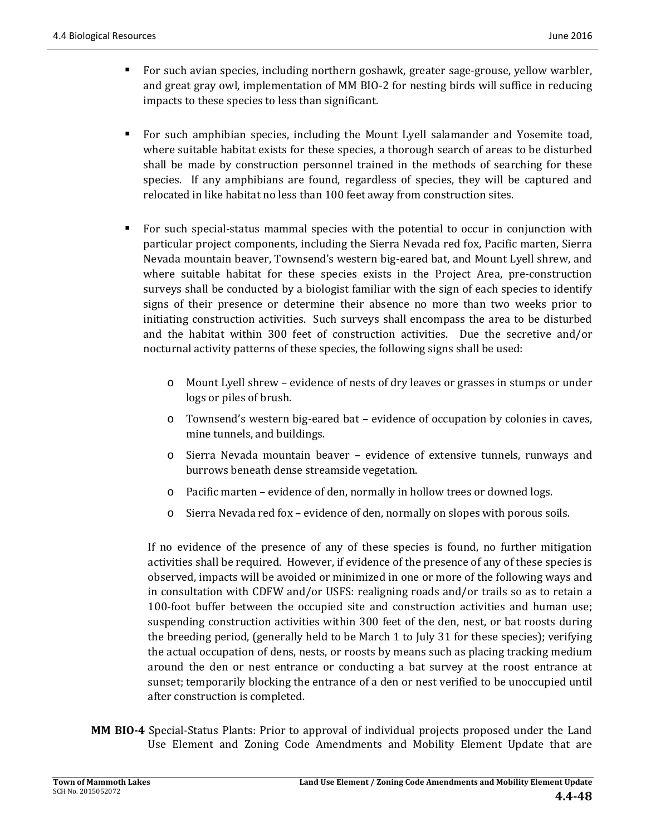- For such avian species, including northern goshawk, greater sage-grouse, yellow warbler, and great gray owl, implementation of MM BIO-2 for nesting birds will suffice in reducing impacts to these species to less than significant.
- For such amphibian species, including the Mount Lyell salamander and Yosemite toad, where suitable habitat exists for these species, a thorough search of areas to be disturbed shall be made by construction personnel trained in the methods of searching for these species. If any amphibians are found, regardless of species, they will be captured and relocated in like habitat no less than 100 feet away from construction sites.
- For such special-status mammal species with the potential to occur in conjunction with particular project components, including the Sierra Nevada red fox, Pacific marten, Sierra Nevada mountain beaver, Townsend's western big-eared bat, and Mount Lyell shrew, and where suitable habitat for these species exists in the Project Area, pre-construction surveys shall be conducted by a biologist familiar with the sign of each species to identify signs of their presence or determine their absence no more than two weeks prior to initiating construction activities. Such surveys shall encompass the area to be disturbed and the habitat within 300 feet of construction activities. Due the secretive and/or nocturnal activity patterns of these species, the following signs shall be used:
	- o Mount Lyell shrew evidence of nests of dry leaves or grasses in stumps or under logs or piles of brush.
	- $\circ$  Townsend's western big-eared bat evidence of occupation by colonies in caves, mine tunnels, and buildings.
	- o Sierra Nevada mountain beaver evidence of extensive tunnels, runways and burrows beneath dense streamside vegetation.
	- o Pacific marten evidence of den, normally in hollow trees or downed logs.
	- $\circ$  Sierra Nevada red fox evidence of den, normally on slopes with porous soils.

If no evidence of the presence of any of these species is found, no further mitigation activities shall be required. However, if evidence of the presence of any of these species is observed, impacts will be avoided or minimized in one or more of the following ways and in consultation with CDFW and/or USFS: realigning roads and/or trails so as to retain a 100-foot buffer between the occupied site and construction activities and human use; suspending construction activities within 300 feet of the den, nest, or bat roosts during the breeding period, (generally held to be March 1 to July 31 for these species); verifying the actual occupation of dens, nests, or roosts by means such as placing tracking medium around the den or nest entrance or conducting a bat survey at the roost entrance at sunset; temporarily blocking the entrance of a den or nest verified to be unoccupied until after construction is completed.

**MM BIO-4** Special-Status Plants: Prior to approval of individual projects proposed under the Land Use Element and Zoning Code Amendments and Mobility Element Update that are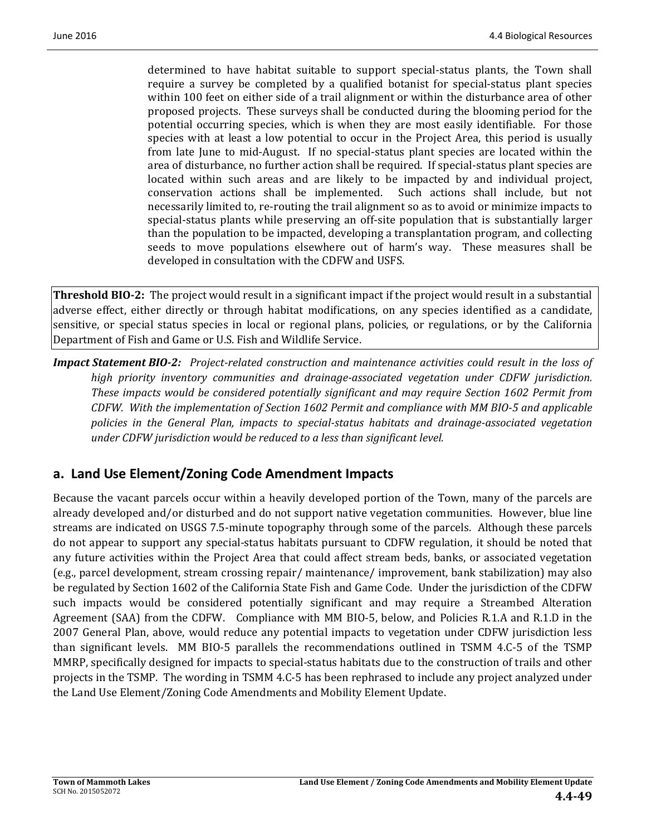determined to have habitat suitable to support special-status plants, the Town shall require a survey be completed by a qualified botanist for special-status plant species within 100 feet on either side of a trail alignment or within the disturbance area of other proposed projects. These surveys shall be conducted during the blooming period for the potential occurring species, which is when they are most easily identifiable. For those species with at least a low potential to occur in the Project Area, this period is usually from late June to mid-August. If no special-status plant species are located within the area of disturbance, no further action shall be required. If special-status plant species are located within such areas and are likely to be impacted by and individual project, conservation actions shall be implemented. Such actions shall include, but not necessarily limited to, re-routing the trail alignment so as to avoid or minimize impacts to special-status plants while preserving an off-site population that is substantially larger than the population to be impacted, developing a transplantation program, and collecting seeds to move populations elsewhere out of harm's way. These measures shall be developed in consultation with the CDFW and USFS.

**Threshold BIO-2:** The project would result in a significant impact if the project would result in a substantial adverse effect, either directly or through habitat modifications, on any species identified as a candidate, sensitive, or special status species in local or regional plans, policies, or regulations, or by the California Department of Fish and Game or U.S. Fish and Wildlife Service.

**Impact Statement BIO-2:** Project-related construction and maintenance activities could result in the loss of *high priority inventory communities and drainage‐associated vegetation under CDFW jurisdiction. These impacts would be considered potentially significant and may require Section 1602 Permit from CDFW. With the implementation of Section 1602 Permit and compliance with MM BIO‐5 and applicable policies in the General Plan, impacts to special‐status habitats and drainage‐associated vegetation under CDFW jurisdiction would be reduced to a less than significant level.* 

# **a. Land Use Element/Zoning Code Amendment Impacts**

Because the vacant parcels occur within a heavily developed portion of the Town, many of the parcels are already developed and/or disturbed and do not support native vegetation communities. However, blue line streams are indicated on USGS 7.5-minute topography through some of the parcels. Although these parcels do not appear to support any special-status habitats pursuant to CDFW regulation, it should be noted that any future activities within the Project Area that could affect stream beds, banks, or associated vegetation (e.g., parcel development, stream crossing repair/ maintenance/ improvement, bank stabilization) may also be regulated by Section 1602 of the California State Fish and Game Code. Under the jurisdiction of the CDFW such impacts would be considered potentially significant and may require a Streambed Alteration Agreement (SAA) from the CDFW. Compliance with MM BIO-5, below, and Policies R.1.A and R.1.D in the 2007 General Plan, above, would reduce any potential impacts to vegetation under CDFW jurisdiction less than significant levels. MM BIO-5 parallels the recommendations outlined in TSMM 4.C-5 of the TSMP MMRP, specifically designed for impacts to special-status habitats due to the construction of trails and other projects in the TSMP. The wording in TSMM 4.C-5 has been rephrased to include any project analyzed under the Land Use Element/Zoning Code Amendments and Mobility Element Update.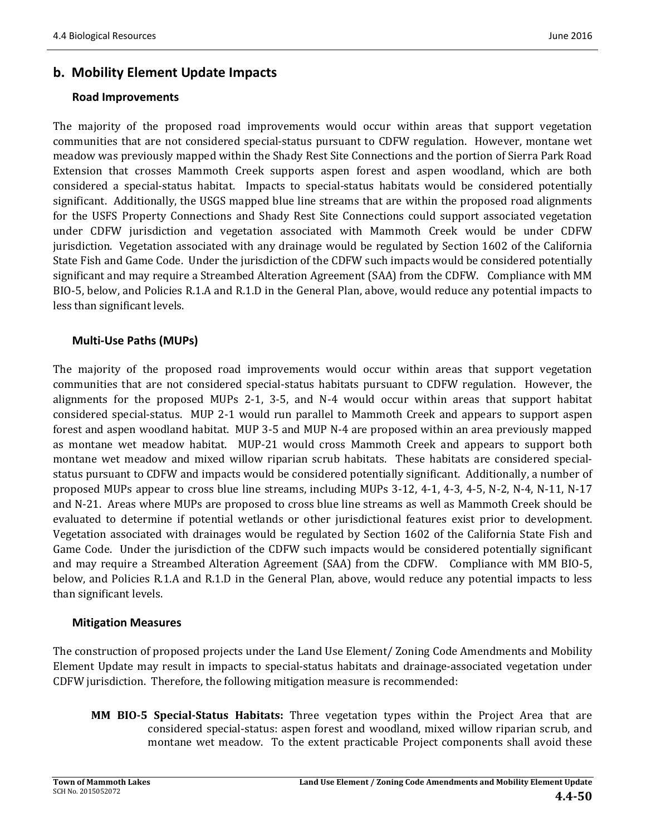### **b. Mobility Element Update Impacts**

#### **Road Improvements**

The majority of the proposed road improvements would occur within areas that support vegetation communities that are not considered special-status pursuant to CDFW regulation. However, montane wet meadow was previously mapped within the Shady Rest Site Connections and the portion of Sierra Park Road Extension that crosses Mammoth Creek supports aspen forest and aspen woodland, which are both considered a special-status habitat. Impacts to special-status habitats would be considered potentially significant. Additionally, the USGS mapped blue line streams that are within the proposed road alignments for the USFS Property Connections and Shady Rest Site Connections could support associated vegetation under CDFW jurisdiction and vegetation associated with Mammoth Creek would be under CDFW jurisdiction. Vegetation associated with any drainage would be regulated by Section 1602 of the California State Fish and Game Code. Under the jurisdiction of the CDFW such impacts would be considered potentially significant and may require a Streambed Alteration Agreement (SAA) from the CDFW. Compliance with MM BIO-5, below, and Policies R.1.A and R.1.D in the General Plan, above, would reduce any potential impacts to less than significant levels.

### **Multi‐Use Paths (MUPs)**

The majority of the proposed road improvements would occur within areas that support vegetation communities that are not considered special-status habitats pursuant to CDFW regulation. However, the alignments for the proposed MUPs 2-1, 3-5, and N-4 would occur within areas that support habitat considered special-status. MUP 2-1 would run parallel to Mammoth Creek and appears to support aspen forest and aspen woodland habitat. MUP 3-5 and MUP N-4 are proposed within an area previously mapped as montane wet meadow habitat. MUP-21 would cross Mammoth Creek and appears to support both montane wet meadow and mixed willow riparian scrub habitats. These habitats are considered specialstatus pursuant to CDFW and impacts would be considered potentially significant. Additionally, a number of proposed MUPs appear to cross blue line streams, including MUPs  $3-12$ ,  $4-1$ ,  $4-3$ ,  $4-5$ , N-2, N-4, N-11, N-17 and N-21. Areas where MUPs are proposed to cross blue line streams as well as Mammoth Creek should be evaluated to determine if potential wetlands or other jurisdictional features exist prior to development. Vegetation associated with drainages would be regulated by Section 1602 of the California State Fish and Game Code. Under the jurisdiction of the CDFW such impacts would be considered potentially significant and may require a Streambed Alteration Agreement (SAA) from the CDFW. Compliance with MM BIO-5, below, and Policies R.1.A and R.1.D in the General Plan, above, would reduce any potential impacts to less than significant levels.

#### **Mitigation Measures**

The construction of proposed projects under the Land Use Element/ Zoning Code Amendments and Mobility Element Update may result in impacts to special-status habitats and drainage-associated vegetation under CDFW jurisdiction. Therefore, the following mitigation measure is recommended:

**MM BIO-5 Special-Status Habitats:** Three vegetation types within the Project Area that are considered special-status: aspen forest and woodland, mixed willow riparian scrub, and montane wet meadow. To the extent practicable Project components shall avoid these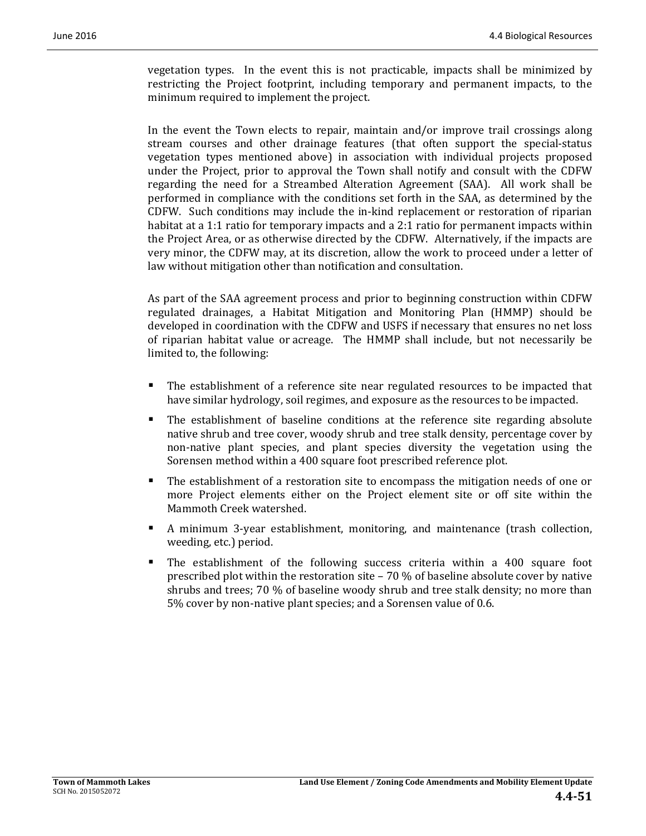vegetation types. In the event this is not practicable, impacts shall be minimized by restricting the Project footprint, including temporary and permanent impacts, to the minimum required to implement the project.

In the event the Town elects to repair, maintain and/or improve trail crossings along stream courses and other drainage features (that often support the special-status vegetation types mentioned above) in association with individual projects proposed under the Project, prior to approval the Town shall notify and consult with the CDFW regarding the need for a Streambed Alteration Agreement (SAA). All work shall be performed in compliance with the conditions set forth in the SAA, as determined by the CDFW. Such conditions may include the in-kind replacement or restoration of riparian habitat at a 1:1 ratio for temporary impacts and a 2:1 ratio for permanent impacts within the Project Area, or as otherwise directed by the CDFW. Alternatively, if the impacts are very minor, the CDFW may, at its discretion, allow the work to proceed under a letter of law without mitigation other than notification and consultation.

As part of the SAA agreement process and prior to beginning construction within CDFW regulated drainages, a Habitat Mitigation and Monitoring Plan (HMMP) should be developed in coordination with the CDFW and USFS if necessary that ensures no net loss of riparian habitat value or acreage. The HMMP shall include, but not necessarily be limited to, the following:

- The establishment of a reference site near regulated resources to be impacted that have similar hydrology, soil regimes, and exposure as the resources to be impacted.
- $\blacksquare$  The establishment of baseline conditions at the reference site regarding absolute native shrub and tree cover, woody shrub and tree stalk density, percentage cover by non-native plant species, and plant species diversity the vegetation using the Sorensen method within a 400 square foot prescribed reference plot.
- The establishment of a restoration site to encompass the mitigation needs of one or more Project elements either on the Project element site or off site within the Mammoth Creek watershed.
- A minimum 3-year establishment, monitoring, and maintenance (trash collection, weeding, etc.) period.
- **The establishment of the following success criteria within a 400 square foot** prescribed plot within the restoration site – 70 % of baseline absolute cover by native shrubs and trees;  $70\%$  of baseline woody shrub and tree stalk density; no more than 5% cover by non-native plant species; and a Sorensen value of 0.6.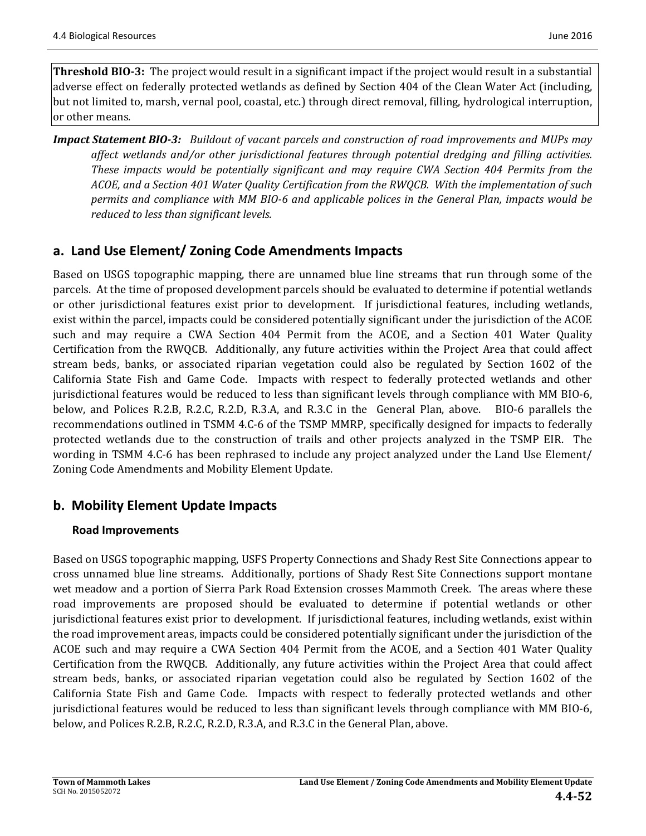**Threshold BIO-3:** The project would result in a significant impact if the project would result in a substantial adverse effect on federally protected wetlands as defined by Section 404 of the Clean Water Act (including, but not limited to, marsh, vernal pool, coastal, etc.) through direct removal, filling, hydrological interruption, or other means.

*Impact Statement BIO‐3: Buildout of vacant parcels and construction of road improvements and MUPs may affect wetlands and/or other jurisdictional features through potential dredging and filling activities. These impacts would be potentially significant and may require CWA Section 404 Permits from the ACOE, and a Section 401 Water Quality Certification from the RWQCB. With the implementation of such permits and compliance with MM BIO‐6 and applicable polices in the General Plan, impacts would be reduced to less than significant levels.* 

# **a. Land Use Element/ Zoning Code Amendments Impacts**

Based on USGS topographic mapping, there are unnamed blue line streams that run through some of the parcels. At the time of proposed development parcels should be evaluated to determine if potential wetlands or other jurisdictional features exist prior to development. If jurisdictional features, including wetlands, exist within the parcel, impacts could be considered potentially significant under the jurisdiction of the ACOE such and may require a CWA Section 404 Permit from the ACOE, and a Section 401 Water Quality Certification from the RWQCB. Additionally, any future activities within the Project Area that could affect stream beds, banks, or associated riparian vegetation could also be regulated by Section 1602 of the California State Fish and Game Code. Impacts with respect to federally protected wetlands and other jurisdictional features would be reduced to less than significant levels through compliance with MM BIO-6, below, and Polices R.2.B, R.2.C, R.2.D, R.3.A, and R.3.C in the General Plan, above. BIO-6 parallels the recommendations outlined in TSMM 4.C-6 of the TSMP MMRP, specifically designed for impacts to federally protected wetlands due to the construction of trails and other projects analyzed in the TSMP EIR. The wording in TSMM 4.C-6 has been rephrased to include any project analyzed under the Land Use Element/ Zoning Code Amendments and Mobility Element Update.

# **b. Mobility Element Update Impacts**

### **Road Improvements**

Based on USGS topographic mapping, USFS Property Connections and Shady Rest Site Connections appear to cross unnamed blue line streams. Additionally, portions of Shady Rest Site Connections support montane wet meadow and a portion of Sierra Park Road Extension crosses Mammoth Creek. The areas where these road improvements are proposed should be evaluated to determine if potential wetlands or other jurisdictional features exist prior to development. If jurisdictional features, including wetlands, exist within the road improvement areas, impacts could be considered potentially significant under the jurisdiction of the ACOE such and may require a CWA Section 404 Permit from the ACOE, and a Section 401 Water Quality Certification from the RWQCB. Additionally, any future activities within the Project Area that could affect stream beds, banks, or associated riparian vegetation could also be regulated by Section 1602 of the California State Fish and Game Code. Impacts with respect to federally protected wetlands and other jurisdictional features would be reduced to less than significant levels through compliance with MM BIO-6, below, and Polices R.2.B, R.2.C, R.2.D, R.3.A, and R.3.C in the General Plan, above.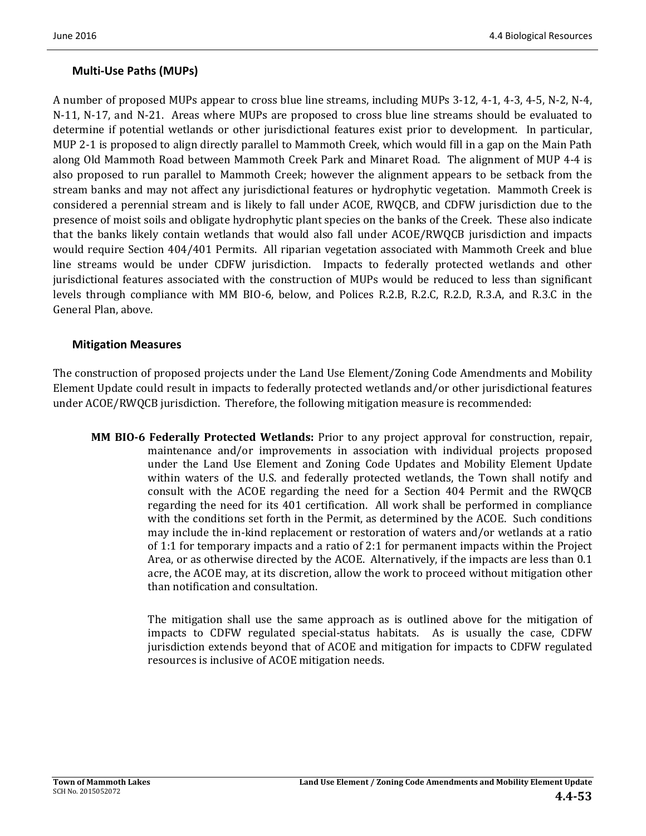### **Multi‐Use Paths (MUPs)**

A number of proposed MUPs appear to cross blue line streams, including MUPs 3-12, 4-1, 4-3, 4-5, N-2, N-4, N-11, N-17, and N-21. Areas where MUPs are proposed to cross blue line streams should be evaluated to determine if potential wetlands or other jurisdictional features exist prior to development. In particular, MUP 2-1 is proposed to align directly parallel to Mammoth Creek, which would fill in a gap on the Main Path along Old Mammoth Road between Mammoth Creek Park and Minaret Road. The alignment of MUP 4-4 is also proposed to run parallel to Mammoth Creek; however the alignment appears to be setback from the stream banks and may not affect any jurisdictional features or hydrophytic vegetation. Mammoth Creek is considered a perennial stream and is likely to fall under ACOE, RWQCB, and CDFW jurisdiction due to the presence of moist soils and obligate hydrophytic plant species on the banks of the Creek. These also indicate that the banks likely contain wetlands that would also fall under ACOE/RWQCB jurisdiction and impacts would require Section 404/401 Permits. All riparian vegetation associated with Mammoth Creek and blue line streams would be under CDFW jurisdiction. Impacts to federally protected wetlands and other jurisdictional features associated with the construction of MUPs would be reduced to less than significant levels through compliance with MM BIO-6, below, and Polices R.2.B, R.2.C, R.2.D, R.3.A, and R.3.C in the General Plan, above.

#### **Mitigation Measures**

The construction of proposed projects under the Land Use Element/Zoning Code Amendments and Mobility Element Update could result in impacts to federally protected wetlands and/or other jurisdictional features under  $ACOE/RWQCB$  jurisdiction. Therefore, the following mitigation measure is recommended:

**MM BIO-6** Federally Protected Wetlands: Prior to any project approval for construction, repair, maintenance and/or improvements in association with individual projects proposed under the Land Use Element and Zoning Code Updates and Mobility Element Update within waters of the U.S. and federally protected wetlands, the Town shall notify and consult with the ACOE regarding the need for a Section 404 Permit and the RWQCB regarding the need for its 401 certification. All work shall be performed in compliance with the conditions set forth in the Permit, as determined by the ACOE. Such conditions may include the in-kind replacement or restoration of waters and/or wetlands at a ratio of 1:1 for temporary impacts and a ratio of 2:1 for permanent impacts within the Project Area, or as otherwise directed by the ACOE. Alternatively, if the impacts are less than 0.1 acre, the ACOE may, at its discretion, allow the work to proceed without mitigation other than notification and consultation.

> The mitigation shall use the same approach as is outlined above for the mitigation of impacts to CDFW regulated special-status habitats. As is usually the case, CDFW jurisdiction extends beyond that of ACOE and mitigation for impacts to CDFW regulated resources is inclusive of ACOE mitigation needs.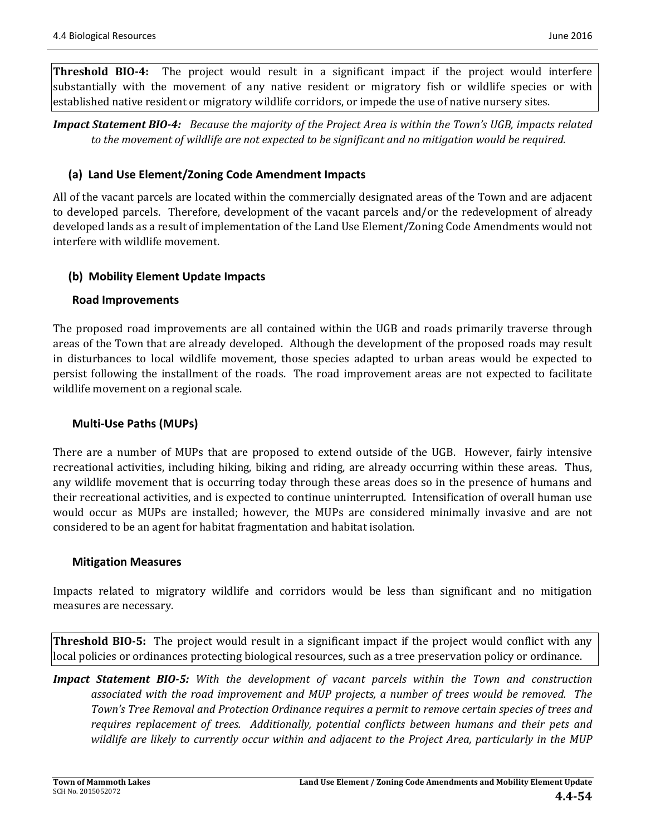**Threshold BIO-4:** The project would result in a significant impact if the project would interfere substantially with the movement of any native resident or migratory fish or wildlife species or with established native resident or migratory wildlife corridors, or impede the use of native nursery sites.

**Impact Statement BIO-4:** Because the majority of the Project Area is within the Town's UGB, impacts related to the movement of wildlife are not expected to be significant and no mitigation would be required.

### **(a) Land Use Element/Zoning Code Amendment Impacts**

All of the vacant parcels are located within the commercially designated areas of the Town and are adjacent to developed parcels. Therefore, development of the vacant parcels and/or the redevelopment of already developed lands as a result of implementation of the Land Use Element/Zoning Code Amendments would not interfere with wildlife movement.

### **(b) Mobility Element Update Impacts**

### **Road Improvements**

The proposed road improvements are all contained within the UGB and roads primarily traverse through areas of the Town that are already developed. Although the development of the proposed roads may result in disturbances to local wildlife movement, those species adapted to urban areas would be expected to persist following the installment of the roads. The road improvement areas are not expected to facilitate wildlife movement on a regional scale.

### **Multi‐Use Paths (MUPs)**

There are a number of MUPs that are proposed to extend outside of the UGB. However, fairly intensive recreational activities, including hiking, biking and riding, are already occurring within these areas. Thus, any wildlife movement that is occurring today through these areas does so in the presence of humans and their recreational activities, and is expected to continue uninterrupted. Intensification of overall human use would occur as MUPs are installed; however, the MUPs are considered minimally invasive and are not considered to be an agent for habitat fragmentation and habitat isolation.

#### **Mitigation Measures**

Impacts related to migratory wildlife and corridors would be less than significant and no mitigation measures are necessary.

**Threshold BIO-5:** The project would result in a significant impact if the project would conflict with any local policies or ordinances protecting biological resources, such as a tree preservation policy or ordinance.

*Impact Statement BIO‐5: With the development of vacant parcels within the Town and construction associated with the road improvement and MUP projects, a number of trees would be removed. The Town's Tree Removal and Protection Ordinance requires a permit to remove certain species of trees and requires replacement of trees. Additionally, potential conflicts between humans and their pets and wildlife are likely to currently occur within and adjacent to the Project Area, particularly in the MUP*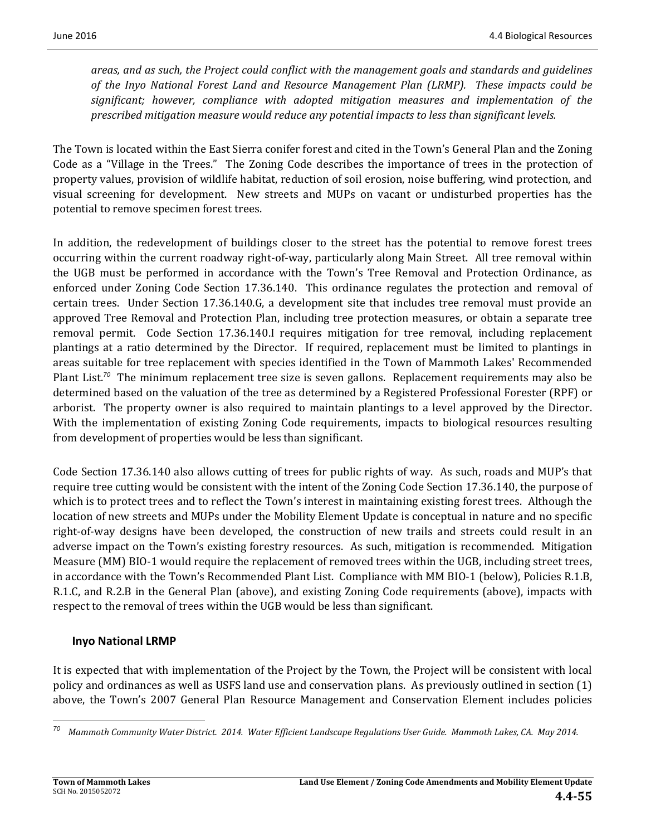*areas, and as such, the Project could conflict with the management goals and standards and guidelines of the Inyo National Forest Land and Resource Management Plan (LRMP). These impacts could be significant; however, compliance with adopted mitigation measures and implementation of the prescribed mitigation measure would reduce any potential impacts to less than significant levels.*

The Town is located within the East Sierra conifer forest and cited in the Town's General Plan and the Zoning Code as a "Village in the Trees." The Zoning Code describes the importance of trees in the protection of property values, provision of wildlife habitat, reduction of soil erosion, noise buffering, wind protection, and visual screening for development. New streets and MUPs on vacant or undisturbed properties has the potential to remove specimen forest trees.

In addition, the redevelopment of buildings closer to the street has the potential to remove forest trees occurring within the current roadway right-of-way, particularly along Main Street. All tree removal within the UGB must be performed in accordance with the Town's Tree Removal and Protection Ordinance, as enforced under Zoning Code Section 17.36.140. This ordinance regulates the protection and removal of certain trees. Under Section 17.36.140.G, a development site that includes tree removal must provide an approved Tree Removal and Protection Plan, including tree protection measures, or obtain a separate tree removal permit. Code Section 17.36.140.I requires mitigation for tree removal, including replacement plantings at a ratio determined by the Director. If required, replacement must be limited to plantings in areas suitable for tree replacement with species identified in the Town of Mammoth Lakes' Recommended Plant List.<sup>70</sup> The minimum replacement tree size is seven gallons. Replacement requirements may also be determined based on the valuation of the tree as determined by a Registered Professional Forester (RPF) or arborist. The property owner is also required to maintain plantings to a level approved by the Director. With the implementation of existing Zoning Code requirements, impacts to biological resources resulting from development of properties would be less than significant.

Code Section 17.36.140 also allows cutting of trees for public rights of way. As such, roads and MUP's that require tree cutting would be consistent with the intent of the Zoning Code Section 17.36.140, the purpose of which is to protect trees and to reflect the Town's interest in maintaining existing forest trees. Although the location of new streets and MUPs under the Mobility Element Update is conceptual in nature and no specific right-of-way designs have been developed, the construction of new trails and streets could result in an adverse impact on the Town's existing forestry resources. As such, mitigation is recommended. Mitigation Measure (MM) BIO-1 would require the replacement of removed trees within the UGB, including street trees, in accordance with the Town's Recommended Plant List. Compliance with MM BIO-1 (below), Policies R.1.B, R.1.C, and R.2.B in the General Plan (above), and existing Zoning Code requirements (above), impacts with respect to the removal of trees within the UGB would be less than significant.

#### **Inyo National LRMP**

It is expected that with implementation of the Project by the Town, the Project will be consistent with local policy and ordinances as well as USFS land use and conservation plans. As previously outlined in section (1) above, the Town's 2007 General Plan Resource Management and Conservation Element includes policies

 Mammoth Community Water District. 2014. Water Efficient Landscape Regulations User Guide. Mammoth Lakes, CA. May 2014.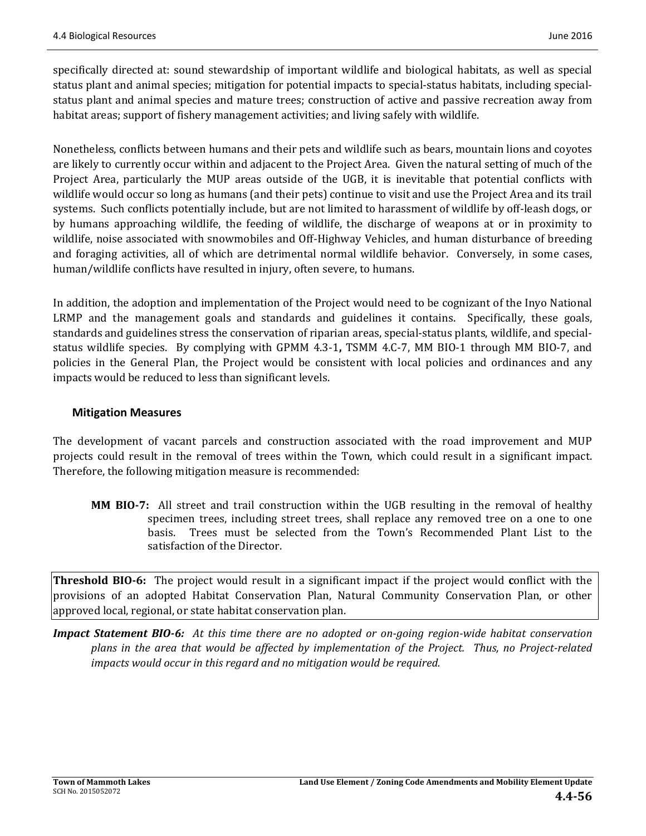specifically directed at: sound stewardship of important wildlife and biological habitats, as well as special status plant and animal species; mitigation for potential impacts to special-status habitats, including specialstatus plant and animal species and mature trees; construction of active and passive recreation away from habitat areas; support of fishery management activities; and living safely with wildlife.

Nonetheless, conflicts between humans and their pets and wildlife such as bears, mountain lions and coyotes are likely to currently occur within and adjacent to the Project Area. Given the natural setting of much of the Project Area, particularly the MUP areas outside of the UGB, it is inevitable that potential conflicts with wildlife would occur so long as humans (and their pets) continue to visit and use the Project Area and its trail systems. Such conflicts potentially include, but are not limited to harassment of wildlife by off-leash dogs, or by humans approaching wildlife, the feeding of wildlife, the discharge of weapons at or in proximity to wildlife, noise associated with snowmobiles and Off-Highway Vehicles, and human disturbance of breeding and foraging activities, all of which are detrimental normal wildlife behavior. Conversely, in some cases, human/wildlife conflicts have resulted in injury, often severe, to humans.

In addition, the adoption and implementation of the Project would need to be cognizant of the Inyo National LRMP and the management goals and standards and guidelines it contains. Specifically, these goals, standards and guidelines stress the conservation of riparian areas, special-status plants, wildlife, and specialstatus wildlife species. By complying with GPMM 4.3-1, TSMM 4.C-7, MM BIO-1 through MM BIO-7, and policies in the General Plan, the Project would be consistent with local policies and ordinances and any impacts would be reduced to less than significant levels.

#### **Mitigation Measures**

The development of vacant parcels and construction associated with the road improvement and MUP projects could result in the removal of trees within the Town, which could result in a significant impact. Therefore, the following mitigation measure is recommended:

**MM BIO-7:** All street and trail construction within the UGB resulting in the removal of healthy specimen trees, including street trees, shall replace any removed tree on a one to one basis. Trees must be selected from the Town's Recommended Plant List to the satisfaction of the Director.

**Threshold BIO-6:** The project would result in a significant impact if the project would conflict with the provisions of an adopted Habitat Conservation Plan, Natural Community Conservation Plan, or other approved local, regional, or state habitat conservation plan.

**Impact Statement BIO-6:** At this time there are no adopted or on-going region-wide habitat conservation plans in the area that would be affected by implementation of the Project. Thus, no Project-related *impacts would occur in this regard and no mitigation would be required.*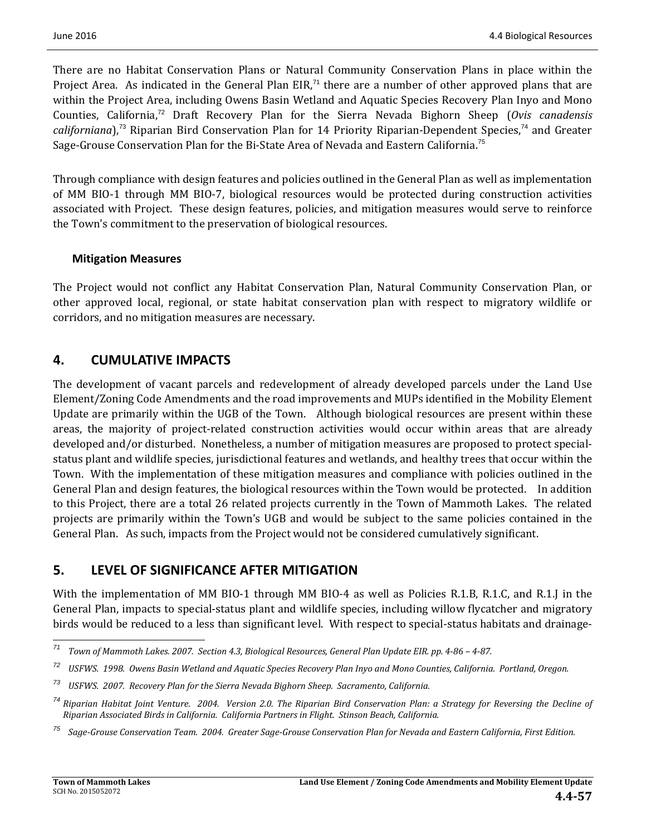There are no Habitat Conservation Plans or Natural Community Conservation Plans in place within the Project Area. As indicated in the General Plan EIR,<sup>71</sup> there are a number of other approved plans that are within the Project Area, including Owens Basin Wetland and Aquatic Species Recovery Plan Inyo and Mono Counties, California,<sup>72</sup> Draft Recovery Plan for the Sierra Nevada Bighorn Sheep (*Ovis canadensis californiana*),<sup>73</sup> Riparian Bird Conservation Plan for 14 Priority Riparian-Dependent Species,<sup>74</sup> and Greater Sage-Grouse Conservation Plan for the Bi-State Area of Nevada and Eastern California.<sup>75</sup>

Through compliance with design features and policies outlined in the General Plan as well as implementation of MM BIO-1 through MM BIO-7, biological resources would be protected during construction activities associated with Project. These design features, policies, and mitigation measures would serve to reinforce the Town's commitment to the preservation of biological resources.

#### **Mitigation Measures**

The Project would not conflict any Habitat Conservation Plan, Natural Community Conservation Plan, or other approved local, regional, or state habitat conservation plan with respect to migratory wildlife or corridors, and no mitigation measures are necessary.

### **4. CUMULATIVE IMPACTS**

The development of vacant parcels and redevelopment of already developed parcels under the Land Use Element/Zoning Code Amendments and the road improvements and MUPs identified in the Mobility Element Update are primarily within the UGB of the Town. Although biological resources are present within these areas, the majority of project-related construction activities would occur within areas that are already developed and/or disturbed. Nonetheless, a number of mitigation measures are proposed to protect specialstatus plant and wildlife species, jurisdictional features and wetlands, and healthy trees that occur within the Town. With the implementation of these mitigation measures and compliance with policies outlined in the General Plan and design features, the biological resources within the Town would be protected. In addition to this Project, there are a total 26 related projects currently in the Town of Mammoth Lakes. The related projects are primarily within the Town's UGB and would be subject to the same policies contained in the General Plan. As such, impacts from the Project would not be considered cumulatively significant.

# **5. LEVEL OF SIGNIFICANCE AFTER MITIGATION**

With the implementation of MM BIO-1 through MM BIO-4 as well as Policies R.1.B, R.1.C, and R.1.J in the General Plan, impacts to special-status plant and wildlife species, including willow flycatcher and migratory birds would be reduced to a less than significant level. With respect to special-status habitats and drainage-

<sup>&</sup>lt;u> 1989 - Johann Stein, fransk politik (d. 1989)</u>  $71$  Town of Mammoth Lakes. 2007. Section 4.3, Biological Resources, General Plan Update EIR. pp. 4-86 - 4-87.

<sup>&</sup>lt;sup>72</sup> USFWS. 1998. Owens Basin Wetland and Aquatic Species Recovery Plan Inyo and Mono Counties, California. Portland, Oregon.

*<sup>73</sup> USFWS. 2007. Recovery Plan for the Sierra Nevada Bighorn Sheep. Sacramento, California.*

<sup>&</sup>lt;sup>74</sup> Riparian Habitat Joint Venture. 2004. Version 2.0. The Riparian Bird Conservation Plan: a Strategy for Reversing the Decline of *Riparian Associated Birds in California. California Partners in Flight. Stinson Beach, California.*

<sup>&</sup>lt;sup>75</sup> Sage-Grouse Conservation Team. 2004. Greater Sage-Grouse Conservation Plan for Nevada and Eastern California, First Edition.